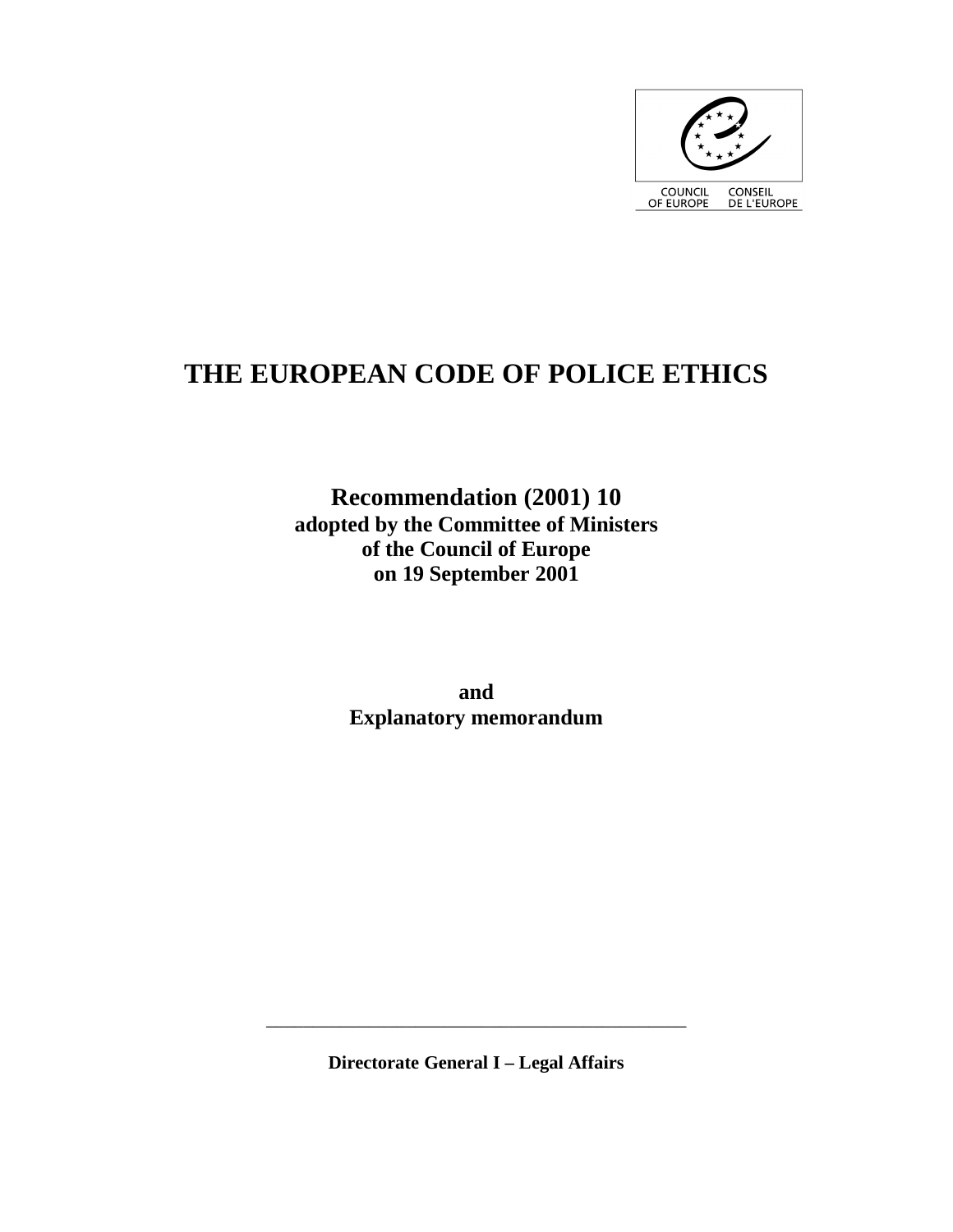

# **THE EUROPEAN CODE OF POLICE ETHICS**

**Recommendation (2001) 10 adopted by the Committee of Ministers of the Council of Europe on 19 September 2001**

> **and Explanatory memorandum**

**Directorate General I – Legal Affairs**

\_\_\_\_\_\_\_\_\_\_\_\_\_\_\_\_\_\_\_\_\_\_\_\_\_\_\_\_\_\_\_\_\_\_\_\_\_\_\_\_\_\_\_\_\_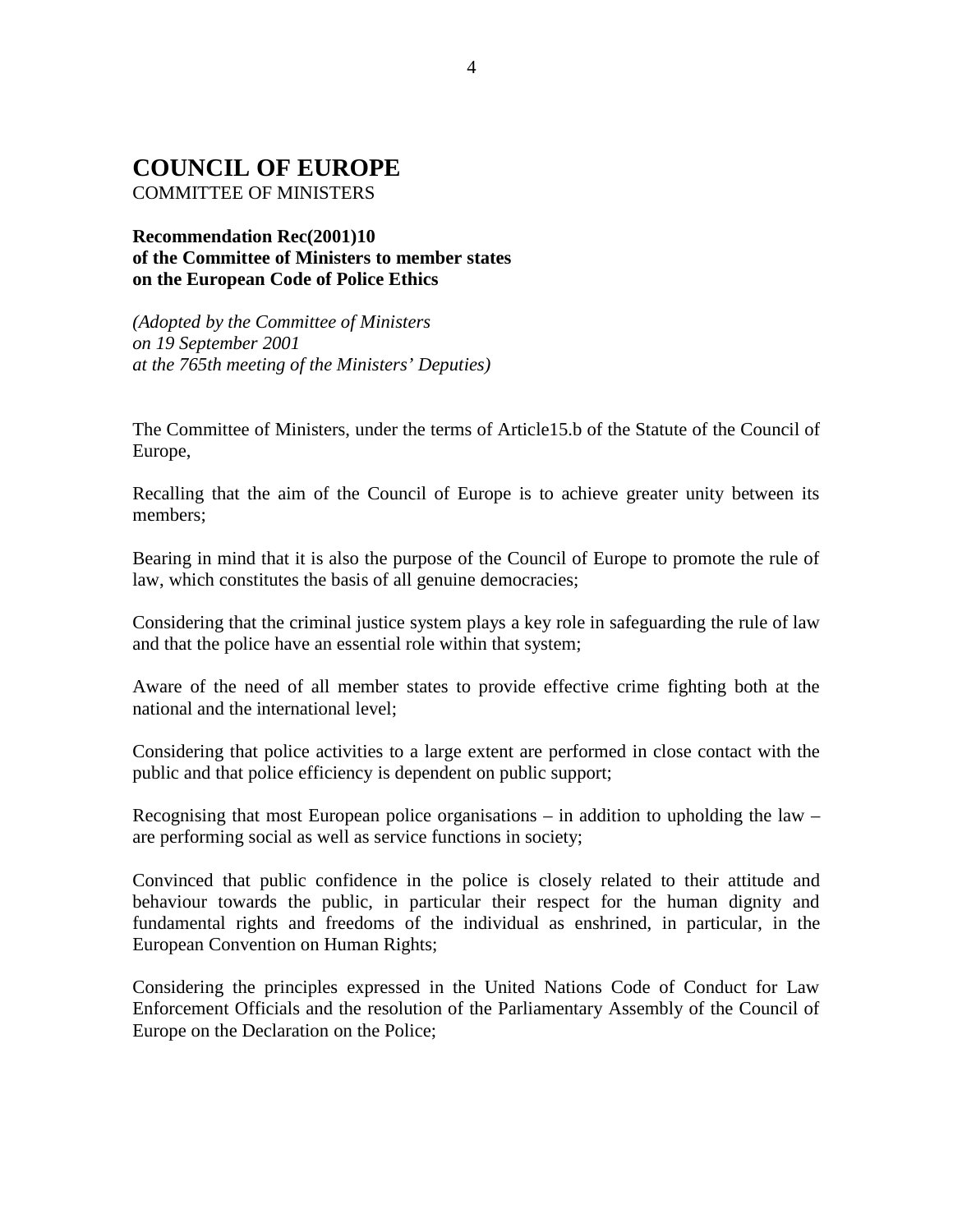## **COUNCIL OF EUROPE**

COMMITTEE OF MINISTERS

**Recommendation Rec(2001)10 of the Committee of Ministers to member states on the European Code of Police Ethics**

*(Adopted by the Committee of Ministers on 19 September 2001 at the 765th meeting of the Ministers' Deputies)*

The Committee of Ministers, under the terms of Article15.b of the Statute of the Council of Europe,

Recalling that the aim of the Council of Europe is to achieve greater unity between its members;

Bearing in mind that it is also the purpose of the Council of Europe to promote the rule of law, which constitutes the basis of all genuine democracies;

Considering that the criminal justice system plays a key role in safeguarding the rule of law and that the police have an essential role within that system;

Aware of the need of all member states to provide effective crime fighting both at the national and the international level;

Considering that police activities to a large extent are performed in close contact with the public and that police efficiency is dependent on public support;

Recognising that most European police organisations – in addition to upholding the law – are performing social as well as service functions in society;

Convinced that public confidence in the police is closely related to their attitude and behaviour towards the public, in particular their respect for the human dignity and fundamental rights and freedoms of the individual as enshrined, in particular, in the European Convention on Human Rights;

Considering the principles expressed in the United Nations Code of Conduct for Law Enforcement Officials and the resolution of the Parliamentary Assembly of the Council of Europe on the Declaration on the Police;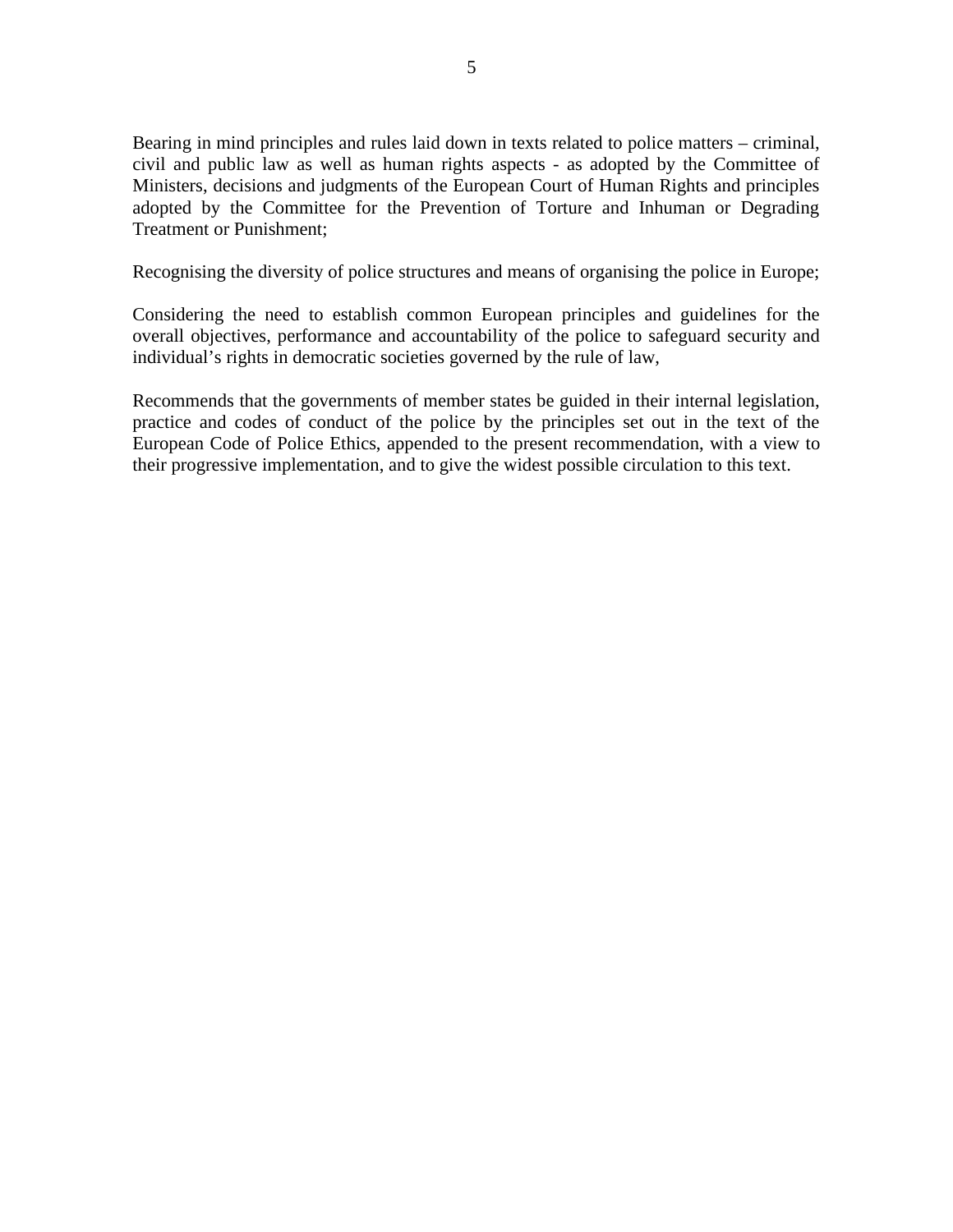Bearing in mind principles and rules laid down in texts related to police matters – criminal, civil and public law as well as human rights aspects - as adopted by the Committee of Ministers, decisions and judgments of the European Court of Human Rights and principles adopted by the Committee for the Prevention of Torture and Inhuman or Degrading Treatment or Punishment;

Recognising the diversity of police structures and means of organising the police in Europe;

Considering the need to establish common European principles and guidelines for the overall objectives, performance and accountability of the police to safeguard security and individual's rights in democratic societies governed by the rule of law,

Recommends that the governments of member states be guided in their internal legislation, practice and codes of conduct of the police by the principles set out in the text of the European Code of Police Ethics, appended to the present recommendation, with a view to their progressive implementation, and to give the widest possible circulation to this text.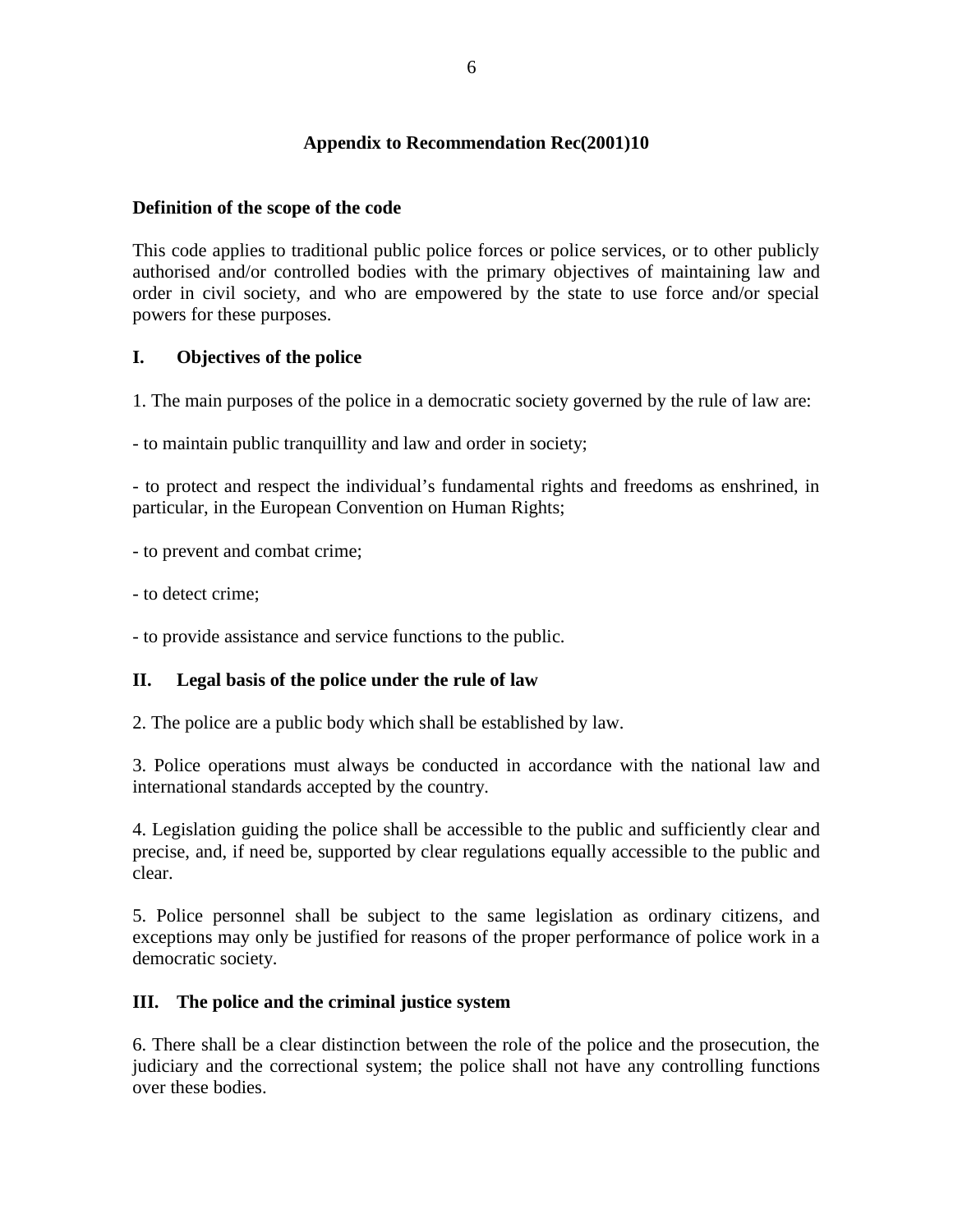## **Appendix to Recommendation Rec(2001)10**

#### **Definition of the scope of the code**

This code applies to traditional public police forces or police services, or to other publicly authorised and/or controlled bodies with the primary objectives of maintaining law and order in civil society, and who are empowered by the state to use force and/or special powers for these purposes.

#### **I. Objectives of the police**

1. The main purposes of the police in a democratic society governed by the rule of law are:

- to maintain public tranquillity and law and order in society;

- to protect and respect the individual's fundamental rights and freedoms as enshrined, in particular, in the European Convention on Human Rights;

- to prevent and combat crime;

- to detect crime;

- to provide assistance and service functions to the public.

## **II. Legal basis of the police under the rule of law**

2. The police are a public body which shall be established by law.

3. Police operations must always be conducted in accordance with the national law and international standards accepted by the country.

4. Legislation guiding the police shall be accessible to the public and sufficiently clear and precise, and, if need be, supported by clear regulations equally accessible to the public and clear.

5. Police personnel shall be subject to the same legislation as ordinary citizens, and exceptions may only be justified for reasons of the proper performance of police work in a democratic society.

## **III. The police and the criminal justice system**

6. There shall be a clear distinction between the role of the police and the prosecution, the judiciary and the correctional system; the police shall not have any controlling functions over these bodies.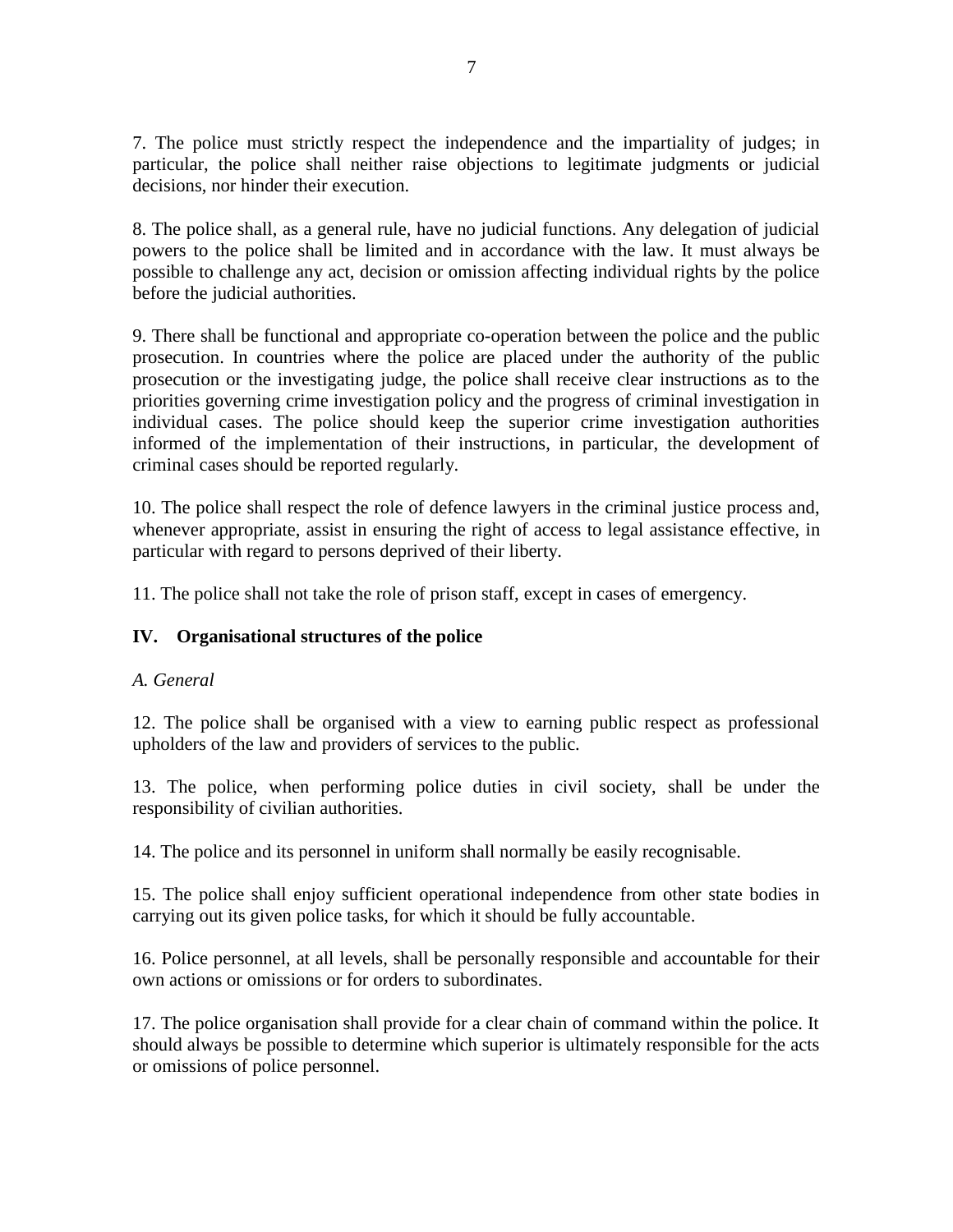7. The police must strictly respect the independence and the impartiality of judges; in particular, the police shall neither raise objections to legitimate judgments or judicial decisions, nor hinder their execution.

8. The police shall, as a general rule, have no judicial functions. Any delegation of judicial powers to the police shall be limited and in accordance with the law. It must always be possible to challenge any act, decision or omission affecting individual rights by the police before the judicial authorities.

9. There shall be functional and appropriate co-operation between the police and the public prosecution. In countries where the police are placed under the authority of the public prosecution or the investigating judge, the police shall receive clear instructions as to the priorities governing crime investigation policy and the progress of criminal investigation in individual cases. The police should keep the superior crime investigation authorities informed of the implementation of their instructions, in particular, the development of criminal cases should be reported regularly.

10. The police shall respect the role of defence lawyers in the criminal justice process and, whenever appropriate, assist in ensuring the right of access to legal assistance effective, in particular with regard to persons deprived of their liberty.

11. The police shall not take the role of prison staff, except in cases of emergency.

## **IV. Organisational structures of the police**

## *A. General*

12. The police shall be organised with a view to earning public respect as professional upholders of the law and providers of services to the public.

13. The police, when performing police duties in civil society, shall be under the responsibility of civilian authorities.

14. The police and its personnel in uniform shall normally be easily recognisable.

15. The police shall enjoy sufficient operational independence from other state bodies in carrying out its given police tasks, for which it should be fully accountable.

16. Police personnel, at all levels, shall be personally responsible and accountable for their own actions or omissions or for orders to subordinates.

17. The police organisation shall provide for a clear chain of command within the police. It should always be possible to determine which superior is ultimately responsible for the acts or omissions of police personnel.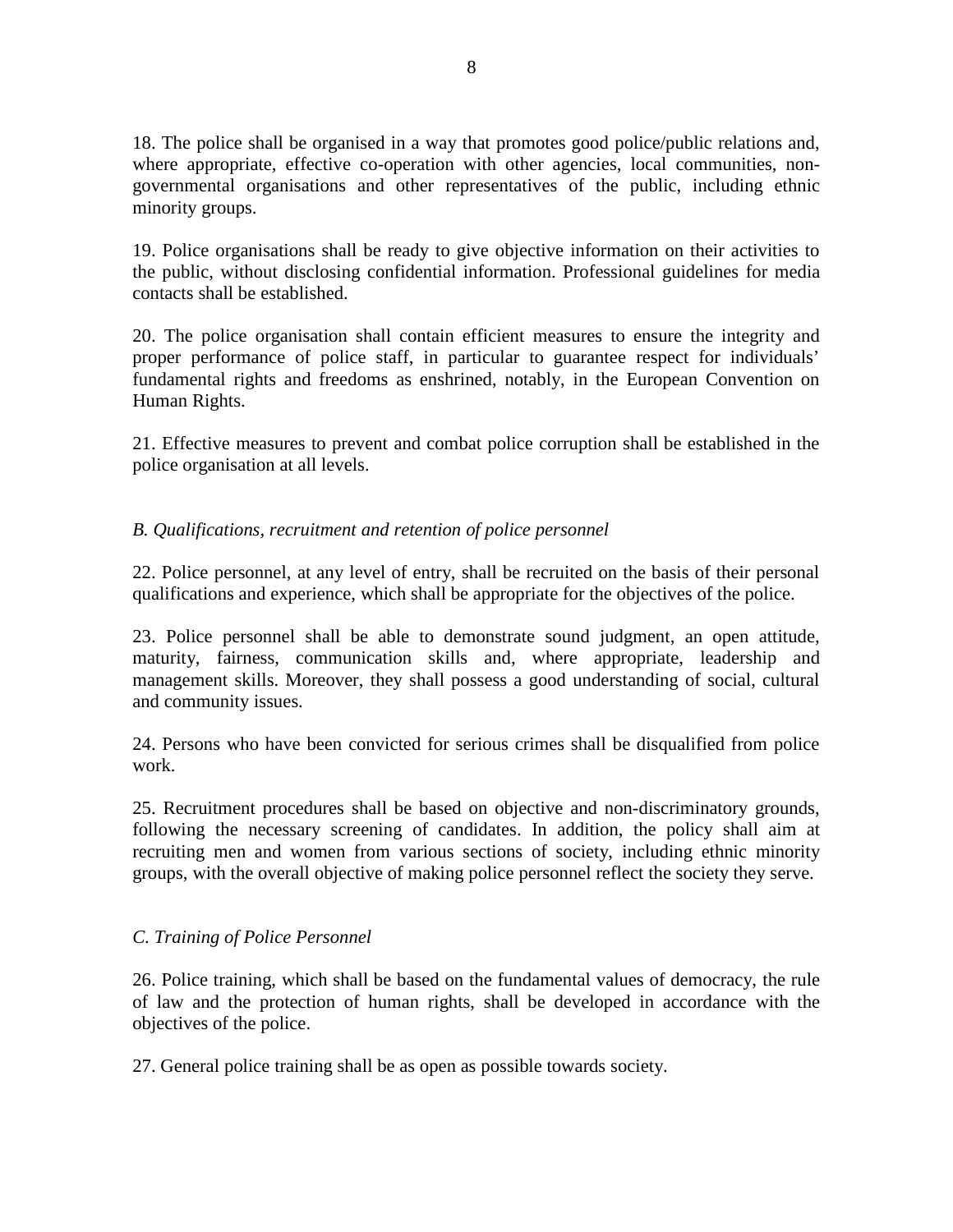18. The police shall be organised in a way that promotes good police/public relations and, where appropriate, effective co-operation with other agencies, local communities, nongovernmental organisations and other representatives of the public, including ethnic minority groups.

19. Police organisations shall be ready to give objective information on their activities to the public, without disclosing confidential information. Professional guidelines for media contacts shall be established.

20. The police organisation shall contain efficient measures to ensure the integrity and proper performance of police staff, in particular to guarantee respect for individuals' fundamental rights and freedoms as enshrined, notably, in the European Convention on Human Rights.

21. Effective measures to prevent and combat police corruption shall be established in the police organisation at all levels.

## *B. Qualifications, recruitment and retention of police personnel*

22. Police personnel, at any level of entry, shall be recruited on the basis of their personal qualifications and experience, which shall be appropriate for the objectives of the police.

23. Police personnel shall be able to demonstrate sound judgment, an open attitude, maturity, fairness, communication skills and, where appropriate, leadership and management skills. Moreover, they shall possess a good understanding of social, cultural and community issues.

24. Persons who have been convicted for serious crimes shall be disqualified from police work.

25. Recruitment procedures shall be based on objective and non-discriminatory grounds, following the necessary screening of candidates. In addition, the policy shall aim at recruiting men and women from various sections of society, including ethnic minority groups, with the overall objective of making police personnel reflect the society they serve.

## *C. Training of Police Personnel*

26. Police training, which shall be based on the fundamental values of democracy, the rule of law and the protection of human rights, shall be developed in accordance with the objectives of the police.

27. General police training shall be as open as possible towards society.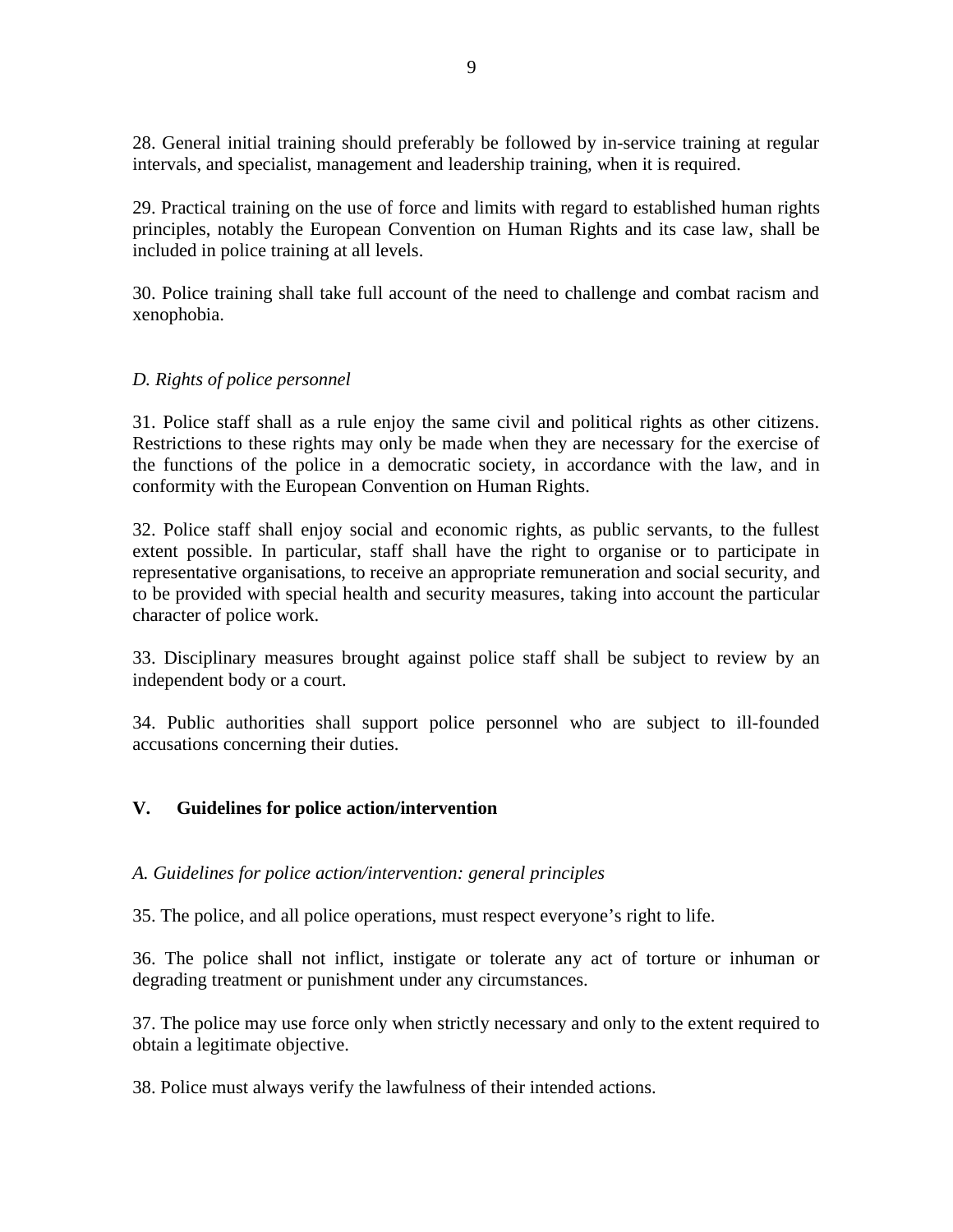28. General initial training should preferably be followed by in-service training at regular intervals, and specialist, management and leadership training, when it is required.

29. Practical training on the use of force and limits with regard to established human rights principles, notably the European Convention on Human Rights and its case law, shall be included in police training at all levels.

30. Police training shall take full account of the need to challenge and combat racism and xenophobia.

## *D. Rights of police personnel*

31. Police staff shall as a rule enjoy the same civil and political rights as other citizens. Restrictions to these rights may only be made when they are necessary for the exercise of the functions of the police in a democratic society, in accordance with the law, and in conformity with the European Convention on Human Rights.

32. Police staff shall enjoy social and economic rights, as public servants, to the fullest extent possible. In particular, staff shall have the right to organise or to participate in representative organisations, to receive an appropriate remuneration and social security, and to be provided with special health and security measures, taking into account the particular character of police work.

33. Disciplinary measures brought against police staff shall be subject to review by an independent body or a court.

34. Public authorities shall support police personnel who are subject to ill-founded accusations concerning their duties.

#### **V. Guidelines for police action/intervention**

#### *A. Guidelines for police action/intervention: general principles*

35. The police, and all police operations, must respect everyone's right to life.

36. The police shall not inflict, instigate or tolerate any act of torture or inhuman or degrading treatment or punishment under any circumstances.

37. The police may use force only when strictly necessary and only to the extent required to obtain a legitimate objective.

38. Police must always verify the lawfulness of their intended actions.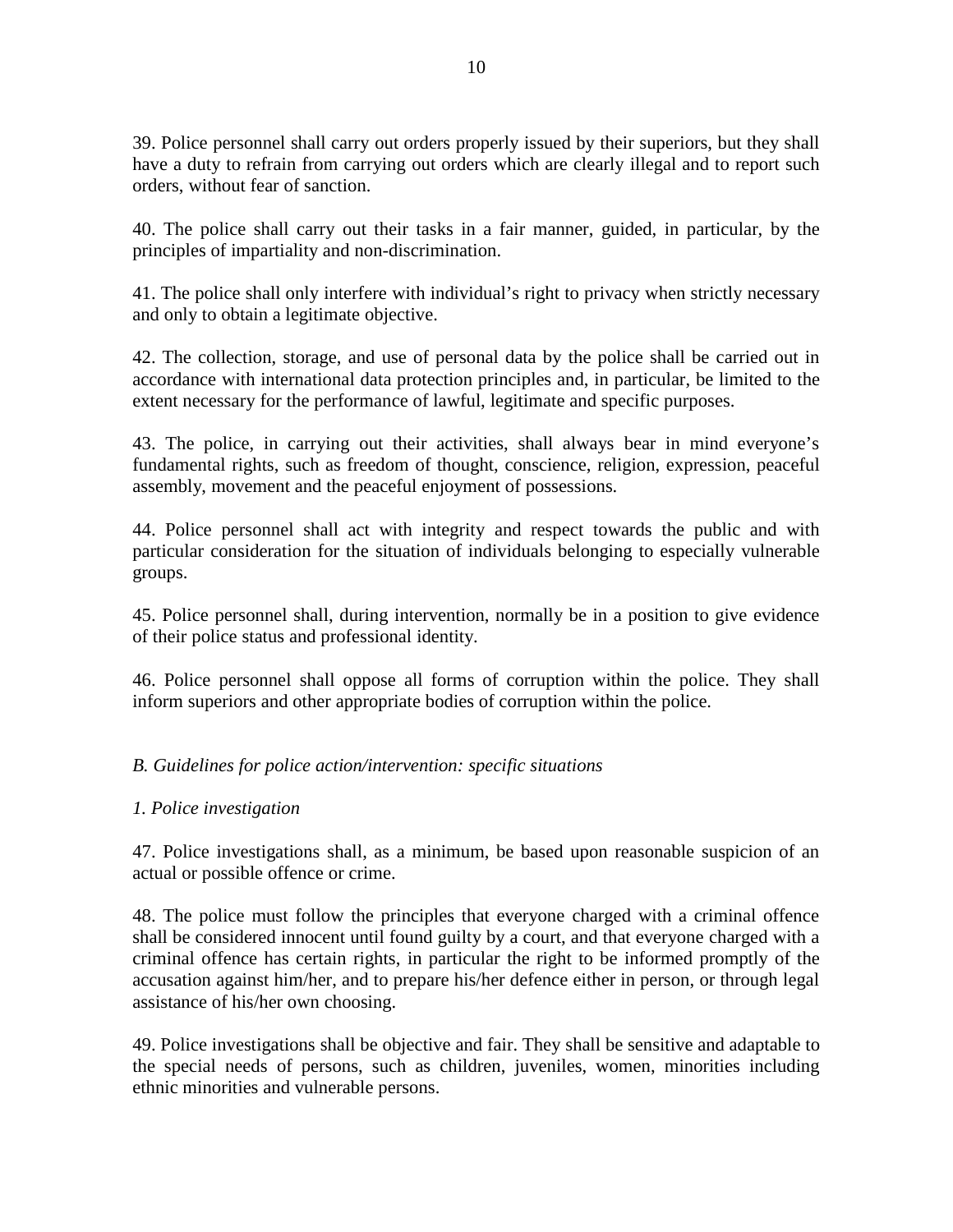39. Police personnel shall carry out orders properly issued by their superiors, but they shall have a duty to refrain from carrying out orders which are clearly illegal and to report such orders, without fear of sanction.

40. The police shall carry out their tasks in a fair manner, guided, in particular, by the principles of impartiality and non-discrimination.

41. The police shall only interfere with individual's right to privacy when strictly necessary and only to obtain a legitimate objective.

42. The collection, storage, and use of personal data by the police shall be carried out in accordance with international data protection principles and, in particular, be limited to the extent necessary for the performance of lawful, legitimate and specific purposes.

43. The police, in carrying out their activities, shall always bear in mind everyone's fundamental rights, such as freedom of thought, conscience, religion, expression, peaceful assembly, movement and the peaceful enjoyment of possessions.

44. Police personnel shall act with integrity and respect towards the public and with particular consideration for the situation of individuals belonging to especially vulnerable groups.

45. Police personnel shall, during intervention, normally be in a position to give evidence of their police status and professional identity.

46. Police personnel shall oppose all forms of corruption within the police. They shall inform superiors and other appropriate bodies of corruption within the police.

## *B. Guidelines for police action/intervention: specific situations*

## *1. Police investigation*

47. Police investigations shall, as a minimum, be based upon reasonable suspicion of an actual or possible offence or crime.

48. The police must follow the principles that everyone charged with a criminal offence shall be considered innocent until found guilty by a court, and that everyone charged with a criminal offence has certain rights, in particular the right to be informed promptly of the accusation against him/her, and to prepare his/her defence either in person, or through legal assistance of his/her own choosing.

49. Police investigations shall be objective and fair. They shall be sensitive and adaptable to the special needs of persons, such as children, juveniles, women, minorities including ethnic minorities and vulnerable persons.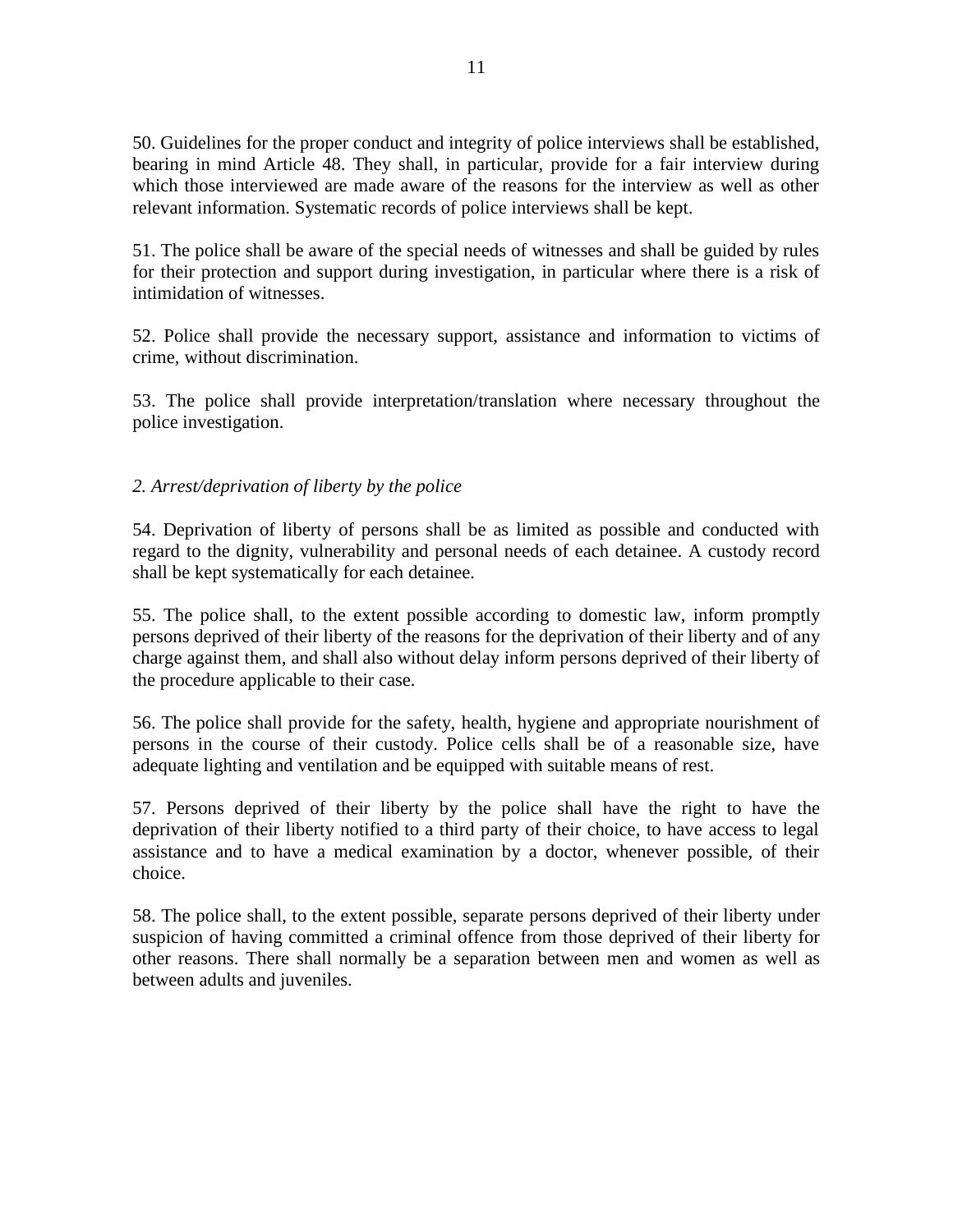50. Guidelines for the proper conduct and integrity of police interviews shall be established, bearing in mind Article 48. They shall, in particular, provide for a fair interview during which those interviewed are made aware of the reasons for the interview as well as other relevant information. Systematic records of police interviews shall be kept.

51. The police shall be aware of the special needs of witnesses and shall be guided by rules for their protection and support during investigation, in particular where there is a risk of intimidation of witnesses.

52. Police shall provide the necessary support, assistance and information to victims of crime, without discrimination.

53. The police shall provide interpretation/translation where necessary throughout the police investigation.

## *2. Arrest/deprivation of liberty by the police*

54. Deprivation of liberty of persons shall be as limited as possible and conducted with regard to the dignity, vulnerability and personal needs of each detainee. A custody record shall be kept systematically for each detainee.

55. The police shall, to the extent possible according to domestic law, inform promptly persons deprived of their liberty of the reasons for the deprivation of their liberty and of any charge against them, and shall also without delay inform persons deprived of their liberty of the procedure applicable to their case.

56. The police shall provide for the safety, health, hygiene and appropriate nourishment of persons in the course of their custody. Police cells shall be of a reasonable size, have adequate lighting and ventilation and be equipped with suitable means of rest.

57. Persons deprived of their liberty by the police shall have the right to have the deprivation of their liberty notified to a third party of their choice, to have access to legal assistance and to have a medical examination by a doctor, whenever possible, of their choice.

58. The police shall, to the extent possible, separate persons deprived of their liberty under suspicion of having committed a criminal offence from those deprived of their liberty for other reasons. There shall normally be a separation between men and women as well as between adults and juveniles.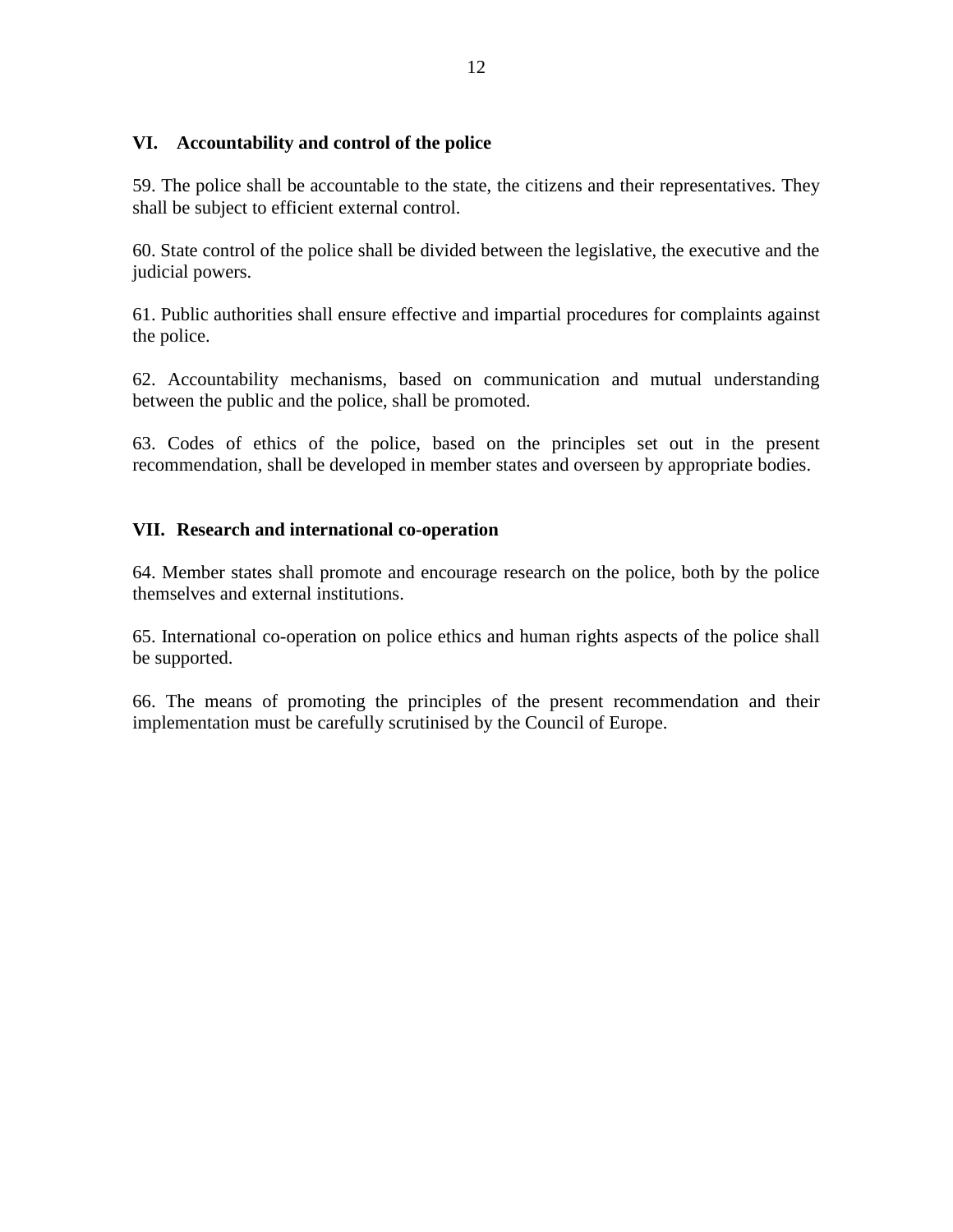#### **VI. Accountability and control of the police**

59. The police shall be accountable to the state, the citizens and their representatives. They shall be subject to efficient external control.

60. State control of the police shall be divided between the legislative, the executive and the judicial powers.

61. Public authorities shall ensure effective and impartial procedures for complaints against the police.

62. Accountability mechanisms, based on communication and mutual understanding between the public and the police, shall be promoted.

63. Codes of ethics of the police, based on the principles set out in the present recommendation, shall be developed in member states and overseen by appropriate bodies.

## **VII. Research and international co-operation**

64. Member states shall promote and encourage research on the police, both by the police themselves and external institutions.

65. International co-operation on police ethics and human rights aspects of the police shall be supported.

66. The means of promoting the principles of the present recommendation and their implementation must be carefully scrutinised by the Council of Europe.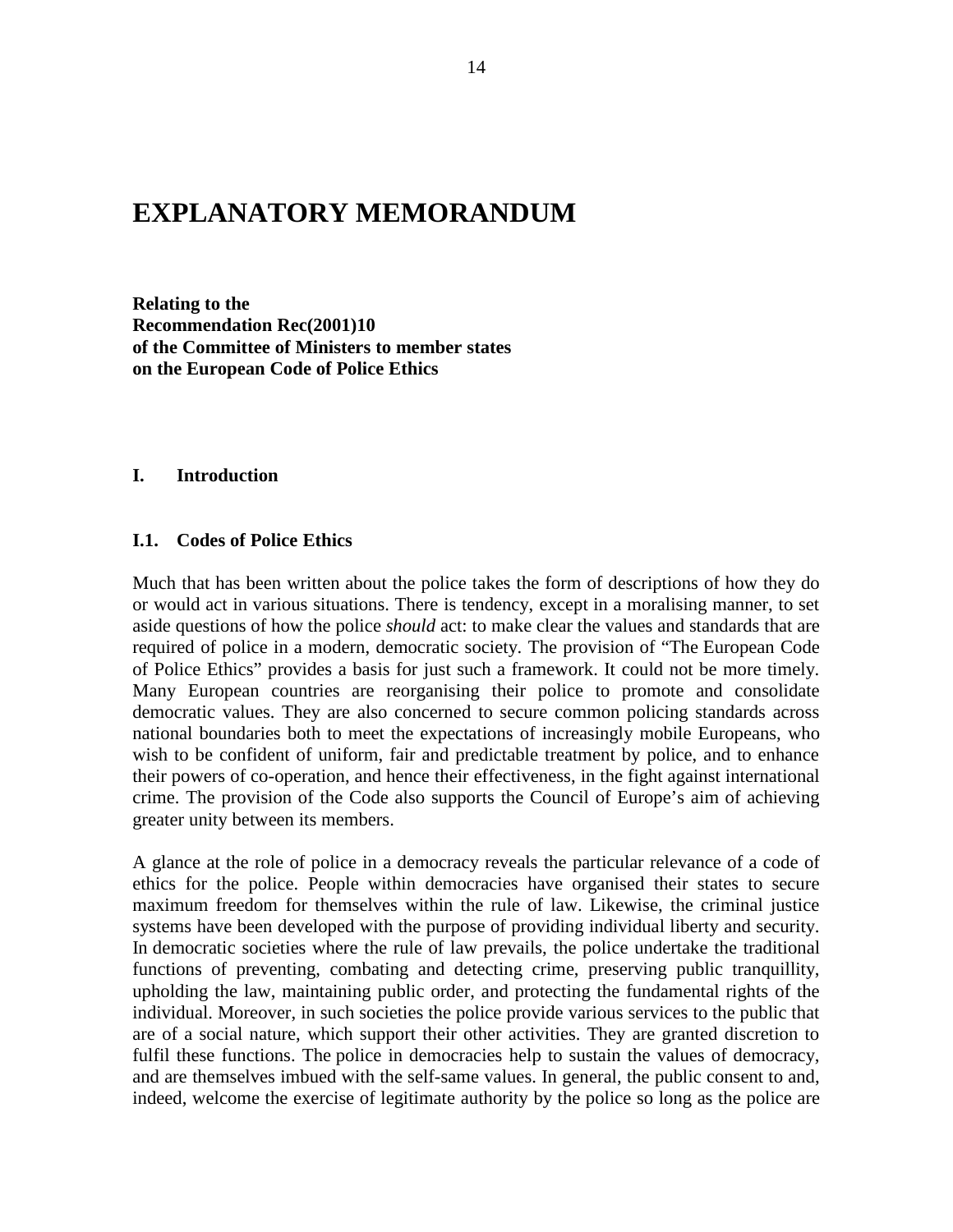## **EXPLANATORY MEMORANDUM**

**Relating to the Recommendation Rec(2001)10 of the Committee of Ministers to member states on the European Code of Police Ethics**

#### **I. Introduction**

#### **I.1. Codes of Police Ethics**

Much that has been written about the police takes the form of descriptions of how they do or would act in various situations. There is tendency, except in a moralising manner, to set aside questions of how the police *should* act: to make clear the values and standards that are required of police in a modern, democratic society. The provision of "The European Code of Police Ethics" provides a basis for just such a framework. It could not be more timely. Many European countries are reorganising their police to promote and consolidate democratic values. They are also concerned to secure common policing standards across national boundaries both to meet the expectations of increasingly mobile Europeans, who wish to be confident of uniform, fair and predictable treatment by police, and to enhance their powers of co-operation, and hence their effectiveness, in the fight against international crime. The provision of the Code also supports the Council of Europe's aim of achieving greater unity between its members.

A glance at the role of police in a democracy reveals the particular relevance of a code of ethics for the police. People within democracies have organised their states to secure maximum freedom for themselves within the rule of law. Likewise, the criminal justice systems have been developed with the purpose of providing individual liberty and security. In democratic societies where the rule of law prevails, the police undertake the traditional functions of preventing, combating and detecting crime, preserving public tranquillity, upholding the law, maintaining public order, and protecting the fundamental rights of the individual. Moreover, in such societies the police provide various services to the public that are of a social nature, which support their other activities. They are granted discretion to fulfil these functions. The police in democracies help to sustain the values of democracy, and are themselves imbued with the self-same values. In general, the public consent to and, indeed, welcome the exercise of legitimate authority by the police so long as the police are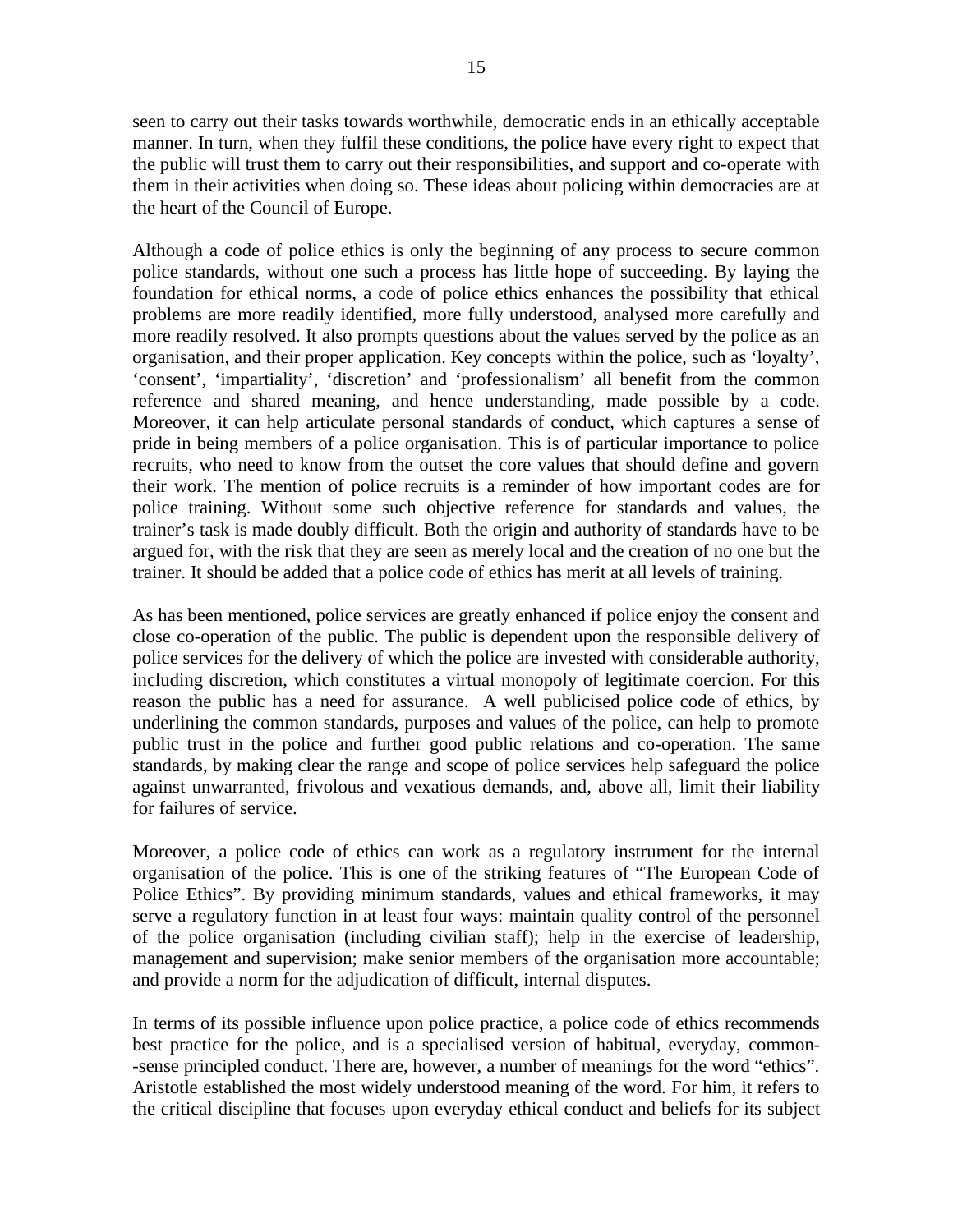seen to carry out their tasks towards worthwhile, democratic ends in an ethically acceptable manner. In turn, when they fulfil these conditions, the police have every right to expect that the public will trust them to carry out their responsibilities, and support and co-operate with them in their activities when doing so. These ideas about policing within democracies are at the heart of the Council of Europe.

Although a code of police ethics is only the beginning of any process to secure common police standards, without one such a process has little hope of succeeding. By laying the foundation for ethical norms, a code of police ethics enhances the possibility that ethical problems are more readily identified, more fully understood, analysed more carefully and more readily resolved. It also prompts questions about the values served by the police as an organisation, and their proper application. Key concepts within the police, such as 'loyalty', 'consent', 'impartiality', 'discretion' and 'professionalism' all benefit from the common reference and shared meaning, and hence understanding, made possible by a code. Moreover, it can help articulate personal standards of conduct, which captures a sense of pride in being members of a police organisation. This is of particular importance to police recruits, who need to know from the outset the core values that should define and govern their work. The mention of police recruits is a reminder of how important codes are for police training. Without some such objective reference for standards and values, the trainer's task is made doubly difficult. Both the origin and authority of standards have to be argued for, with the risk that they are seen as merely local and the creation of no one but the trainer. It should be added that a police code of ethics has merit at all levels of training.

As has been mentioned, police services are greatly enhanced if police enjoy the consent and close co-operation of the public. The public is dependent upon the responsible delivery of police services for the delivery of which the police are invested with considerable authority, including discretion, which constitutes a virtual monopoly of legitimate coercion. For this reason the public has a need for assurance. A well publicised police code of ethics, by underlining the common standards, purposes and values of the police, can help to promote public trust in the police and further good public relations and co-operation. The same standards, by making clear the range and scope of police services help safeguard the police against unwarranted, frivolous and vexatious demands, and, above all, limit their liability for failures of service.

Moreover, a police code of ethics can work as a regulatory instrument for the internal organisation of the police. This is one of the striking features of "The European Code of Police Ethics". By providing minimum standards, values and ethical frameworks, it may serve a regulatory function in at least four ways: maintain quality control of the personnel of the police organisation (including civilian staff); help in the exercise of leadership, management and supervision; make senior members of the organisation more accountable; and provide a norm for the adjudication of difficult, internal disputes.

In terms of its possible influence upon police practice, a police code of ethics recommends best practice for the police, and is a specialised version of habitual, everyday, common- -sense principled conduct. There are, however, a number of meanings for the word "ethics". Aristotle established the most widely understood meaning of the word. For him, it refers to the critical discipline that focuses upon everyday ethical conduct and beliefs for its subject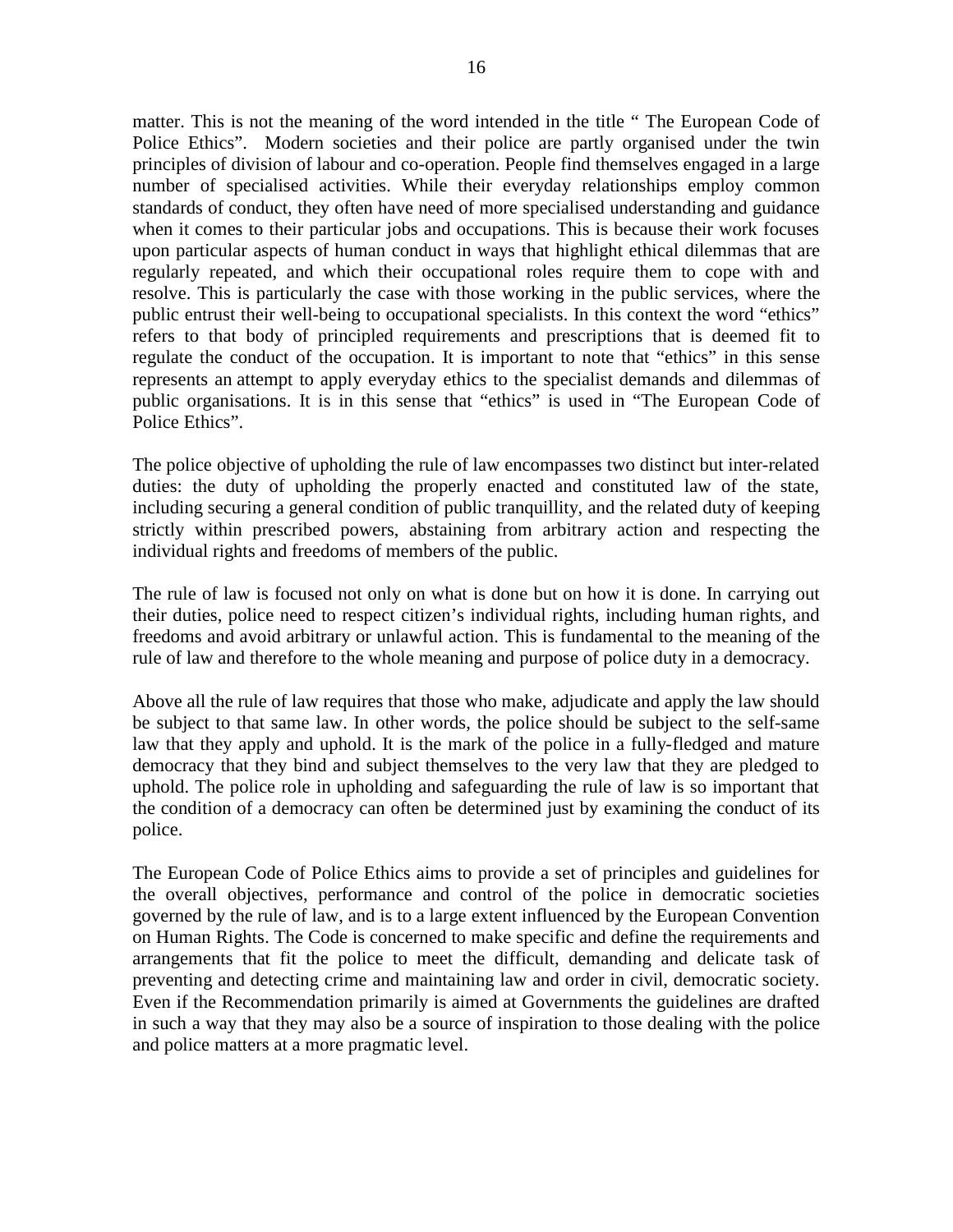matter. This is not the meaning of the word intended in the title " The European Code of Police Ethics". Modern societies and their police are partly organised under the twin principles of division of labour and co-operation. People find themselves engaged in a large number of specialised activities. While their everyday relationships employ common standards of conduct, they often have need of more specialised understanding and guidance when it comes to their particular jobs and occupations. This is because their work focuses upon particular aspects of human conduct in ways that highlight ethical dilemmas that are regularly repeated, and which their occupational roles require them to cope with and resolve. This is particularly the case with those working in the public services, where the public entrust their well-being to occupational specialists. In this context the word "ethics" refers to that body of principled requirements and prescriptions that is deemed fit to regulate the conduct of the occupation. It is important to note that "ethics" in this sense represents an attempt to apply everyday ethics to the specialist demands and dilemmas of public organisations. It is in this sense that "ethics" is used in "The European Code of Police Ethics".

The police objective of upholding the rule of law encompasses two distinct but inter-related duties: the duty of upholding the properly enacted and constituted law of the state, including securing a general condition of public tranquillity, and the related duty of keeping strictly within prescribed powers, abstaining from arbitrary action and respecting the individual rights and freedoms of members of the public.

The rule of law is focused not only on what is done but on how it is done. In carrying out their duties, police need to respect citizen's individual rights, including human rights, and freedoms and avoid arbitrary or unlawful action. This is fundamental to the meaning of the rule of law and therefore to the whole meaning and purpose of police duty in a democracy.

Above all the rule of law requires that those who make, adjudicate and apply the law should be subject to that same law. In other words, the police should be subject to the self-same law that they apply and uphold. It is the mark of the police in a fully-fledged and mature democracy that they bind and subject themselves to the very law that they are pledged to uphold. The police role in upholding and safeguarding the rule of law is so important that the condition of a democracy can often be determined just by examining the conduct of its police.

The European Code of Police Ethics aims to provide a set of principles and guidelines for the overall objectives, performance and control of the police in democratic societies governed by the rule of law, and is to a large extent influenced by the European Convention on Human Rights. The Code is concerned to make specific and define the requirements and arrangements that fit the police to meet the difficult, demanding and delicate task of preventing and detecting crime and maintaining law and order in civil, democratic society. Even if the Recommendation primarily is aimed at Governments the guidelines are drafted in such a way that they may also be a source of inspiration to those dealing with the police and police matters at a more pragmatic level.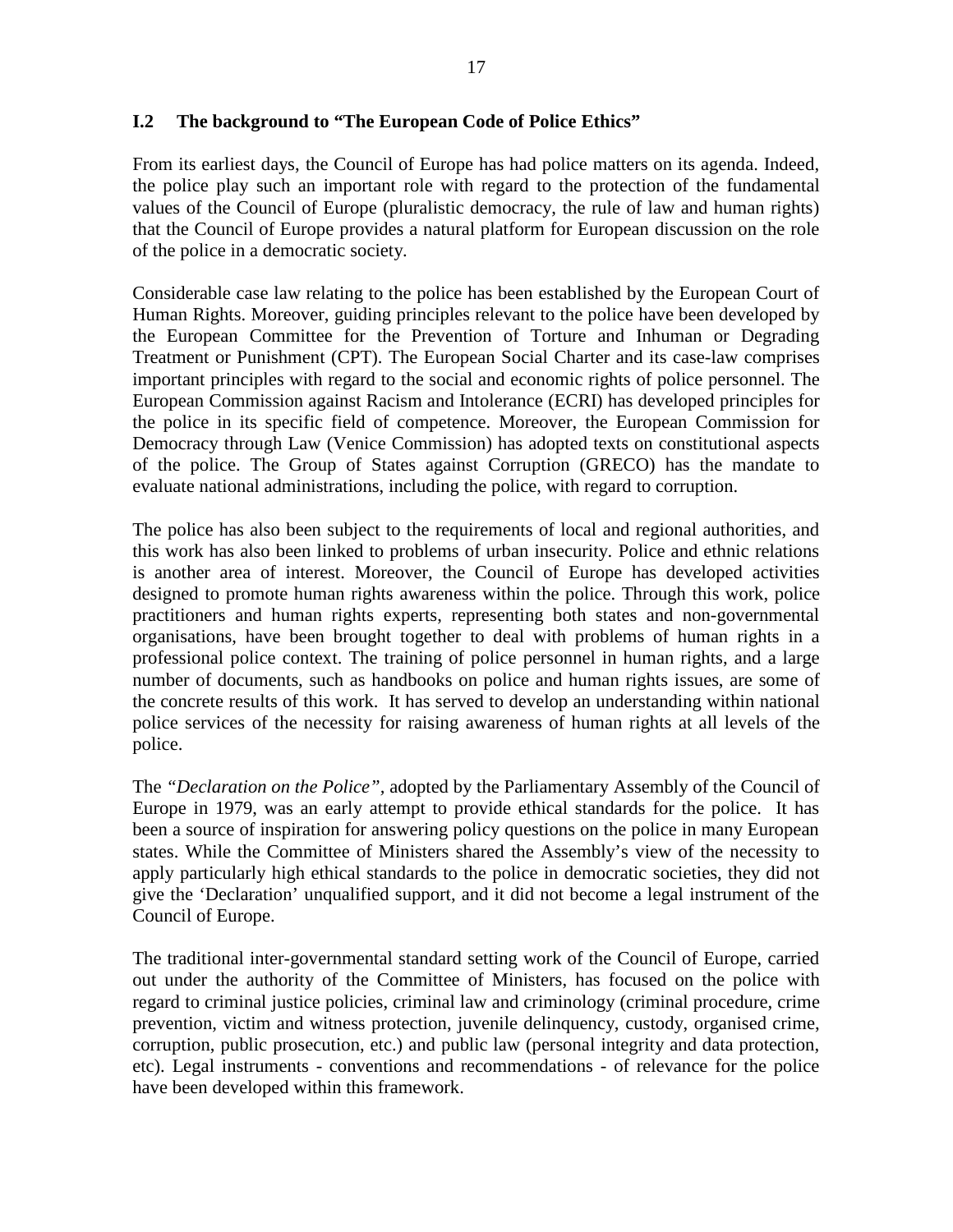#### **I.2 The background to "The European Code of Police Ethics"**

From its earliest days, the Council of Europe has had police matters on its agenda. Indeed, the police play such an important role with regard to the protection of the fundamental values of the Council of Europe (pluralistic democracy, the rule of law and human rights) that the Council of Europe provides a natural platform for European discussion on the role of the police in a democratic society.

Considerable case law relating to the police has been established by the European Court of Human Rights. Moreover, guiding principles relevant to the police have been developed by the European Committee for the Prevention of Torture and Inhuman or Degrading Treatment or Punishment (CPT). The European Social Charter and its case-law comprises important principles with regard to the social and economic rights of police personnel. The European Commission against Racism and Intolerance (ECRI) has developed principles for the police in its specific field of competence. Moreover, the European Commission for Democracy through Law (Venice Commission) has adopted texts on constitutional aspects of the police. The Group of States against Corruption (GRECO) has the mandate to evaluate national administrations, including the police, with regard to corruption.

The police has also been subject to the requirements of local and regional authorities, and this work has also been linked to problems of urban insecurity. Police and ethnic relations is another area of interest. Moreover, the Council of Europe has developed activities designed to promote human rights awareness within the police. Through this work, police practitioners and human rights experts, representing both states and non-governmental organisations, have been brought together to deal with problems of human rights in a professional police context. The training of police personnel in human rights, and a large number of documents, such as handbooks on police and human rights issues, are some of the concrete results of this work. It has served to develop an understanding within national police services of the necessity for raising awareness of human rights at all levels of the police.

The *"Declaration on the Police",* adopted by the Parliamentary Assembly of the Council of Europe in 1979, was an early attempt to provide ethical standards for the police. It has been a source of inspiration for answering policy questions on the police in many European states. While the Committee of Ministers shared the Assembly's view of the necessity to apply particularly high ethical standards to the police in democratic societies, they did not give the 'Declaration' unqualified support, and it did not become a legal instrument of the Council of Europe.

The traditional inter-governmental standard setting work of the Council of Europe, carried out under the authority of the Committee of Ministers, has focused on the police with regard to criminal justice policies, criminal law and criminology (criminal procedure, crime prevention, victim and witness protection, juvenile delinquency, custody, organised crime, corruption, public prosecution, etc.) and public law (personal integrity and data protection, etc). Legal instruments - conventions and recommendations - of relevance for the police have been developed within this framework.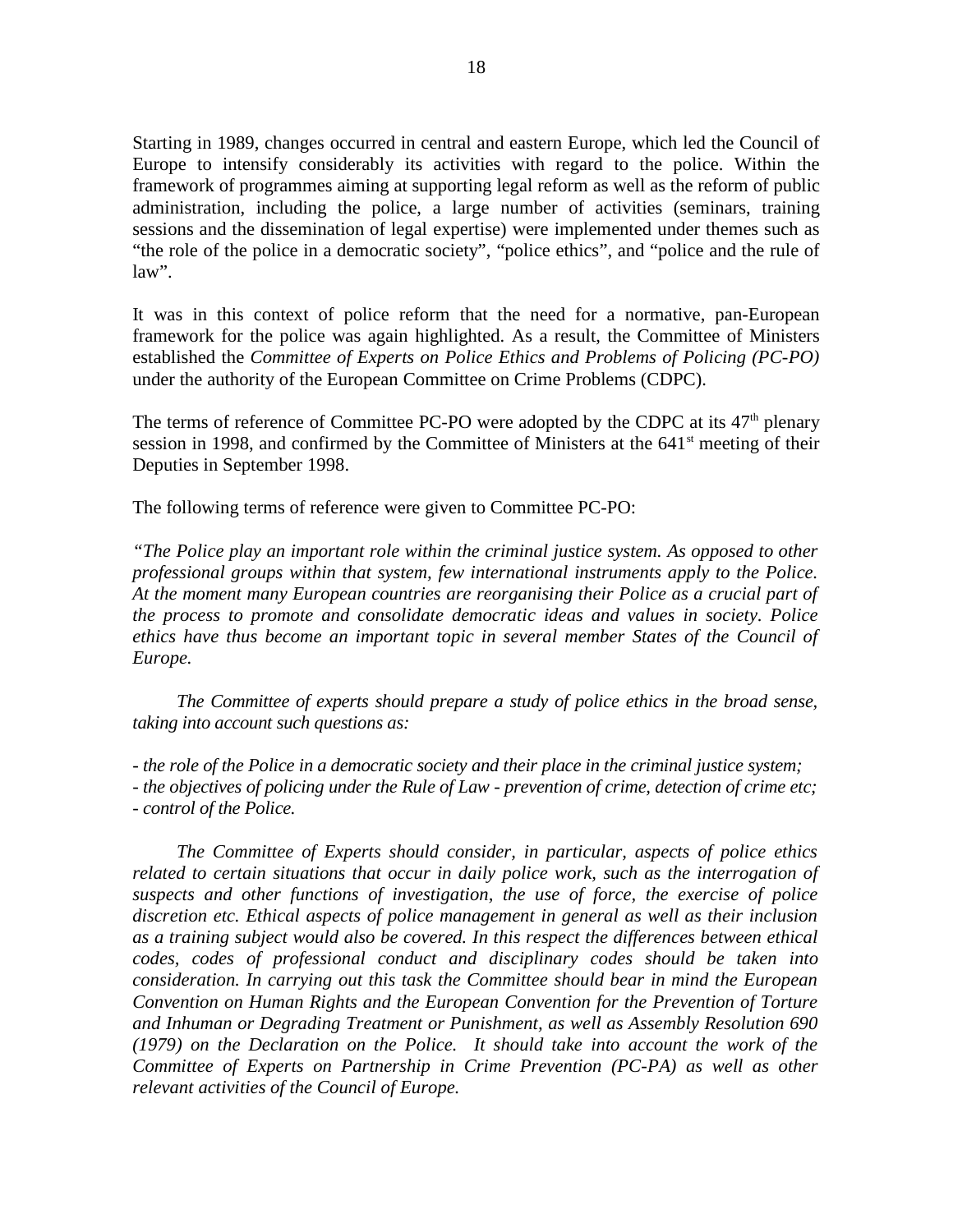Starting in 1989, changes occurred in central and eastern Europe, which led the Council of Europe to intensify considerably its activities with regard to the police. Within the framework of programmes aiming at supporting legal reform as well as the reform of public administration, including the police, a large number of activities (seminars, training sessions and the dissemination of legal expertise) were implemented under themes such as "the role of the police in a democratic society", "police ethics", and "police and the rule of law".

It was in this context of police reform that the need for a normative, pan-European framework for the police was again highlighted. As a result, the Committee of Ministers established the *Committee of Experts on Police Ethics and Problems of Policing (PC-PO)*  under the authority of the European Committee on Crime Problems (CDPC).

The terms of reference of Committee PC-PO were adopted by the CDPC at its  $47<sup>th</sup>$  plenary session in 1998, and confirmed by the Committee of Ministers at the  $641<sup>st</sup>$  meeting of their Deputies in September 1998.

The following terms of reference were given to Committee PC-PO:

*"The Police play an important role within the criminal justice system. As opposed to other professional groups within that system, few international instruments apply to the Police. At the moment many European countries are reorganising their Police as a crucial part of the process to promote and consolidate democratic ideas and values in society. Police ethics have thus become an important topic in several member States of the Council of Europe.*

*The Committee of experts should prepare a study of police ethics in the broad sense, taking into account such questions as:*

*- the role of the Police in a democratic society and their place in the criminal justice system;*

*- the objectives of policing under the Rule of Law - prevention of crime, detection of crime etc; - control of the Police.*

*The Committee of Experts should consider, in particular, aspects of police ethics related to certain situations that occur in daily police work, such as the interrogation of suspects and other functions of investigation, the use of force, the exercise of police discretion etc. Ethical aspects of police management in general as well as their inclusion as a training subject would also be covered. In this respect the differences between ethical codes, codes of professional conduct and disciplinary codes should be taken into consideration. In carrying out this task the Committee should bear in mind the European Convention on Human Rights and the European Convention for the Prevention of Torture and Inhuman or Degrading Treatment or Punishment, as well as Assembly Resolution 690 (1979) on the Declaration on the Police. It should take into account the work of the Committee of Experts on Partnership in Crime Prevention (PC-PA) as well as other relevant activities of the Council of Europe.*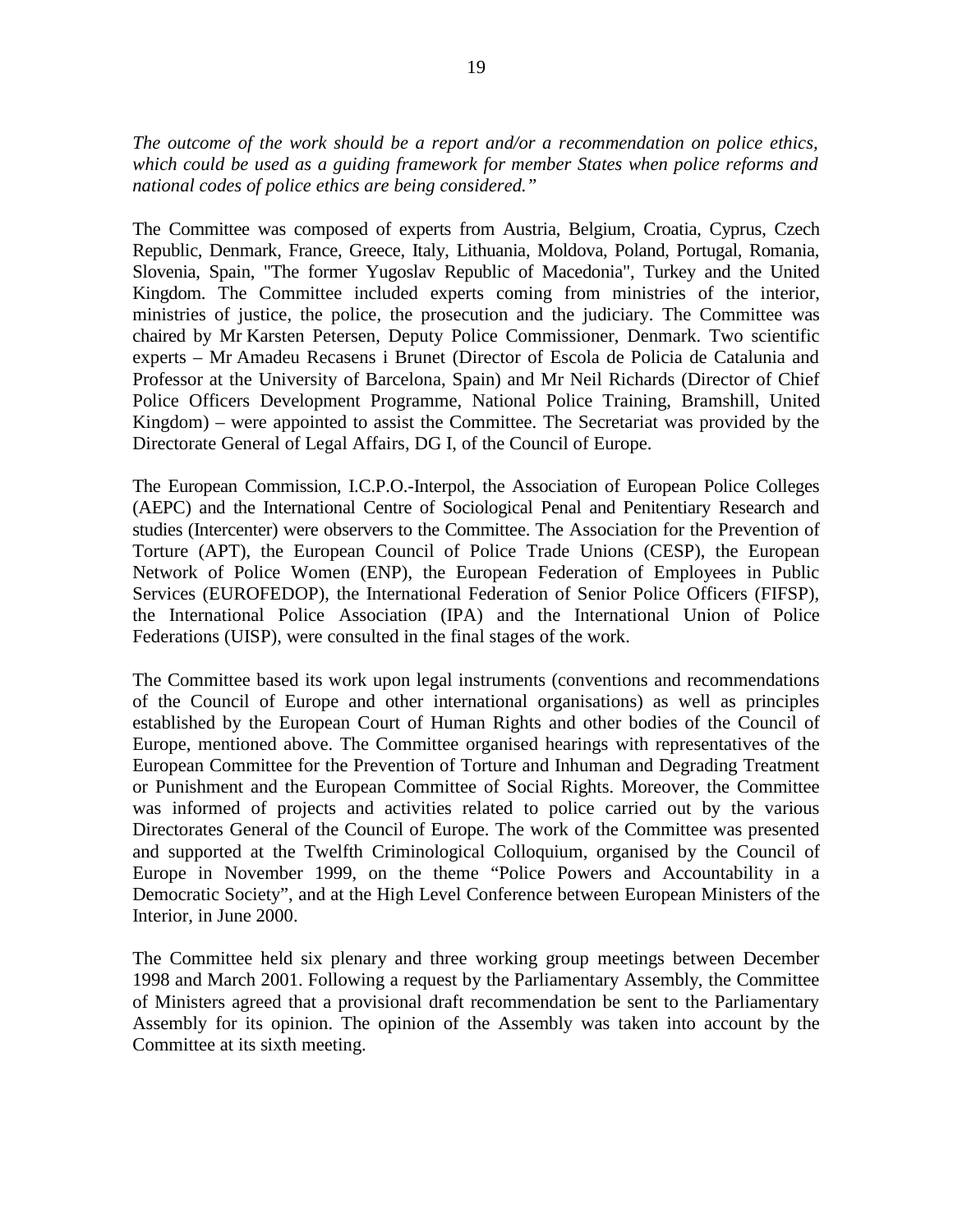*The outcome of the work should be a report and/or a recommendation on police ethics, which could be used as a guiding framework for member States when police reforms and national codes of police ethics are being considered."*

The Committee was composed of experts from Austria, Belgium, Croatia, Cyprus, Czech Republic, Denmark, France, Greece, Italy, Lithuania, Moldova, Poland, Portugal, Romania, Slovenia, Spain, "The former Yugoslav Republic of Macedonia", Turkey and the United Kingdom. The Committee included experts coming from ministries of the interior, ministries of justice, the police, the prosecution and the judiciary. The Committee was chaired by Mr Karsten Petersen, Deputy Police Commissioner, Denmark. Two scientific experts – Mr Amadeu Recasens i Brunet (Director of Escola de Policia de Catalunia and Professor at the University of Barcelona, Spain) and Mr Neil Richards (Director of Chief Police Officers Development Programme, National Police Training, Bramshill, United Kingdom) – were appointed to assist the Committee. The Secretariat was provided by the Directorate General of Legal Affairs, DG I, of the Council of Europe.

The European Commission, I.C.P.O.-Interpol, the Association of European Police Colleges (AEPC) and the International Centre of Sociological Penal and Penitentiary Research and studies (Intercenter) were observers to the Committee. The Association for the Prevention of Torture (APT), the European Council of Police Trade Unions (CESP), the European Network of Police Women (ENP), the European Federation of Employees in Public Services (EUROFEDOP), the International Federation of Senior Police Officers (FIFSP), the International Police Association (IPA) and the International Union of Police Federations (UISP), were consulted in the final stages of the work.

The Committee based its work upon legal instruments (conventions and recommendations of the Council of Europe and other international organisations) as well as principles established by the European Court of Human Rights and other bodies of the Council of Europe, mentioned above. The Committee organised hearings with representatives of the European Committee for the Prevention of Torture and Inhuman and Degrading Treatment or Punishment and the European Committee of Social Rights. Moreover, the Committee was informed of projects and activities related to police carried out by the various Directorates General of the Council of Europe. The work of the Committee was presented and supported at the Twelfth Criminological Colloquium, organised by the Council of Europe in November 1999, on the theme "Police Powers and Accountability in a Democratic Society", and at the High Level Conference between European Ministers of the Interior, in June 2000.

The Committee held six plenary and three working group meetings between December 1998 and March 2001. Following a request by the Parliamentary Assembly, the Committee of Ministers agreed that a provisional draft recommendation be sent to the Parliamentary Assembly for its opinion. The opinion of the Assembly was taken into account by the Committee at its sixth meeting.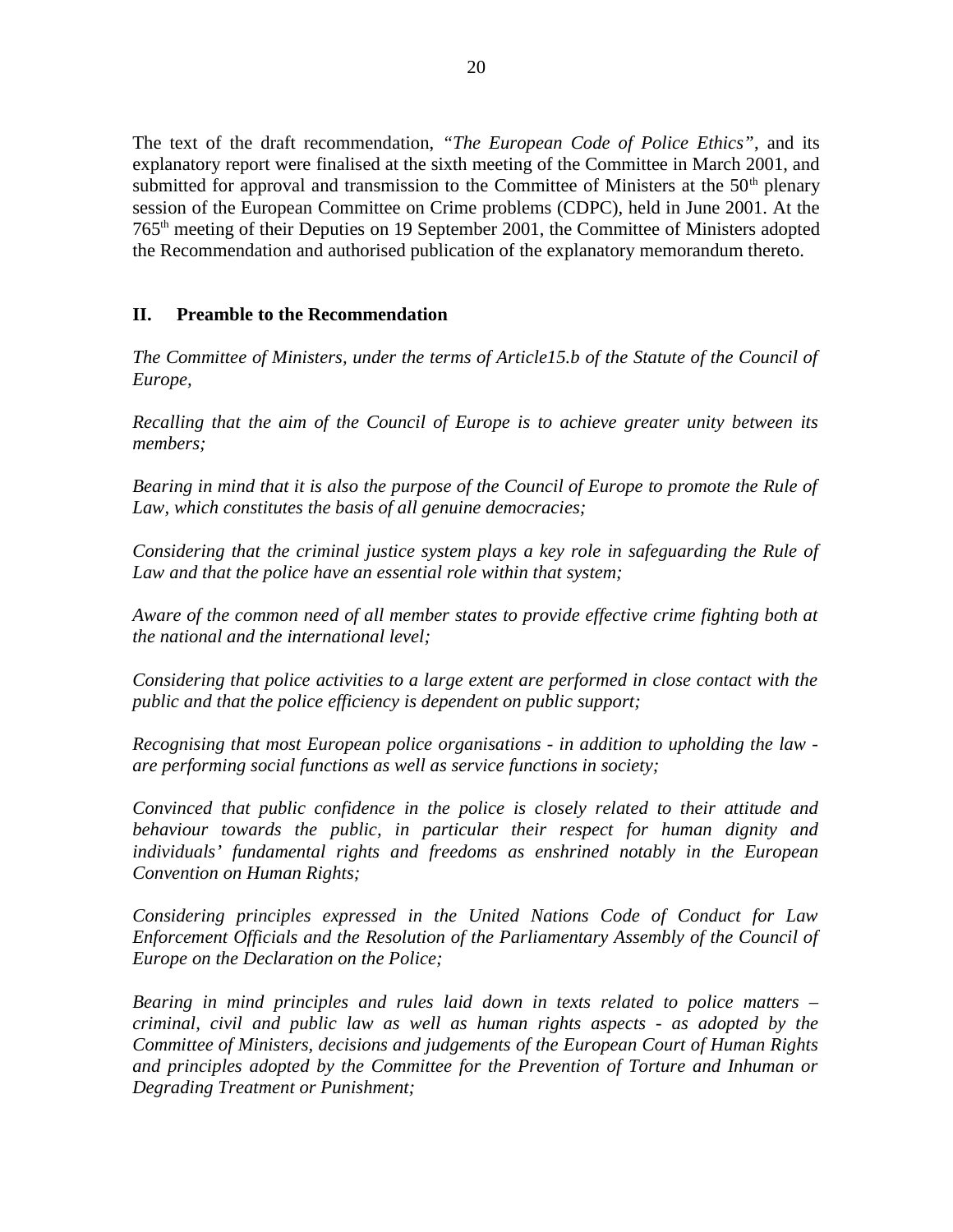The text of the draft recommendation, *"The European Code of Police Ethics"*, and its explanatory report were finalised at the sixth meeting of the Committee in March 2001, and submitted for approval and transmission to the Committee of Ministers at the  $50<sup>th</sup>$  plenary session of the European Committee on Crime problems (CDPC), held in June 2001. At the 765th meeting of their Deputies on 19 September 2001, the Committee of Ministers adopted the Recommendation and authorised publication of the explanatory memorandum thereto.

#### **II. Preamble to the Recommendation**

*The Committee of Ministers, under the terms of Article15.b of the Statute of the Council of Europe,*

*Recalling that the aim of the Council of Europe is to achieve greater unity between its members;*

*Bearing in mind that it is also the purpose of the Council of Europe to promote the Rule of Law, which constitutes the basis of all genuine democracies;*

*Considering that the criminal justice system plays a key role in safeguarding the Rule of Law and that the police have an essential role within that system;*

*Aware of the common need of all member states to provide effective crime fighting both at the national and the international level;*

*Considering that police activities to a large extent are performed in close contact with the public and that the police efficiency is dependent on public support;*

*Recognising that most European police organisations - in addition to upholding the law are performing social functions as well as service functions in society;*

*Convinced that public confidence in the police is closely related to their attitude and behaviour towards the public, in particular their respect for human dignity and individuals' fundamental rights and freedoms as enshrined notably in the European Convention on Human Rights;*

*Considering principles expressed in the United Nations Code of Conduct for Law Enforcement Officials and the Resolution of the Parliamentary Assembly of the Council of Europe on the Declaration on the Police;*

*Bearing in mind principles and rules laid down in texts related to police matters – criminal, civil and public law as well as human rights aspects - as adopted by the Committee of Ministers, decisions and judgements of the European Court of Human Rights and principles adopted by the Committee for the Prevention of Torture and Inhuman or Degrading Treatment or Punishment;*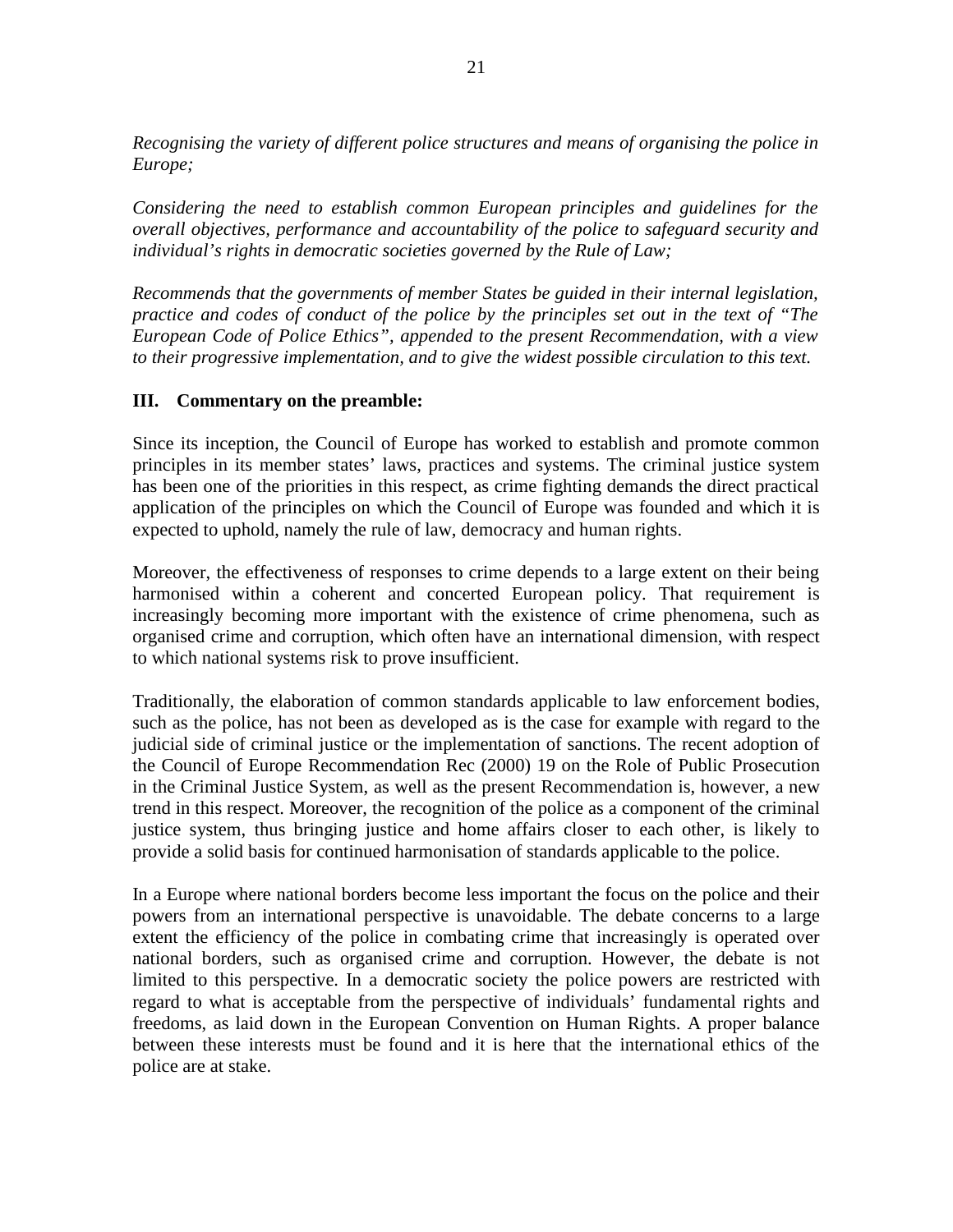*Recognising the variety of different police structures and means of organising the police in Europe;*

*Considering the need to establish common European principles and guidelines for the overall objectives, performance and accountability of the police to safeguard security and individual's rights in democratic societies governed by the Rule of Law;*

*Recommends that the governments of member States be guided in their internal legislation, practice and codes of conduct of the police by the principles set out in the text of "The European Code of Police Ethics", appended to the present Recommendation, with a view to their progressive implementation, and to give the widest possible circulation to this text.* 

## **III. Commentary on the preamble:**

Since its inception, the Council of Europe has worked to establish and promote common principles in its member states' laws, practices and systems. The criminal justice system has been one of the priorities in this respect, as crime fighting demands the direct practical application of the principles on which the Council of Europe was founded and which it is expected to uphold, namely the rule of law, democracy and human rights.

Moreover, the effectiveness of responses to crime depends to a large extent on their being harmonised within a coherent and concerted European policy. That requirement is increasingly becoming more important with the existence of crime phenomena, such as organised crime and corruption, which often have an international dimension, with respect to which national systems risk to prove insufficient.

Traditionally, the elaboration of common standards applicable to law enforcement bodies, such as the police, has not been as developed as is the case for example with regard to the judicial side of criminal justice or the implementation of sanctions. The recent adoption of the Council of Europe Recommendation Rec (2000) 19 on the Role of Public Prosecution in the Criminal Justice System, as well as the present Recommendation is, however, a new trend in this respect. Moreover, the recognition of the police as a component of the criminal justice system, thus bringing justice and home affairs closer to each other, is likely to provide a solid basis for continued harmonisation of standards applicable to the police.

In a Europe where national borders become less important the focus on the police and their powers from an international perspective is unavoidable. The debate concerns to a large extent the efficiency of the police in combating crime that increasingly is operated over national borders, such as organised crime and corruption. However, the debate is not limited to this perspective. In a democratic society the police powers are restricted with regard to what is acceptable from the perspective of individuals' fundamental rights and freedoms, as laid down in the European Convention on Human Rights. A proper balance between these interests must be found and it is here that the international ethics of the police are at stake.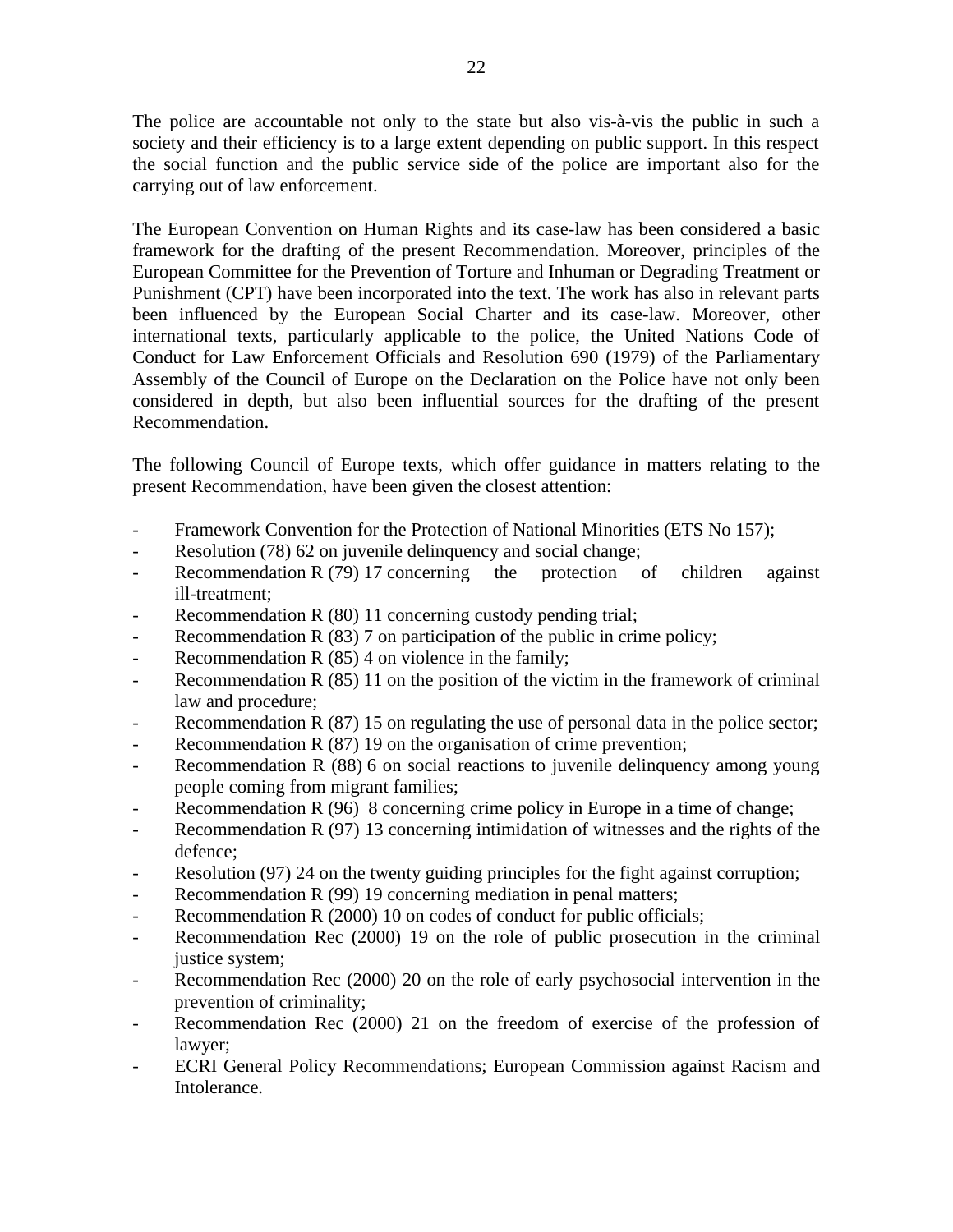The police are accountable not only to the state but also vis-à-vis the public in such a society and their efficiency is to a large extent depending on public support. In this respect the social function and the public service side of the police are important also for the carrying out of law enforcement.

The European Convention on Human Rights and its case-law has been considered a basic framework for the drafting of the present Recommendation. Moreover, principles of the European Committee for the Prevention of Torture and Inhuman or Degrading Treatment or Punishment (CPT) have been incorporated into the text. The work has also in relevant parts been influenced by the European Social Charter and its case-law. Moreover, other international texts, particularly applicable to the police, the United Nations Code of Conduct for Law Enforcement Officials and Resolution 690 (1979) of the Parliamentary Assembly of the Council of Europe on the Declaration on the Police have not only been considered in depth, but also been influential sources for the drafting of the present Recommendation.

The following Council of Europe texts, which offer guidance in matters relating to the present Recommendation, have been given the closest attention:

- Framework Convention for the Protection of National Minorities (ETS No 157);
- Resolution (78) 62 on juvenile delinquency and social change;
- Recommendation R  $(79)$  17 concerning the protection of children against ill-treatment;
- Recommendation  $R(80)$  11 concerning custody pending trial;
- Recommendation R  $(83)$  7 on participation of the public in crime policy;
- Recommendation R  $(85)$  4 on violence in the family;
- Recommendation R  $(85)$  11 on the position of the victim in the framework of criminal law and procedure;
- Recommendation R  $(87)$  15 on regulating the use of personal data in the police sector;
- Recommendation R  $(87)$  19 on the organisation of crime prevention;
- Recommendation R (88) 6 on social reactions to juvenile delinquency among young people coming from migrant families;
- Recommendation R (96) 8 concerning crime policy in Europe in a time of change;
- Recommendation R  $(97)$  13 concerning intimidation of witnesses and the rights of the defence;
- Resolution (97) 24 on the twenty guiding principles for the fight against corruption;
- Recommendation R (99) 19 concerning mediation in penal matters;
- Recommendation R (2000) 10 on codes of conduct for public officials;
- Recommendation Rec (2000) 19 on the role of public prosecution in the criminal justice system;
- Recommendation Rec (2000) 20 on the role of early psychosocial intervention in the prevention of criminality;
- Recommendation Rec (2000) 21 on the freedom of exercise of the profession of lawyer;
- ECRI General Policy Recommendations; European Commission against Racism and Intolerance.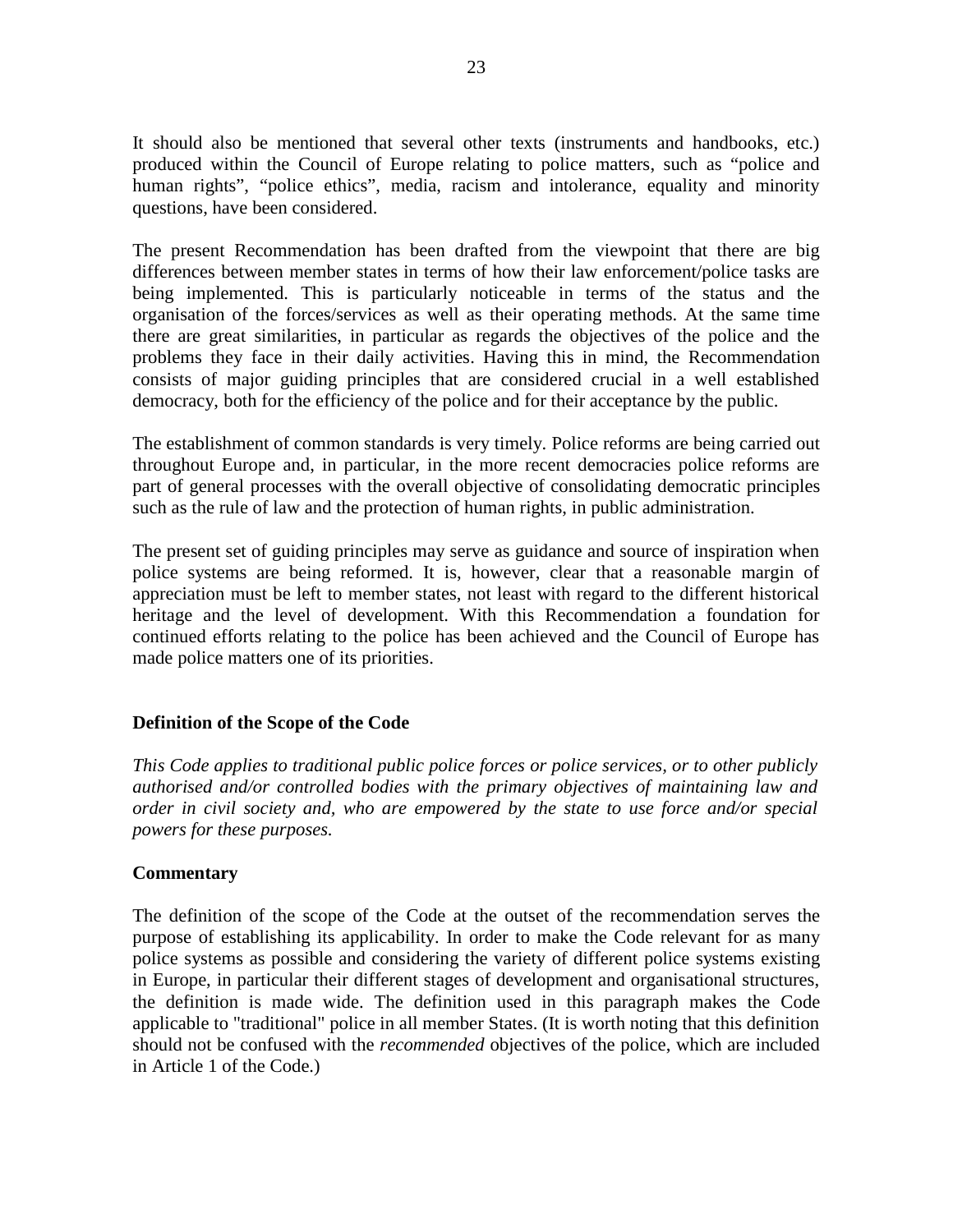It should also be mentioned that several other texts (instruments and handbooks, etc.) produced within the Council of Europe relating to police matters, such as "police and human rights", "police ethics", media, racism and intolerance, equality and minority questions, have been considered.

The present Recommendation has been drafted from the viewpoint that there are big differences between member states in terms of how their law enforcement/police tasks are being implemented. This is particularly noticeable in terms of the status and the organisation of the forces/services as well as their operating methods. At the same time there are great similarities, in particular as regards the objectives of the police and the problems they face in their daily activities. Having this in mind, the Recommendation consists of major guiding principles that are considered crucial in a well established democracy, both for the efficiency of the police and for their acceptance by the public.

The establishment of common standards is very timely. Police reforms are being carried out throughout Europe and, in particular, in the more recent democracies police reforms are part of general processes with the overall objective of consolidating democratic principles such as the rule of law and the protection of human rights, in public administration.

The present set of guiding principles may serve as guidance and source of inspiration when police systems are being reformed. It is, however, clear that a reasonable margin of appreciation must be left to member states, not least with regard to the different historical heritage and the level of development. With this Recommendation a foundation for continued efforts relating to the police has been achieved and the Council of Europe has made police matters one of its priorities.

## **Definition of the Scope of the Code**

*This Code applies to traditional public police forces or police services, or to other publicly authorised and/or controlled bodies with the primary objectives of maintaining law and order in civil society and, who are empowered by the state to use force and/or special powers for these purposes.*

#### **Commentary**

The definition of the scope of the Code at the outset of the recommendation serves the purpose of establishing its applicability. In order to make the Code relevant for as many police systems as possible and considering the variety of different police systems existing in Europe, in particular their different stages of development and organisational structures, the definition is made wide. The definition used in this paragraph makes the Code applicable to "traditional" police in all member States. (It is worth noting that this definition should not be confused with the *recommended* objectives of the police, which are included in Article 1 of the Code.)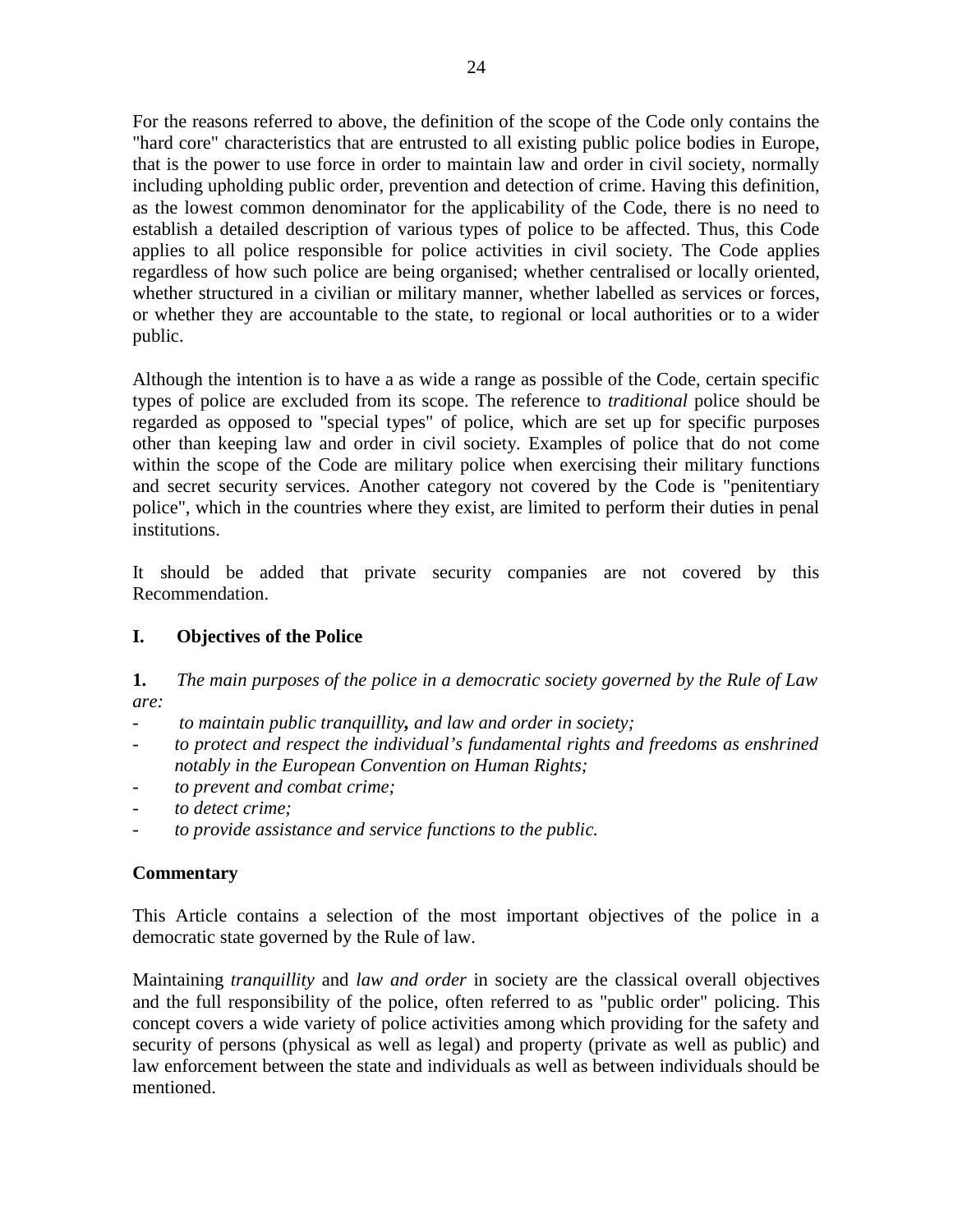For the reasons referred to above, the definition of the scope of the Code only contains the "hard core" characteristics that are entrusted to all existing public police bodies in Europe, that is the power to use force in order to maintain law and order in civil society, normally including upholding public order, prevention and detection of crime. Having this definition, as the lowest common denominator for the applicability of the Code, there is no need to establish a detailed description of various types of police to be affected. Thus, this Code applies to all police responsible for police activities in civil society. The Code applies regardless of how such police are being organised; whether centralised or locally oriented, whether structured in a civilian or military manner, whether labelled as services or forces, or whether they are accountable to the state, to regional or local authorities or to a wider public.

Although the intention is to have a as wide a range as possible of the Code, certain specific types of police are excluded from its scope. The reference to *traditional* police should be regarded as opposed to "special types" of police, which are set up for specific purposes other than keeping law and order in civil society. Examples of police that do not come within the scope of the Code are military police when exercising their military functions and secret security services. Another category not covered by the Code is "penitentiary police", which in the countries where they exist, are limited to perform their duties in penal institutions.

It should be added that private security companies are not covered by this Recommendation.

## **I. Objectives of the Police**

**1.** *The main purposes of the police in a democratic society governed by the Rule of Law are:*

- *to maintain public tranquillity, and law and order in society;*
- to protect and respect the individual's fundamental rights and freedoms as enshrined *notably in the European Convention on Human Rights;*
- *to prevent and combat crime;*
- *to detect crime;*
- *to provide assistance and service functions to the public.*

#### **Commentary**

This Article contains a selection of the most important objectives of the police in a democratic state governed by the Rule of law.

Maintaining *tranquillity* and *law and order* in society are the classical overall objectives and the full responsibility of the police, often referred to as "public order" policing. This concept covers a wide variety of police activities among which providing for the safety and security of persons (physical as well as legal) and property (private as well as public) and law enforcement between the state and individuals as well as between individuals should be mentioned.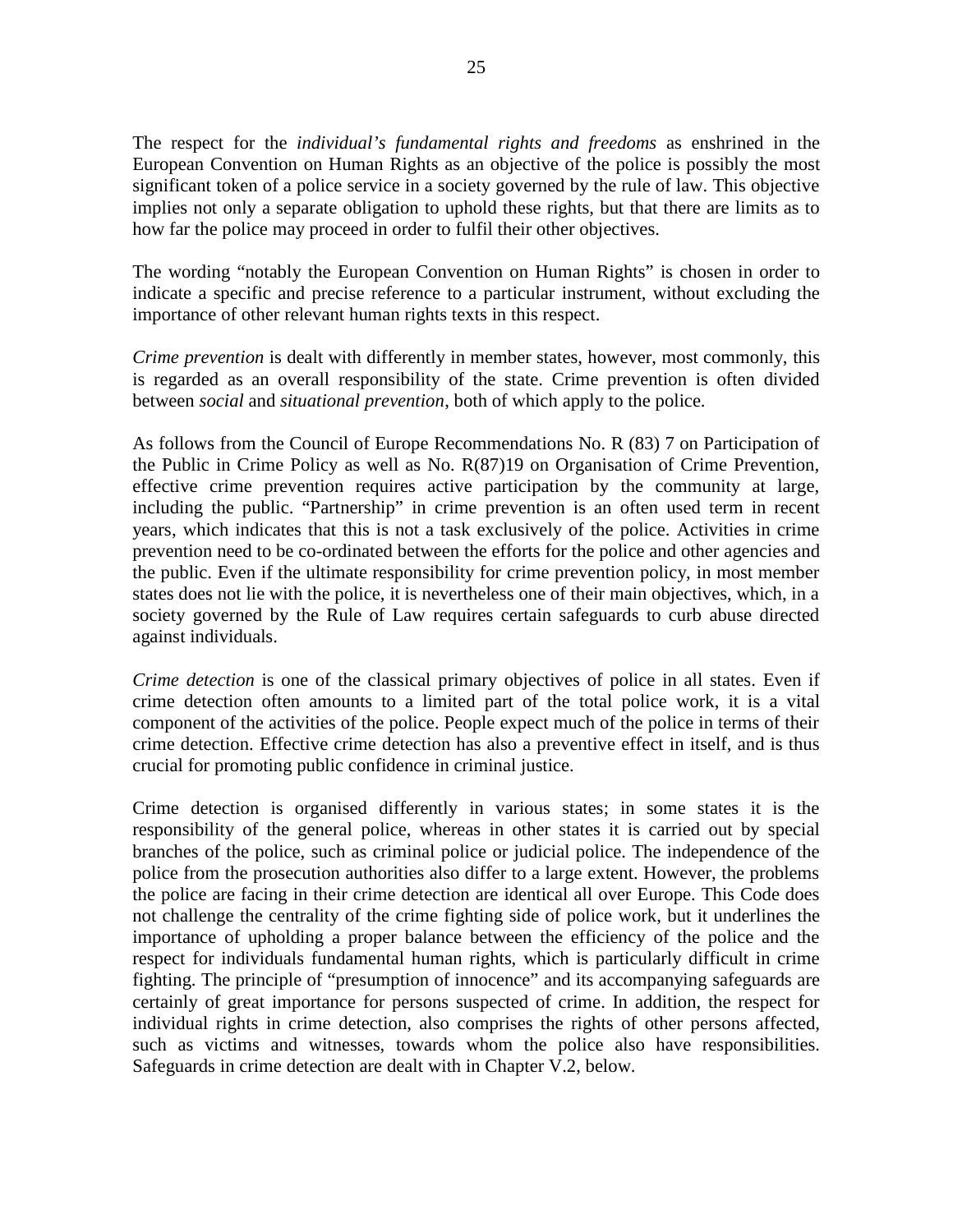The respect for the *individual's fundamental rights and freedoms* as enshrined in the European Convention on Human Rights as an objective of the police is possibly the most significant token of a police service in a society governed by the rule of law. This objective implies not only a separate obligation to uphold these rights, but that there are limits as to how far the police may proceed in order to fulfil their other objectives.

The wording "notably the European Convention on Human Rights" is chosen in order to indicate a specific and precise reference to a particular instrument, without excluding the importance of other relevant human rights texts in this respect.

*Crime prevention* is dealt with differently in member states, however, most commonly, this is regarded as an overall responsibility of the state. Crime prevention is often divided between *social* and *situational prevention*, both of which apply to the police.

As follows from the Council of Europe Recommendations No. R (83) 7 on Participation of the Public in Crime Policy as well as No. R(87)19 on Organisation of Crime Prevention, effective crime prevention requires active participation by the community at large, including the public. "Partnership" in crime prevention is an often used term in recent years, which indicates that this is not a task exclusively of the police. Activities in crime prevention need to be co-ordinated between the efforts for the police and other agencies and the public. Even if the ultimate responsibility for crime prevention policy, in most member states does not lie with the police, it is nevertheless one of their main objectives, which, in a society governed by the Rule of Law requires certain safeguards to curb abuse directed against individuals.

*Crime detection* is one of the classical primary objectives of police in all states. Even if crime detection often amounts to a limited part of the total police work, it is a vital component of the activities of the police. People expect much of the police in terms of their crime detection. Effective crime detection has also a preventive effect in itself, and is thus crucial for promoting public confidence in criminal justice.

Crime detection is organised differently in various states; in some states it is the responsibility of the general police, whereas in other states it is carried out by special branches of the police, such as criminal police or judicial police. The independence of the police from the prosecution authorities also differ to a large extent. However, the problems the police are facing in their crime detection are identical all over Europe. This Code does not challenge the centrality of the crime fighting side of police work, but it underlines the importance of upholding a proper balance between the efficiency of the police and the respect for individuals fundamental human rights, which is particularly difficult in crime fighting. The principle of "presumption of innocence" and its accompanying safeguards are certainly of great importance for persons suspected of crime. In addition, the respect for individual rights in crime detection, also comprises the rights of other persons affected, such as victims and witnesses, towards whom the police also have responsibilities. Safeguards in crime detection are dealt with in Chapter V.2, below.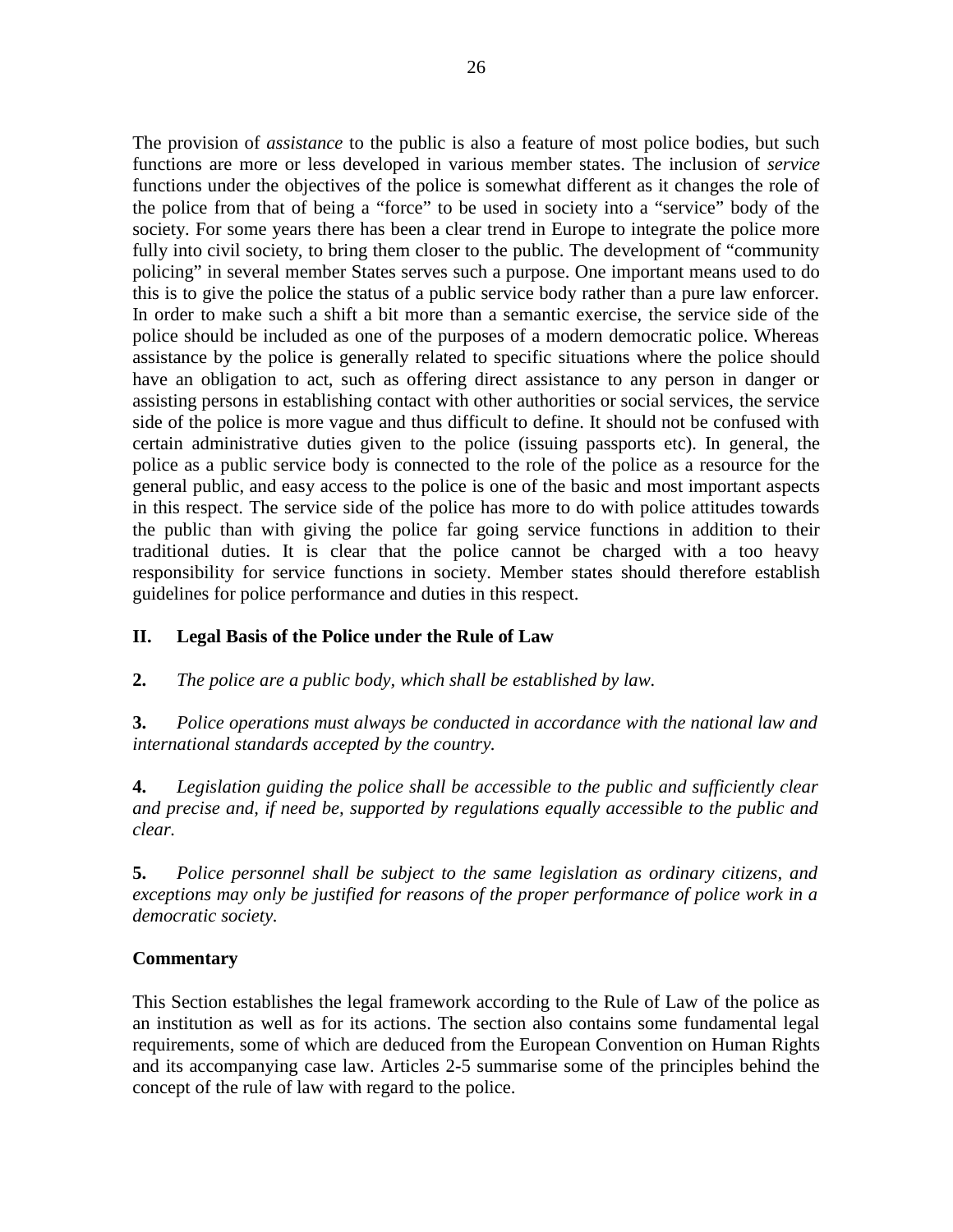The provision of *assistance* to the public is also a feature of most police bodies, but such functions are more or less developed in various member states. The inclusion of *service*  functions under the objectives of the police is somewhat different as it changes the role of the police from that of being a "force" to be used in society into a "service" body of the society. For some years there has been a clear trend in Europe to integrate the police more fully into civil society, to bring them closer to the public. The development of "community policing" in several member States serves such a purpose. One important means used to do this is to give the police the status of a public service body rather than a pure law enforcer. In order to make such a shift a bit more than a semantic exercise, the service side of the police should be included as one of the purposes of a modern democratic police. Whereas assistance by the police is generally related to specific situations where the police should have an obligation to act, such as offering direct assistance to any person in danger or assisting persons in establishing contact with other authorities or social services, the service side of the police is more vague and thus difficult to define. It should not be confused with certain administrative duties given to the police (issuing passports etc). In general, the police as a public service body is connected to the role of the police as a resource for the general public, and easy access to the police is one of the basic and most important aspects in this respect. The service side of the police has more to do with police attitudes towards the public than with giving the police far going service functions in addition to their traditional duties. It is clear that the police cannot be charged with a too heavy responsibility for service functions in society. Member states should therefore establish guidelines for police performance and duties in this respect.

## **II. Legal Basis of the Police under the Rule of Law**

**2.** *The police are a public body, which shall be established by law.*

**3.** *Police operations must always be conducted in accordance with the national law and international standards accepted by the country.*

**4.** *Legislation guiding the police shall be accessible to the public and sufficiently clear and precise and, if need be, supported by regulations equally accessible to the public and clear.*

**5.** *Police personnel shall be subject to the same legislation as ordinary citizens, and exceptions may only be justified for reasons of the proper performance of police work in a democratic society.*

#### **Commentary**

This Section establishes the legal framework according to the Rule of Law of the police as an institution as well as for its actions. The section also contains some fundamental legal requirements, some of which are deduced from the European Convention on Human Rights and its accompanying case law. Articles 2-5 summarise some of the principles behind the concept of the rule of law with regard to the police.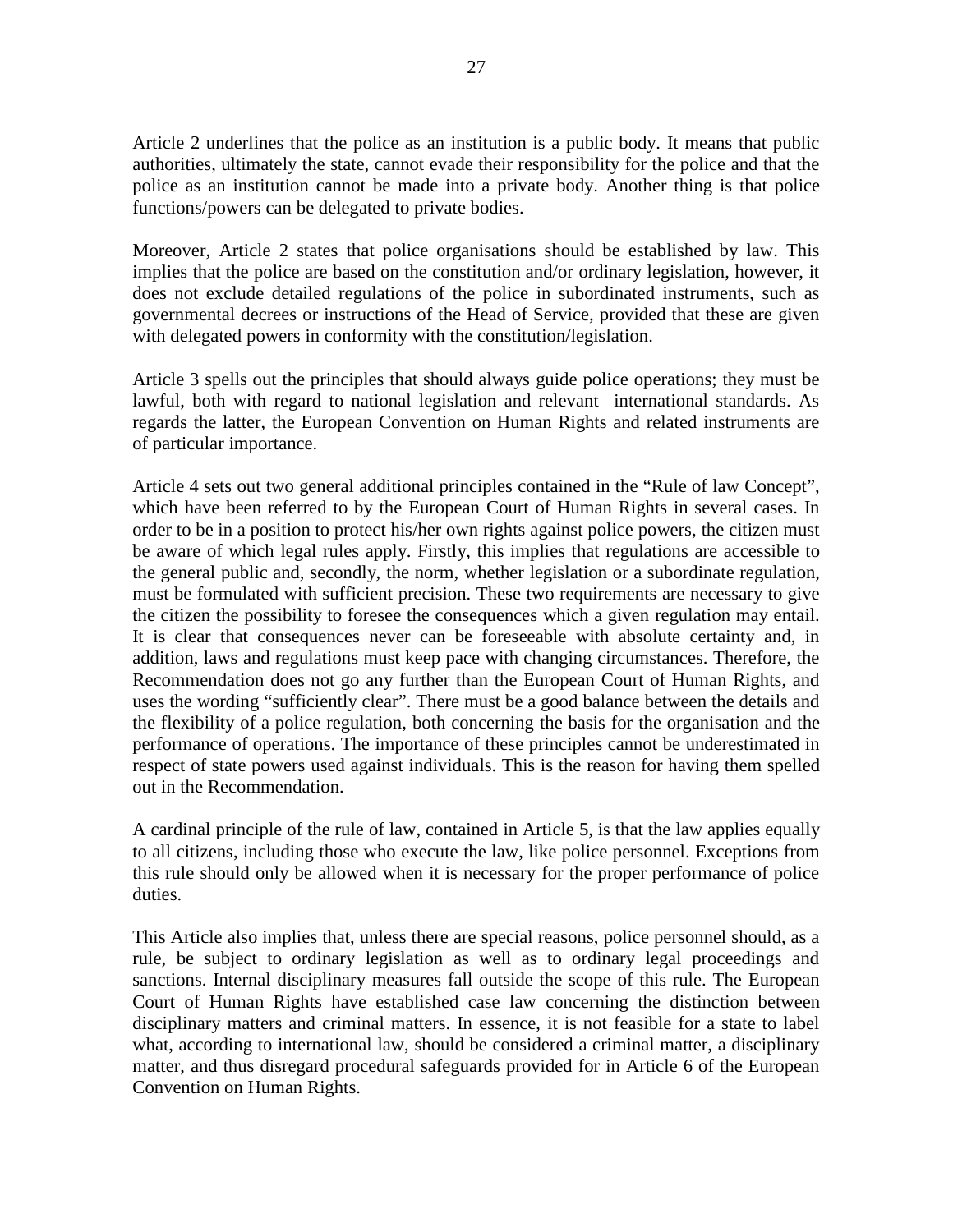Article 2 underlines that the police as an institution is a public body. It means that public authorities, ultimately the state, cannot evade their responsibility for the police and that the police as an institution cannot be made into a private body. Another thing is that police functions/powers can be delegated to private bodies.

Moreover, Article 2 states that police organisations should be established by law. This implies that the police are based on the constitution and/or ordinary legislation, however, it does not exclude detailed regulations of the police in subordinated instruments, such as governmental decrees or instructions of the Head of Service, provided that these are given with delegated powers in conformity with the constitution/legislation.

Article 3 spells out the principles that should always guide police operations; they must be lawful, both with regard to national legislation and relevant international standards. As regards the latter, the European Convention on Human Rights and related instruments are of particular importance.

Article 4 sets out two general additional principles contained in the "Rule of law Concept", which have been referred to by the European Court of Human Rights in several cases. In order to be in a position to protect his/her own rights against police powers, the citizen must be aware of which legal rules apply. Firstly, this implies that regulations are accessible to the general public and, secondly, the norm, whether legislation or a subordinate regulation, must be formulated with sufficient precision. These two requirements are necessary to give the citizen the possibility to foresee the consequences which a given regulation may entail. It is clear that consequences never can be foreseeable with absolute certainty and, in addition, laws and regulations must keep pace with changing circumstances. Therefore, the Recommendation does not go any further than the European Court of Human Rights, and uses the wording "sufficiently clear". There must be a good balance between the details and the flexibility of a police regulation, both concerning the basis for the organisation and the performance of operations. The importance of these principles cannot be underestimated in respect of state powers used against individuals. This is the reason for having them spelled out in the Recommendation.

A cardinal principle of the rule of law, contained in Article 5, is that the law applies equally to all citizens, including those who execute the law, like police personnel. Exceptions from this rule should only be allowed when it is necessary for the proper performance of police duties.

This Article also implies that, unless there are special reasons, police personnel should, as a rule, be subject to ordinary legislation as well as to ordinary legal proceedings and sanctions. Internal disciplinary measures fall outside the scope of this rule. The European Court of Human Rights have established case law concerning the distinction between disciplinary matters and criminal matters. In essence, it is not feasible for a state to label what, according to international law, should be considered a criminal matter, a disciplinary matter, and thus disregard procedural safeguards provided for in Article 6 of the European Convention on Human Rights.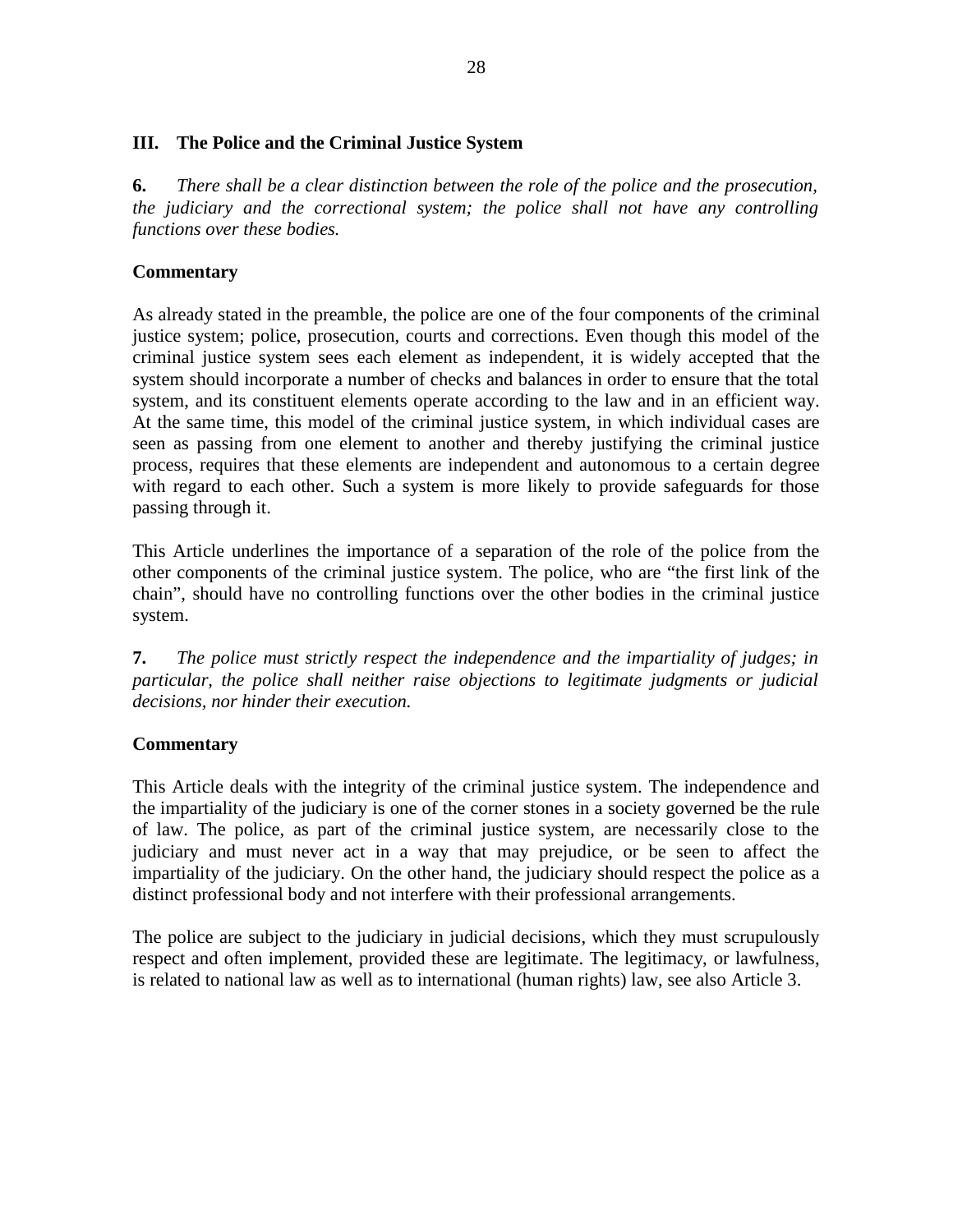#### **III. The Police and the Criminal Justice System**

**6.** *There shall be a clear distinction between the role of the police and the prosecution, the judiciary and the correctional system; the police shall not have any controlling functions over these bodies.*

#### **Commentary**

As already stated in the preamble, the police are one of the four components of the criminal justice system; police, prosecution, courts and corrections. Even though this model of the criminal justice system sees each element as independent, it is widely accepted that the system should incorporate a number of checks and balances in order to ensure that the total system, and its constituent elements operate according to the law and in an efficient way. At the same time, this model of the criminal justice system, in which individual cases are seen as passing from one element to another and thereby justifying the criminal justice process, requires that these elements are independent and autonomous to a certain degree with regard to each other. Such a system is more likely to provide safeguards for those passing through it.

This Article underlines the importance of a separation of the role of the police from the other components of the criminal justice system. The police, who are "the first link of the chain", should have no controlling functions over the other bodies in the criminal justice system.

**7.** *The police must strictly respect the independence and the impartiality of judges; in particular, the police shall neither raise objections to legitimate judgments or judicial decisions, nor hinder their execution.*

#### **Commentary**

This Article deals with the integrity of the criminal justice system. The independence and the impartiality of the judiciary is one of the corner stones in a society governed be the rule of law. The police, as part of the criminal justice system, are necessarily close to the judiciary and must never act in a way that may prejudice, or be seen to affect the impartiality of the judiciary. On the other hand, the judiciary should respect the police as a distinct professional body and not interfere with their professional arrangements.

The police are subject to the judiciary in judicial decisions, which they must scrupulously respect and often implement, provided these are legitimate. The legitimacy, or lawfulness, is related to national law as well as to international (human rights) law, see also Article 3.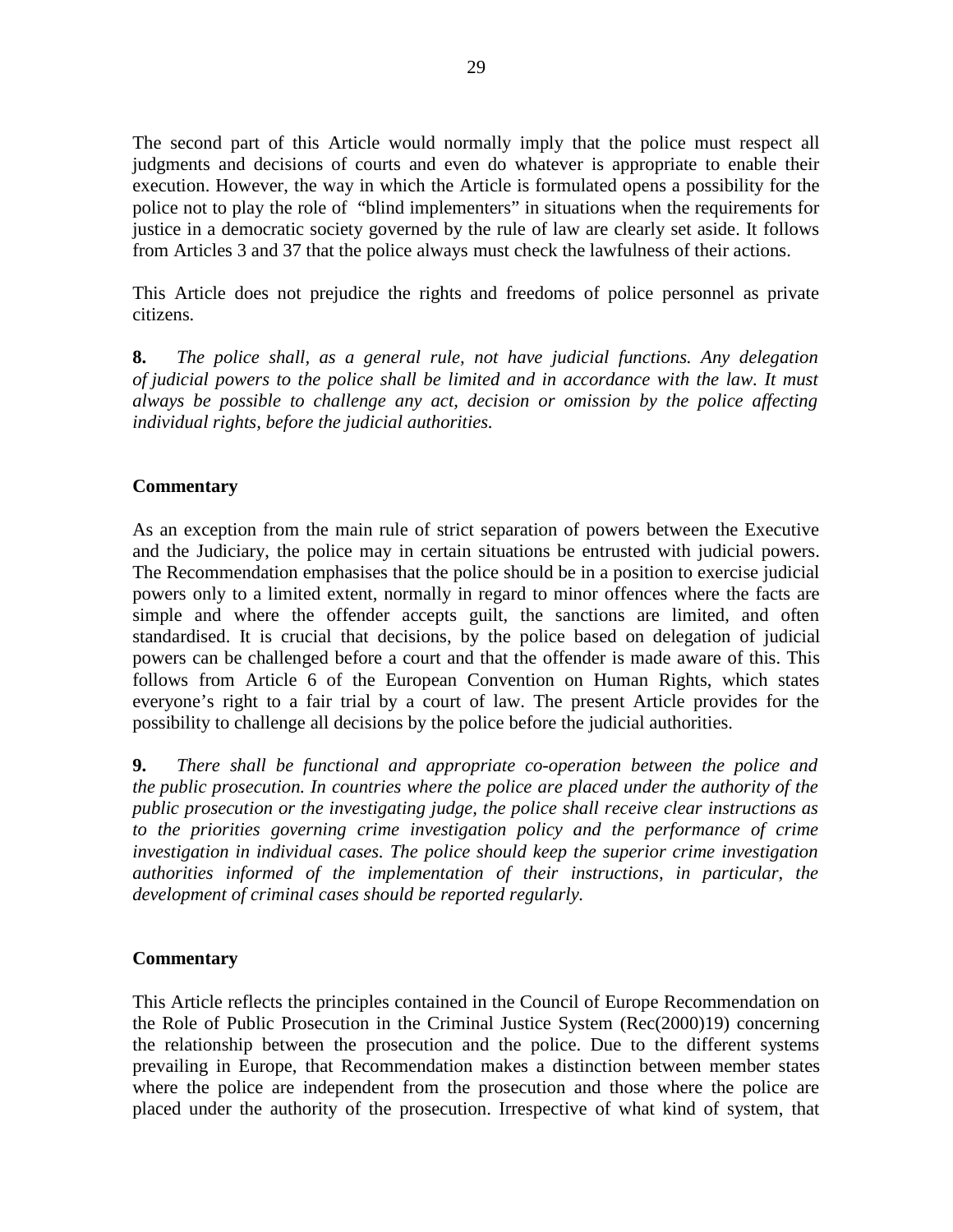The second part of this Article would normally imply that the police must respect all judgments and decisions of courts and even do whatever is appropriate to enable their execution. However, the way in which the Article is formulated opens a possibility for the police not to play the role of "blind implementers" in situations when the requirements for justice in a democratic society governed by the rule of law are clearly set aside. It follows from Articles 3 and 37 that the police always must check the lawfulness of their actions.

This Article does not prejudice the rights and freedoms of police personnel as private citizens.

**8.** *The police shall, as a general rule, not have judicial functions. Any delegation of judicial powers to the police shall be limited and in accordance with the law. It must always be possible to challenge any act, decision or omission by the police affecting individual rights, before the judicial authorities.*

#### **Commentary**

As an exception from the main rule of strict separation of powers between the Executive and the Judiciary, the police may in certain situations be entrusted with judicial powers. The Recommendation emphasises that the police should be in a position to exercise judicial powers only to a limited extent, normally in regard to minor offences where the facts are simple and where the offender accepts guilt, the sanctions are limited, and often standardised. It is crucial that decisions, by the police based on delegation of judicial powers can be challenged before a court and that the offender is made aware of this. This follows from Article 6 of the European Convention on Human Rights, which states everyone's right to a fair trial by a court of law. The present Article provides for the possibility to challenge all decisions by the police before the judicial authorities.

**9.** *There shall be functional and appropriate co-operation between the police and the public prosecution. In countries where the police are placed under the authority of the public prosecution or the investigating judge, the police shall receive clear instructions as to the priorities governing crime investigation policy and the performance of crime investigation in individual cases. The police should keep the superior crime investigation authorities informed of the implementation of their instructions, in particular, the development of criminal cases should be reported regularly.* 

#### **Commentary**

This Article reflects the principles contained in the Council of Europe Recommendation on the Role of Public Prosecution in the Criminal Justice System (Rec(2000)19) concerning the relationship between the prosecution and the police. Due to the different systems prevailing in Europe, that Recommendation makes a distinction between member states where the police are independent from the prosecution and those where the police are placed under the authority of the prosecution. Irrespective of what kind of system, that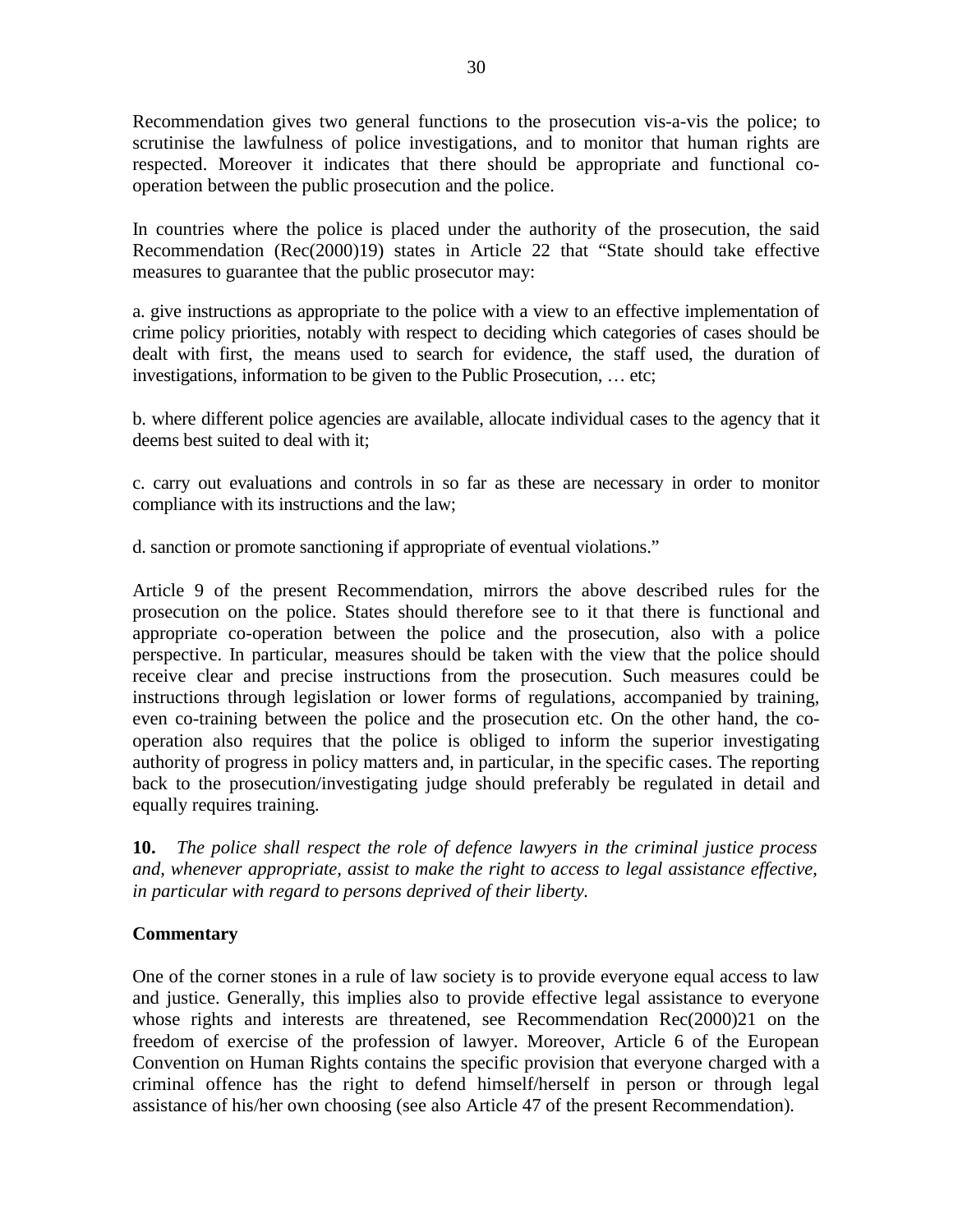Recommendation gives two general functions to the prosecution vis-a-vis the police; to scrutinise the lawfulness of police investigations, and to monitor that human rights are respected. Moreover it indicates that there should be appropriate and functional cooperation between the public prosecution and the police.

In countries where the police is placed under the authority of the prosecution, the said Recommendation (Rec(2000)19) states in Article 22 that "State should take effective measures to guarantee that the public prosecutor may:

a. give instructions as appropriate to the police with a view to an effective implementation of crime policy priorities, notably with respect to deciding which categories of cases should be dealt with first, the means used to search for evidence, the staff used, the duration of investigations, information to be given to the Public Prosecution, … etc;

b. where different police agencies are available, allocate individual cases to the agency that it deems best suited to deal with it;

c. carry out evaluations and controls in so far as these are necessary in order to monitor compliance with its instructions and the law;

d. sanction or promote sanctioning if appropriate of eventual violations."

Article 9 of the present Recommendation, mirrors the above described rules for the prosecution on the police. States should therefore see to it that there is functional and appropriate co-operation between the police and the prosecution, also with a police perspective. In particular, measures should be taken with the view that the police should receive clear and precise instructions from the prosecution. Such measures could be instructions through legislation or lower forms of regulations, accompanied by training, even co-training between the police and the prosecution etc. On the other hand, the cooperation also requires that the police is obliged to inform the superior investigating authority of progress in policy matters and, in particular, in the specific cases. The reporting back to the prosecution/investigating judge should preferably be regulated in detail and equally requires training.

**10.** *The police shall respect the role of defence lawyers in the criminal justice process and, whenever appropriate, assist to make the right to access to legal assistance effective, in particular with regard to persons deprived of their liberty.* 

## **Commentary**

One of the corner stones in a rule of law society is to provide everyone equal access to law and justice. Generally, this implies also to provide effective legal assistance to everyone whose rights and interests are threatened, see Recommendation Rec(2000)21 on the freedom of exercise of the profession of lawyer. Moreover, Article 6 of the European Convention on Human Rights contains the specific provision that everyone charged with a criminal offence has the right to defend himself/herself in person or through legal assistance of his/her own choosing (see also Article 47 of the present Recommendation).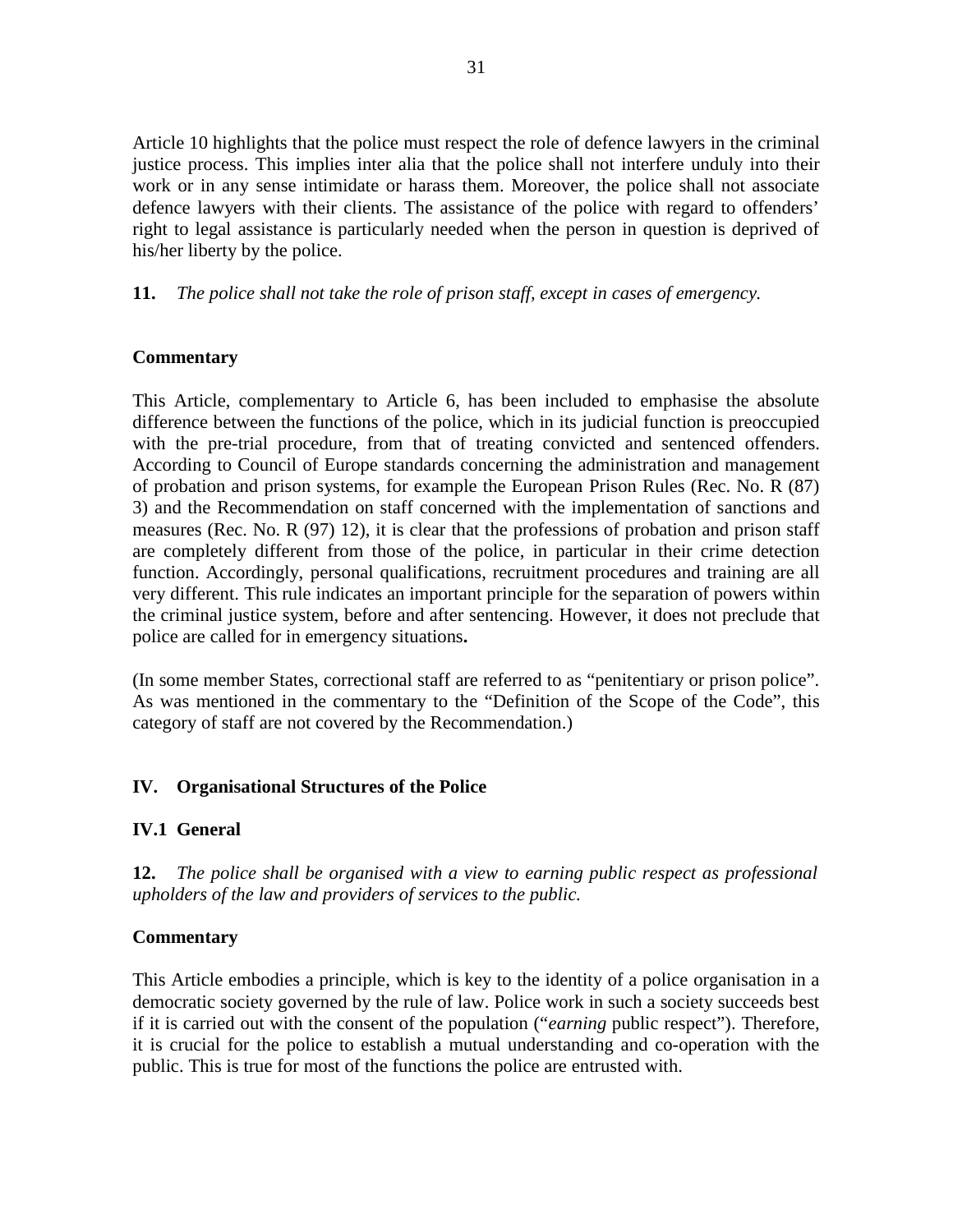Article 10 highlights that the police must respect the role of defence lawyers in the criminal justice process. This implies inter alia that the police shall not interfere unduly into their work or in any sense intimidate or harass them. Moreover, the police shall not associate defence lawyers with their clients. The assistance of the police with regard to offenders' right to legal assistance is particularly needed when the person in question is deprived of his/her liberty by the police.

**11.** *The police shall not take the role of prison staff, except in cases of emergency.*

## **Commentary**

This Article, complementary to Article 6, has been included to emphasise the absolute difference between the functions of the police, which in its judicial function is preoccupied with the pre-trial procedure, from that of treating convicted and sentenced offenders. According to Council of Europe standards concerning the administration and management of probation and prison systems, for example the European Prison Rules (Rec. No. R (87) 3) and the Recommendation on staff concerned with the implementation of sanctions and measures (Rec. No. R (97) 12), it is clear that the professions of probation and prison staff are completely different from those of the police, in particular in their crime detection function. Accordingly, personal qualifications, recruitment procedures and training are all very different. This rule indicates an important principle for the separation of powers within the criminal justice system, before and after sentencing. However, it does not preclude that police are called for in emergency situations**.**

(In some member States, correctional staff are referred to as "penitentiary or prison police". As was mentioned in the commentary to the "Definition of the Scope of the Code", this category of staff are not covered by the Recommendation.)

## **IV. Organisational Structures of the Police**

## **IV.1 General**

**12.** *The police shall be organised with a view to earning public respect as professional upholders of the law and providers of services to the public.*

#### **Commentary**

This Article embodies a principle, which is key to the identity of a police organisation in a democratic society governed by the rule of law. Police work in such a society succeeds best if it is carried out with the consent of the population ("*earning* public respect"). Therefore, it is crucial for the police to establish a mutual understanding and co-operation with the public. This is true for most of the functions the police are entrusted with.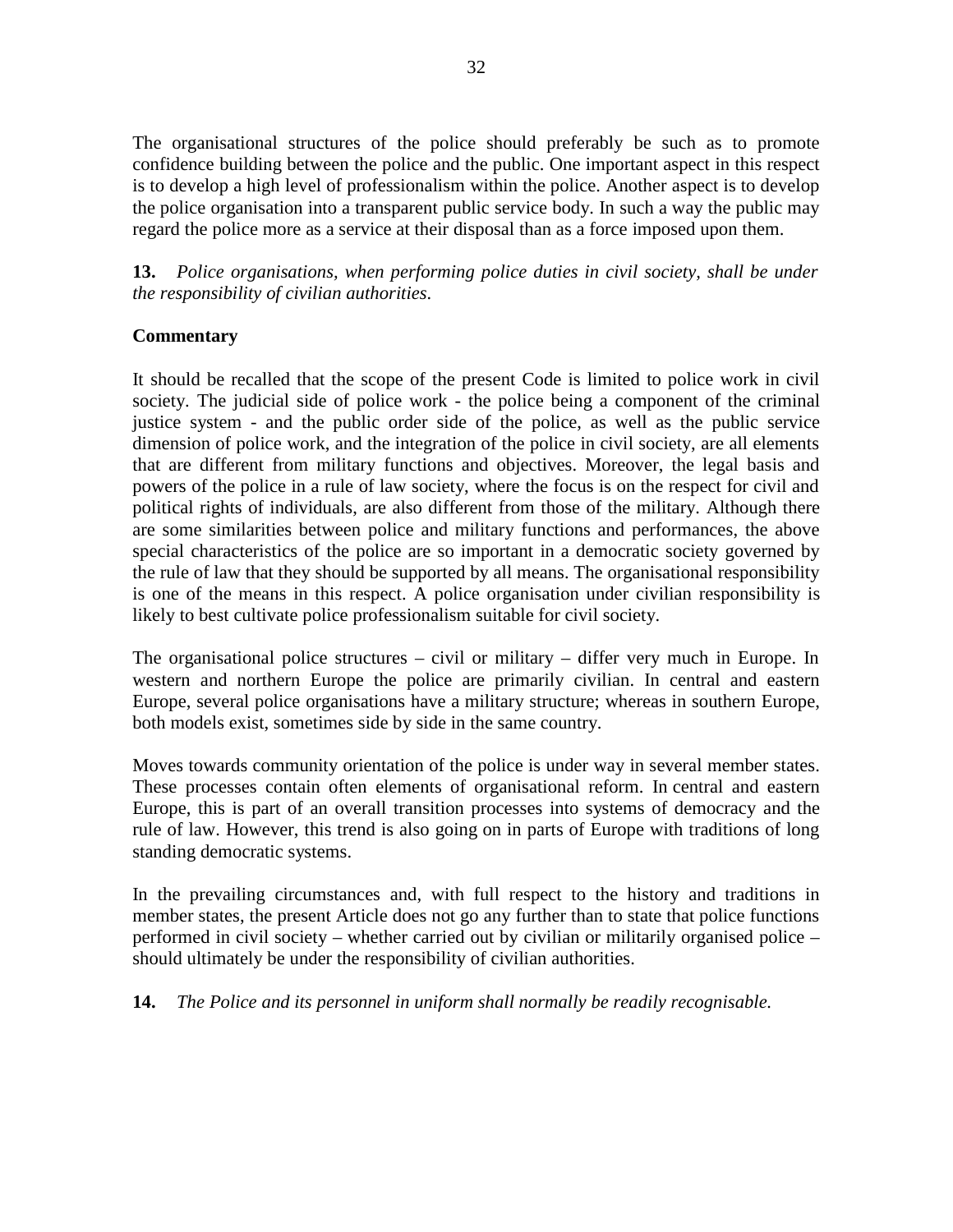The organisational structures of the police should preferably be such as to promote confidence building between the police and the public. One important aspect in this respect is to develop a high level of professionalism within the police. Another aspect is to develop the police organisation into a transparent public service body. In such a way the public may regard the police more as a service at their disposal than as a force imposed upon them.

**13.** *Police organisations, when performing police duties in civil society, shall be under the responsibility of civilian authorities.*

## **Commentary**

It should be recalled that the scope of the present Code is limited to police work in civil society. The judicial side of police work - the police being a component of the criminal justice system - and the public order side of the police, as well as the public service dimension of police work, and the integration of the police in civil society, are all elements that are different from military functions and objectives. Moreover, the legal basis and powers of the police in a rule of law society, where the focus is on the respect for civil and political rights of individuals, are also different from those of the military. Although there are some similarities between police and military functions and performances, the above special characteristics of the police are so important in a democratic society governed by the rule of law that they should be supported by all means. The organisational responsibility is one of the means in this respect. A police organisation under civilian responsibility is likely to best cultivate police professionalism suitable for civil society.

The organisational police structures – civil or military – differ very much in Europe. In western and northern Europe the police are primarily civilian. In central and eastern Europe, several police organisations have a military structure; whereas in southern Europe, both models exist, sometimes side by side in the same country.

Moves towards community orientation of the police is under way in several member states. These processes contain often elements of organisational reform. In central and eastern Europe, this is part of an overall transition processes into systems of democracy and the rule of law. However, this trend is also going on in parts of Europe with traditions of long standing democratic systems.

In the prevailing circumstances and, with full respect to the history and traditions in member states, the present Article does not go any further than to state that police functions performed in civil society – whether carried out by civilian or militarily organised police – should ultimately be under the responsibility of civilian authorities.

## **14.** *The Police and its personnel in uniform shall normally be readily recognisable.*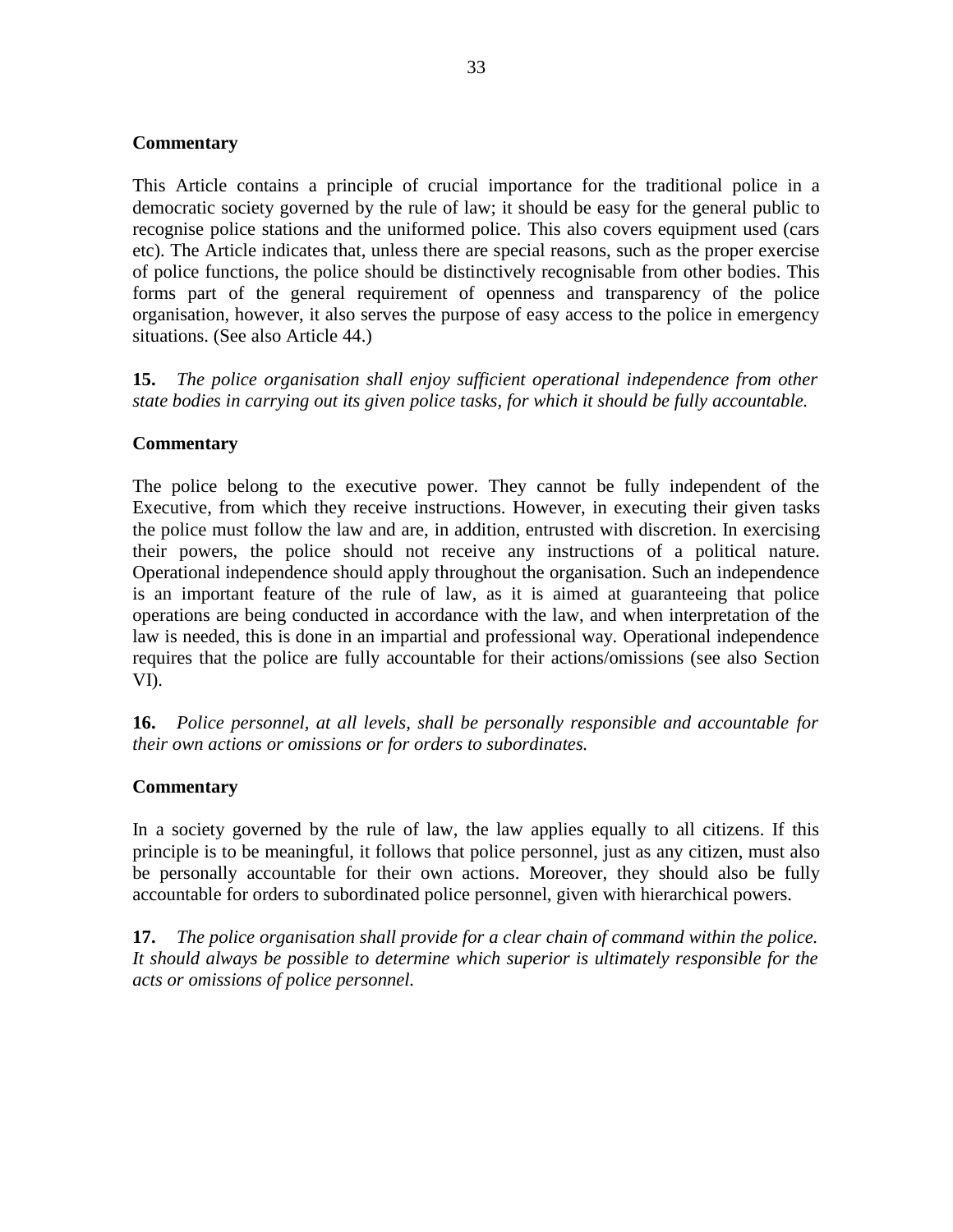#### **Commentary**

This Article contains a principle of crucial importance for the traditional police in a democratic society governed by the rule of law; it should be easy for the general public to recognise police stations and the uniformed police. This also covers equipment used (cars etc). The Article indicates that, unless there are special reasons, such as the proper exercise of police functions, the police should be distinctively recognisable from other bodies. This forms part of the general requirement of openness and transparency of the police organisation, however, it also serves the purpose of easy access to the police in emergency situations. (See also Article 44.)

**15.** *The police organisation shall enjoy sufficient operational independence from other state bodies in carrying out its given police tasks, for which it should be fully accountable.*

#### **Commentary**

The police belong to the executive power. They cannot be fully independent of the Executive, from which they receive instructions. However, in executing their given tasks the police must follow the law and are, in addition, entrusted with discretion. In exercising their powers, the police should not receive any instructions of a political nature. Operational independence should apply throughout the organisation. Such an independence is an important feature of the rule of law, as it is aimed at guaranteeing that police operations are being conducted in accordance with the law, and when interpretation of the law is needed, this is done in an impartial and professional way. Operational independence requires that the police are fully accountable for their actions/omissions (see also Section VI).

**16.** *Police personnel, at all levels, shall be personally responsible and accountable for their own actions or omissions or for orders to subordinates.*

#### **Commentary**

In a society governed by the rule of law, the law applies equally to all citizens. If this principle is to be meaningful, it follows that police personnel, just as any citizen, must also be personally accountable for their own actions. Moreover, they should also be fully accountable for orders to subordinated police personnel, given with hierarchical powers.

**17.** *The police organisation shall provide for a clear chain of command within the police. It should always be possible to determine which superior is ultimately responsible for the acts or omissions of police personnel.*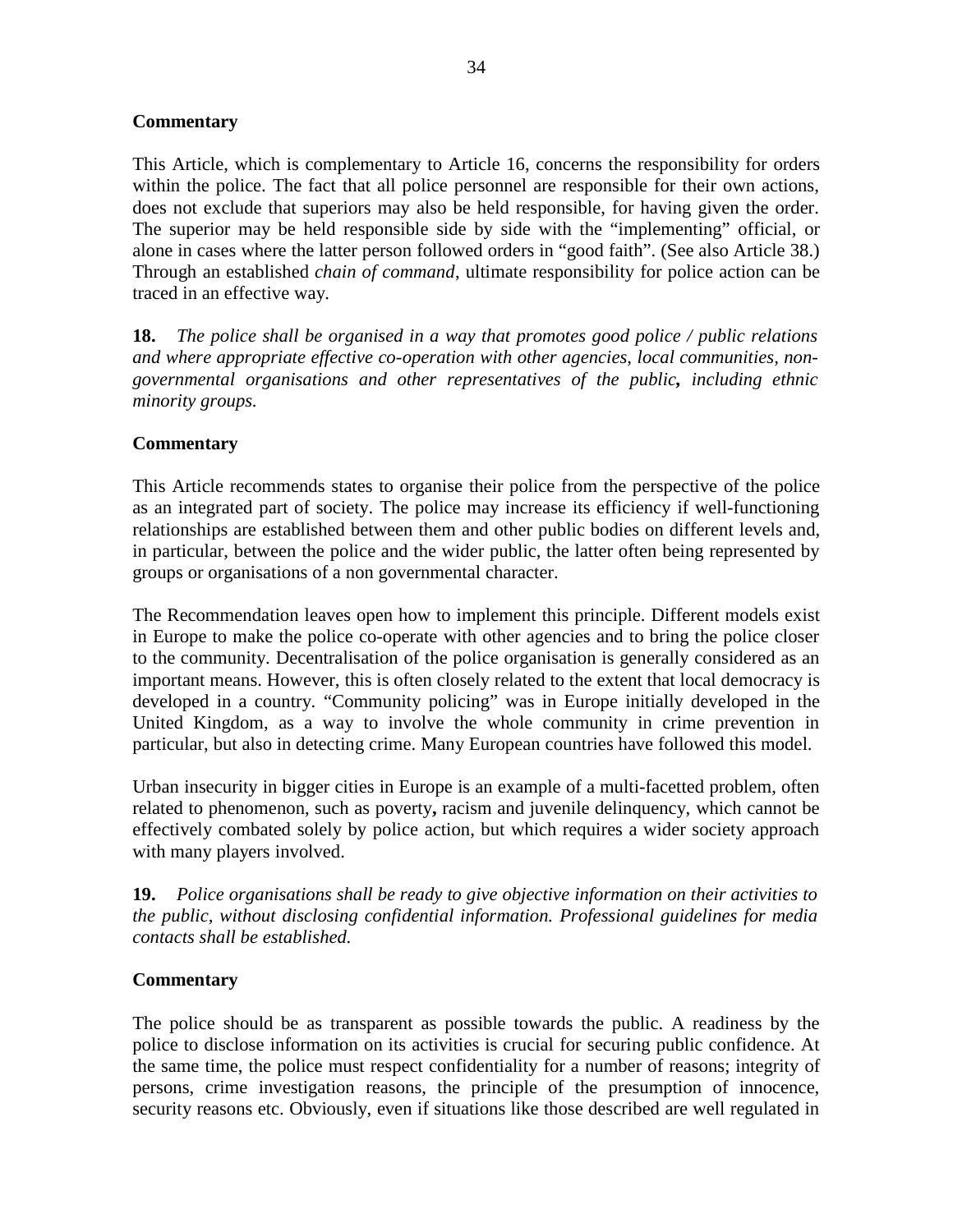## **Commentary**

This Article, which is complementary to Article 16, concerns the responsibility for orders within the police. The fact that all police personnel are responsible for their own actions, does not exclude that superiors may also be held responsible, for having given the order. The superior may be held responsible side by side with the "implementing" official, or alone in cases where the latter person followed orders in "good faith". (See also Article 38.) Through an established *chain of command*, ultimate responsibility for police action can be traced in an effective way.

**18.** *The police shall be organised in a way that promotes good police / public relations and where appropriate effective co-operation with other agencies, local communities, nongovernmental organisations and other representatives of the public, including ethnic minority groups.*

## **Commentary**

This Article recommends states to organise their police from the perspective of the police as an integrated part of society. The police may increase its efficiency if well-functioning relationships are established between them and other public bodies on different levels and, in particular, between the police and the wider public, the latter often being represented by groups or organisations of a non governmental character.

The Recommendation leaves open how to implement this principle. Different models exist in Europe to make the police co-operate with other agencies and to bring the police closer to the community. Decentralisation of the police organisation is generally considered as an important means. However, this is often closely related to the extent that local democracy is developed in a country. "Community policing" was in Europe initially developed in the United Kingdom, as a way to involve the whole community in crime prevention in particular, but also in detecting crime. Many European countries have followed this model.

Urban insecurity in bigger cities in Europe is an example of a multi-facetted problem, often related to phenomenon, such as poverty**,** racism and juvenile delinquency, which cannot be effectively combated solely by police action, but which requires a wider society approach with many players involved.

**19.** *Police organisations shall be ready to give objective information on their activities to the public, without disclosing confidential information. Professional guidelines for media contacts shall be established.*

## **Commentary**

The police should be as transparent as possible towards the public. A readiness by the police to disclose information on its activities is crucial for securing public confidence. At the same time, the police must respect confidentiality for a number of reasons; integrity of persons, crime investigation reasons, the principle of the presumption of innocence, security reasons etc. Obviously, even if situations like those described are well regulated in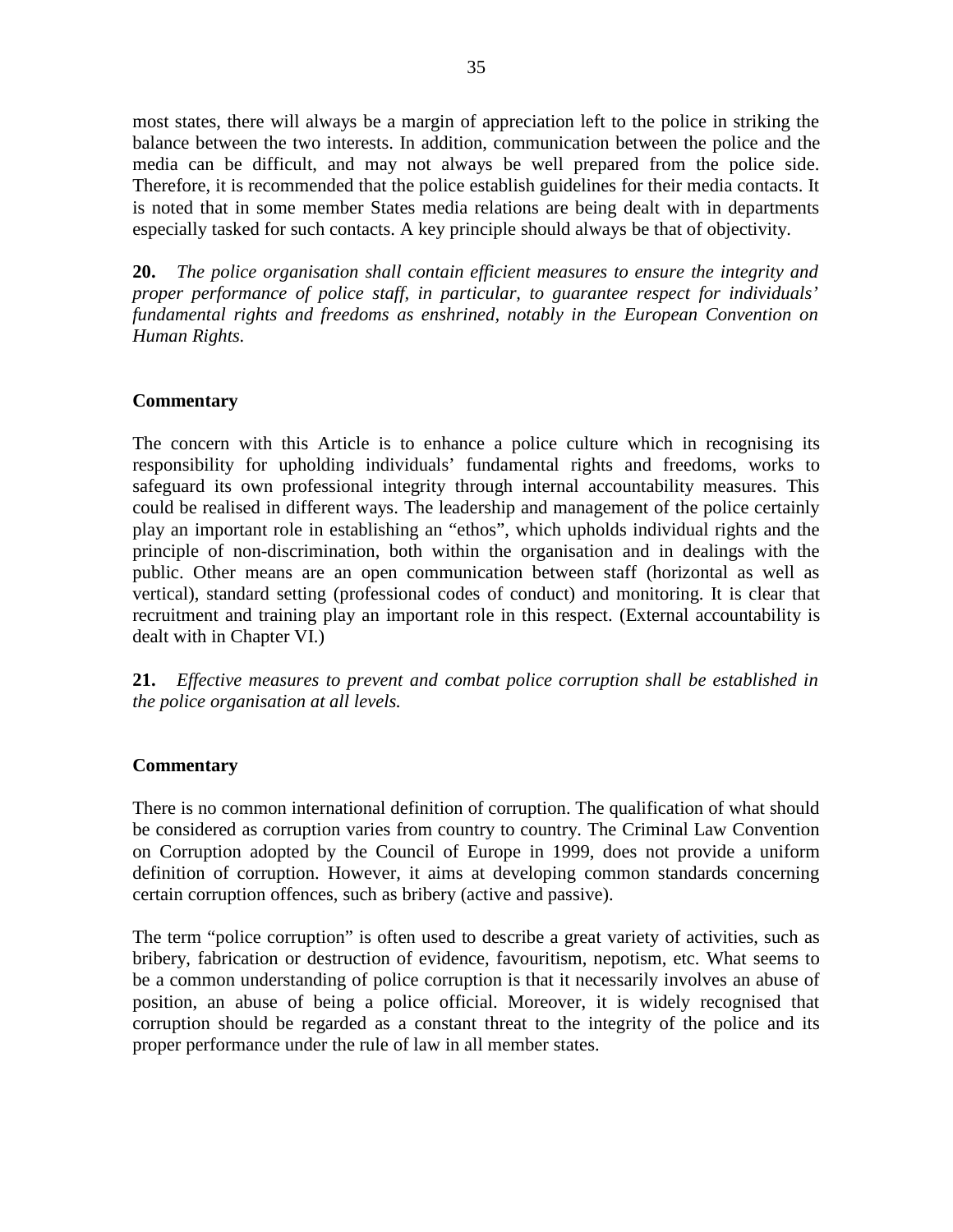most states, there will always be a margin of appreciation left to the police in striking the balance between the two interests. In addition, communication between the police and the media can be difficult, and may not always be well prepared from the police side. Therefore, it is recommended that the police establish guidelines for their media contacts. It is noted that in some member States media relations are being dealt with in departments especially tasked for such contacts. A key principle should always be that of objectivity.

**20.** *The police organisation shall contain efficient measures to ensure the integrity and proper performance of police staff, in particular, to guarantee respect for individuals' fundamental rights and freedoms as enshrined, notably in the European Convention on Human Rights.*

#### **Commentary**

The concern with this Article is to enhance a police culture which in recognising its responsibility for upholding individuals' fundamental rights and freedoms, works to safeguard its own professional integrity through internal accountability measures. This could be realised in different ways. The leadership and management of the police certainly play an important role in establishing an "ethos", which upholds individual rights and the principle of non-discrimination, both within the organisation and in dealings with the public. Other means are an open communication between staff (horizontal as well as vertical), standard setting (professional codes of conduct) and monitoring. It is clear that recruitment and training play an important role in this respect. (External accountability is dealt with in Chapter VI.)

**21.** *Effective measures to prevent and combat police corruption shall be established in the police organisation at all levels.*

## **Commentary**

There is no common international definition of corruption. The qualification of what should be considered as corruption varies from country to country. The Criminal Law Convention on Corruption adopted by the Council of Europe in 1999, does not provide a uniform definition of corruption. However, it aims at developing common standards concerning certain corruption offences, such as bribery (active and passive).

The term "police corruption" is often used to describe a great variety of activities, such as bribery, fabrication or destruction of evidence, favouritism, nepotism, etc. What seems to be a common understanding of police corruption is that it necessarily involves an abuse of position, an abuse of being a police official. Moreover, it is widely recognised that corruption should be regarded as a constant threat to the integrity of the police and its proper performance under the rule of law in all member states.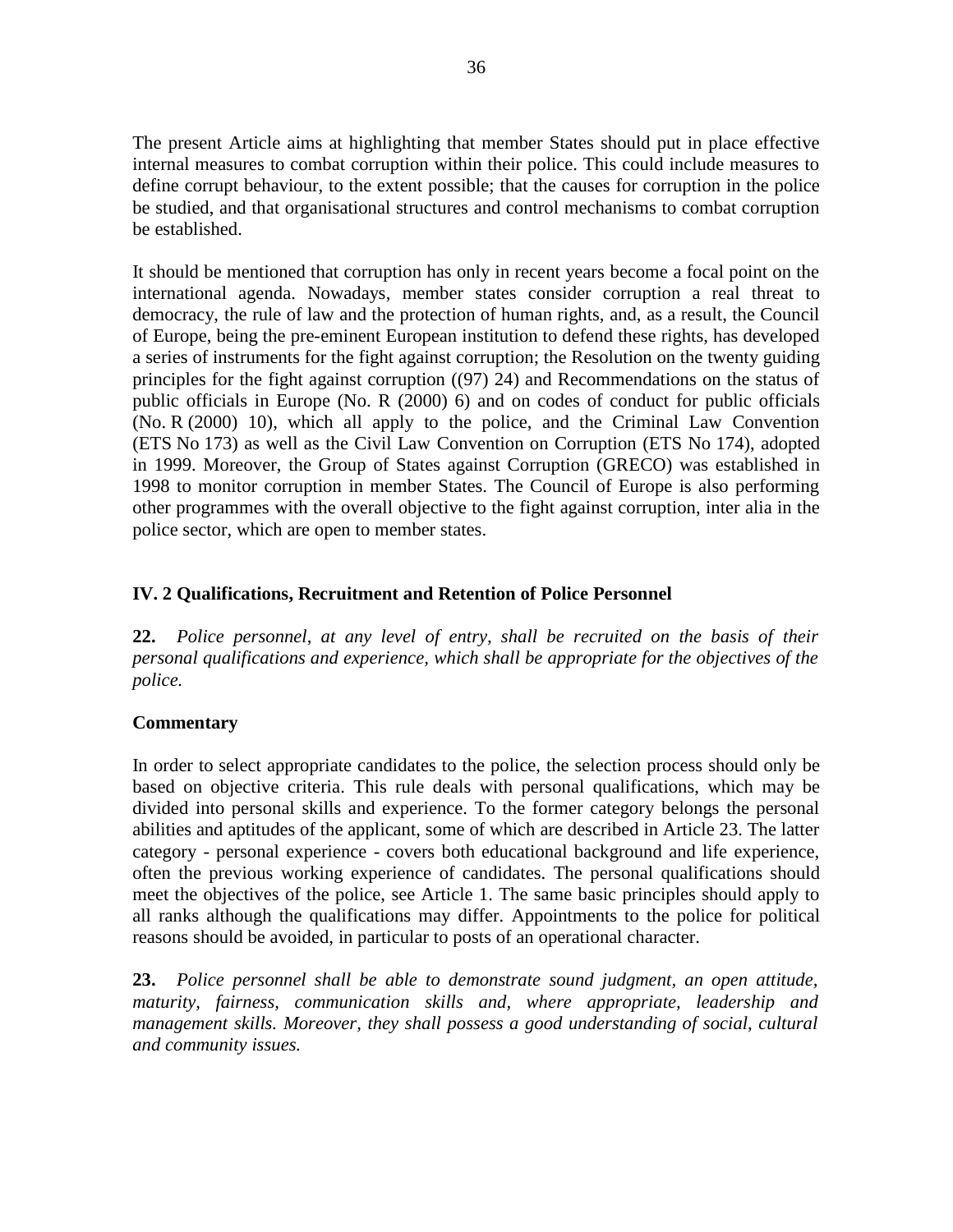The present Article aims at highlighting that member States should put in place effective internal measures to combat corruption within their police. This could include measures to define corrupt behaviour, to the extent possible; that the causes for corruption in the police be studied, and that organisational structures and control mechanisms to combat corruption be established.

It should be mentioned that corruption has only in recent years become a focal point on the international agenda. Nowadays, member states consider corruption a real threat to democracy, the rule of law and the protection of human rights, and, as a result, the Council of Europe, being the pre-eminent European institution to defend these rights, has developed a series of instruments for the fight against corruption; the Resolution on the twenty guiding principles for the fight against corruption ((97) 24) and Recommendations on the status of public officials in Europe (No. R (2000) 6) and on codes of conduct for public officials (No. R (2000) 10), which all apply to the police, and the Criminal Law Convention (ETS No 173) as well as the Civil Law Convention on Corruption (ETS No 174), adopted in 1999. Moreover, the Group of States against Corruption (GRECO) was established in 1998 to monitor corruption in member States. The Council of Europe is also performing other programmes with the overall objective to the fight against corruption, inter alia in the police sector, which are open to member states.

## **IV. 2 Qualifications, Recruitment and Retention of Police Personnel**

**22.** *Police personnel, at any level of entry, shall be recruited on the basis of their personal qualifications and experience, which shall be appropriate for the objectives of the police.*

## **Commentary**

In order to select appropriate candidates to the police, the selection process should only be based on objective criteria. This rule deals with personal qualifications, which may be divided into personal skills and experience. To the former category belongs the personal abilities and aptitudes of the applicant, some of which are described in Article 23. The latter category - personal experience - covers both educational background and life experience, often the previous working experience of candidates. The personal qualifications should meet the objectives of the police, see Article 1. The same basic principles should apply to all ranks although the qualifications may differ. Appointments to the police for political reasons should be avoided, in particular to posts of an operational character.

**23.** *Police personnel shall be able to demonstrate sound judgment, an open attitude, maturity, fairness, communication skills and, where appropriate, leadership and management skills. Moreover, they shall possess a good understanding of social, cultural and community issues.*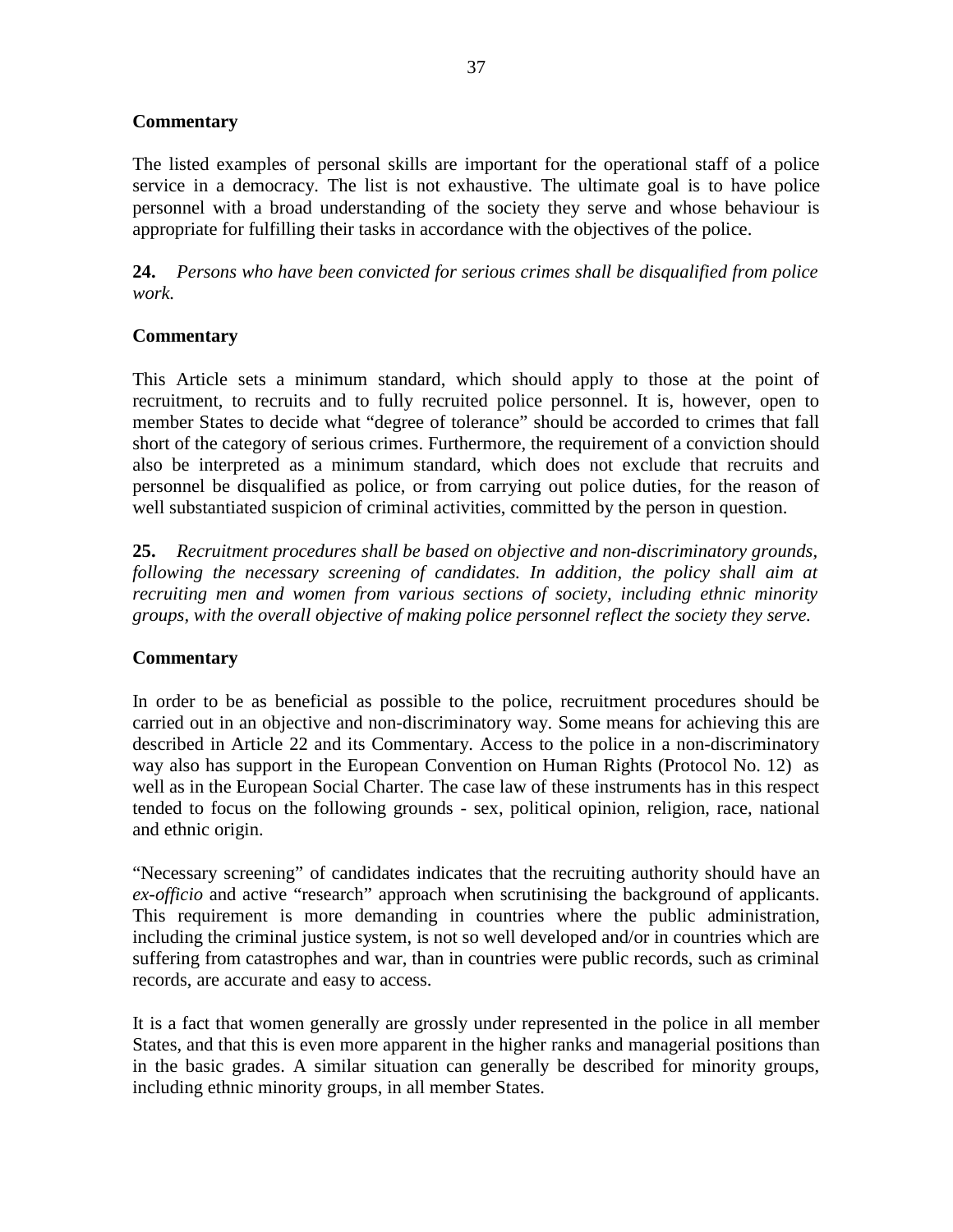## **Commentary**

The listed examples of personal skills are important for the operational staff of a police service in a democracy. The list is not exhaustive. The ultimate goal is to have police personnel with a broad understanding of the society they serve and whose behaviour is appropriate for fulfilling their tasks in accordance with the objectives of the police.

**24.** *Persons who have been convicted for serious crimes shall be disqualified from police work.*

## **Commentary**

This Article sets a minimum standard, which should apply to those at the point of recruitment, to recruits and to fully recruited police personnel. It is, however, open to member States to decide what "degree of tolerance" should be accorded to crimes that fall short of the category of serious crimes. Furthermore, the requirement of a conviction should also be interpreted as a minimum standard, which does not exclude that recruits and personnel be disqualified as police, or from carrying out police duties, for the reason of well substantiated suspicion of criminal activities, committed by the person in question.

**25.** *Recruitment procedures shall be based on objective and non-discriminatory grounds, following the necessary screening of candidates. In addition, the policy shall aim at recruiting men and women from various sections of society, including ethnic minority groups, with the overall objective of making police personnel reflect the society they serve.*

## **Commentary**

In order to be as beneficial as possible to the police, recruitment procedures should be carried out in an objective and non-discriminatory way. Some means for achieving this are described in Article 22 and its Commentary. Access to the police in a non-discriminatory way also has support in the European Convention on Human Rights (Protocol No. 12) as well as in the European Social Charter. The case law of these instruments has in this respect tended to focus on the following grounds - sex, political opinion, religion, race, national and ethnic origin.

"Necessary screening" of candidates indicates that the recruiting authority should have an *ex-officio* and active "research" approach when scrutinising the background of applicants. This requirement is more demanding in countries where the public administration, including the criminal justice system, is not so well developed and/or in countries which are suffering from catastrophes and war, than in countries were public records, such as criminal records, are accurate and easy to access.

It is a fact that women generally are grossly under represented in the police in all member States, and that this is even more apparent in the higher ranks and managerial positions than in the basic grades. A similar situation can generally be described for minority groups, including ethnic minority groups, in all member States.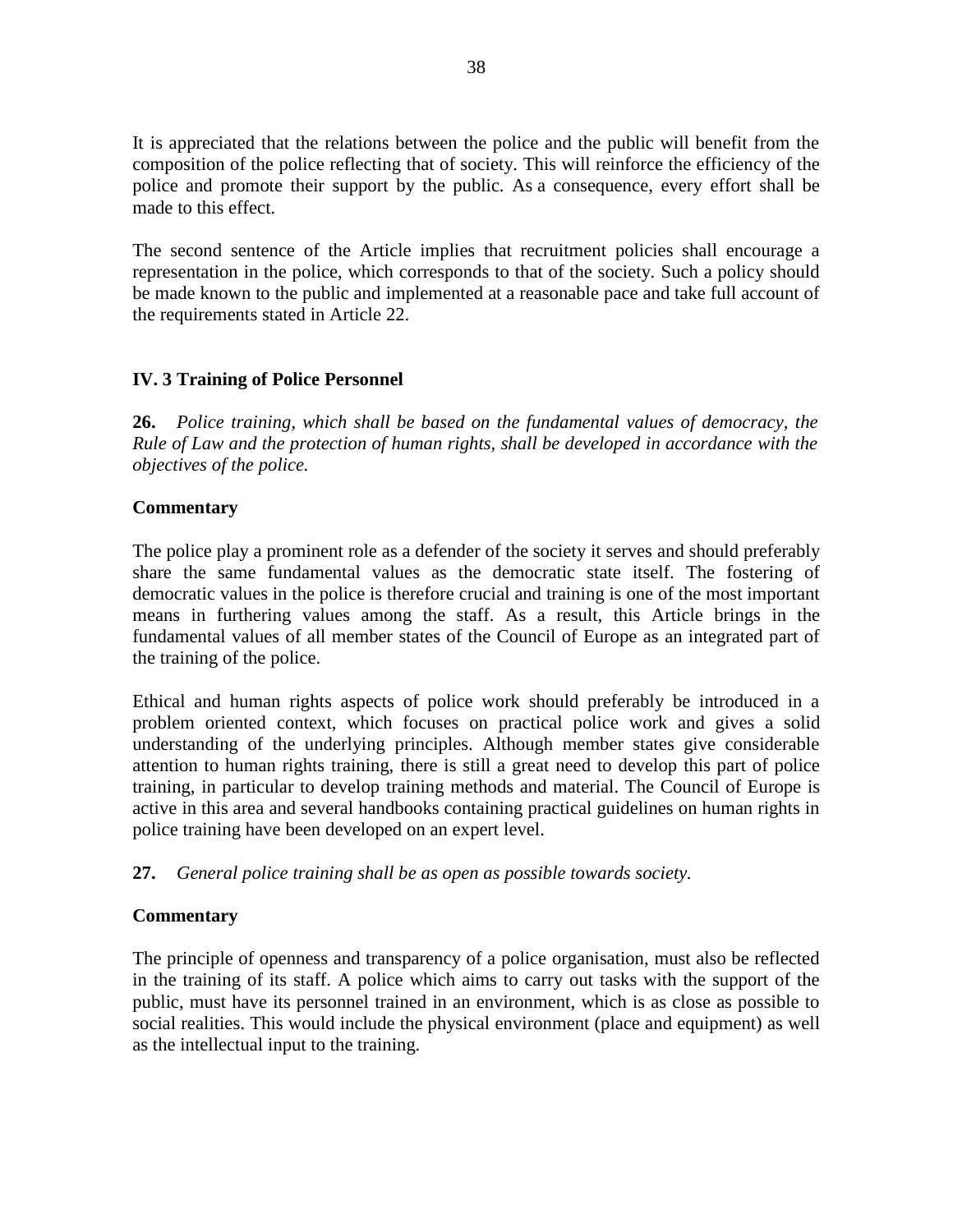It is appreciated that the relations between the police and the public will benefit from the composition of the police reflecting that of society. This will reinforce the efficiency of the police and promote their support by the public. As a consequence, every effort shall be made to this effect.

The second sentence of the Article implies that recruitment policies shall encourage a representation in the police, which corresponds to that of the society. Such a policy should be made known to the public and implemented at a reasonable pace and take full account of the requirements stated in Article 22.

## **IV. 3 Training of Police Personnel**

**26.** *Police training, which shall be based on the fundamental values of democracy, the Rule of Law and the protection of human rights, shall be developed in accordance with the objectives of the police.* 

#### **Commentary**

The police play a prominent role as a defender of the society it serves and should preferably share the same fundamental values as the democratic state itself. The fostering of democratic values in the police is therefore crucial and training is one of the most important means in furthering values among the staff. As a result, this Article brings in the fundamental values of all member states of the Council of Europe as an integrated part of the training of the police.

Ethical and human rights aspects of police work should preferably be introduced in a problem oriented context, which focuses on practical police work and gives a solid understanding of the underlying principles. Although member states give considerable attention to human rights training, there is still a great need to develop this part of police training, in particular to develop training methods and material. The Council of Europe is active in this area and several handbooks containing practical guidelines on human rights in police training have been developed on an expert level.

#### **27.** *General police training shall be as open as possible towards society.*

## **Commentary**

The principle of openness and transparency of a police organisation, must also be reflected in the training of its staff. A police which aims to carry out tasks with the support of the public, must have its personnel trained in an environment, which is as close as possible to social realities. This would include the physical environment (place and equipment) as well as the intellectual input to the training.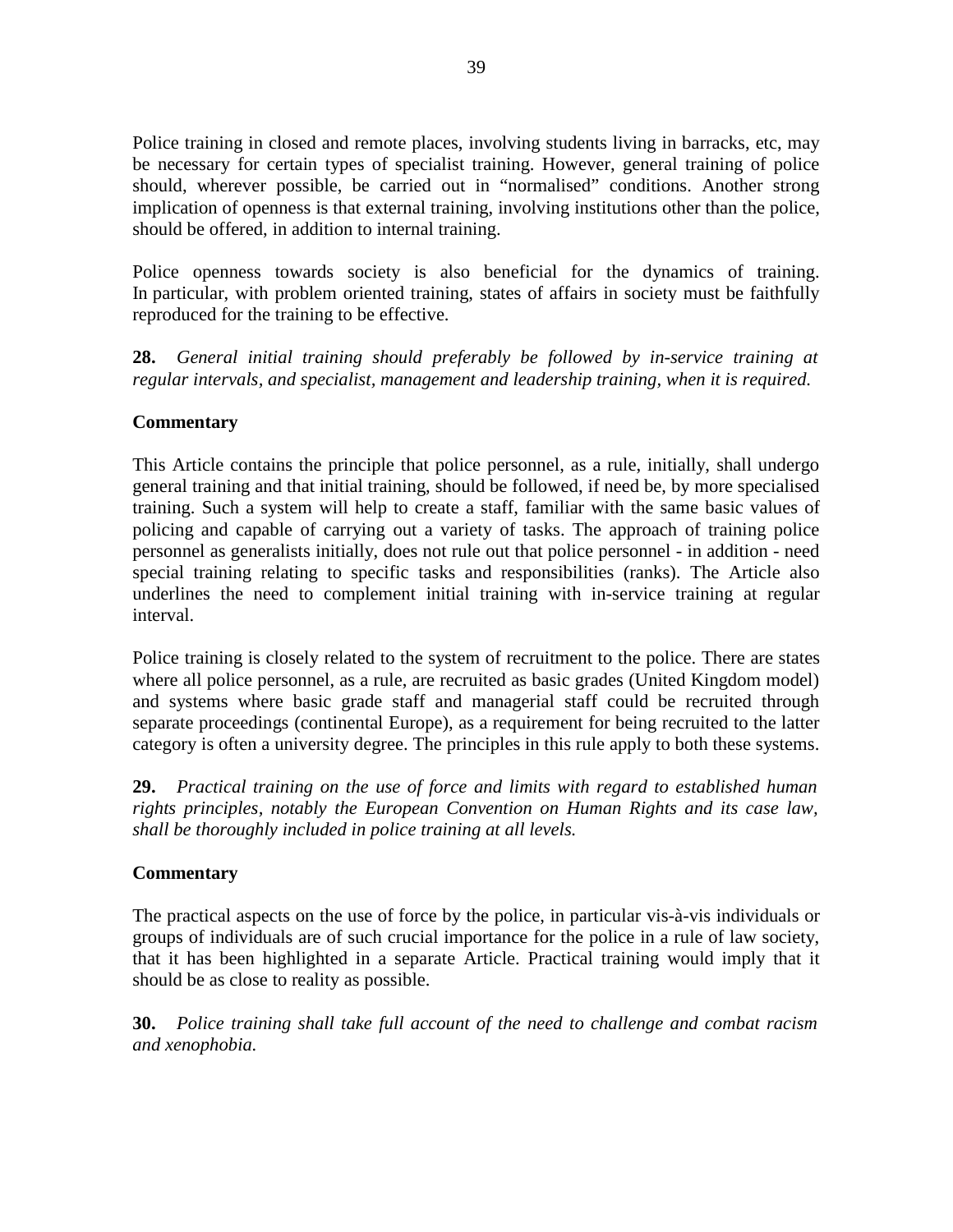Police training in closed and remote places, involving students living in barracks, etc, may be necessary for certain types of specialist training. However, general training of police should, wherever possible, be carried out in "normalised" conditions. Another strong implication of openness is that external training, involving institutions other than the police, should be offered, in addition to internal training.

Police openness towards society is also beneficial for the dynamics of training. In particular, with problem oriented training, states of affairs in society must be faithfully reproduced for the training to be effective.

**28.** *General initial training should preferably be followed by in-service training at regular intervals, and specialist, management and leadership training, when it is required.*

## **Commentary**

This Article contains the principle that police personnel, as a rule, initially, shall undergo general training and that initial training, should be followed, if need be, by more specialised training. Such a system will help to create a staff, familiar with the same basic values of policing and capable of carrying out a variety of tasks. The approach of training police personnel as generalists initially, does not rule out that police personnel - in addition - need special training relating to specific tasks and responsibilities (ranks). The Article also underlines the need to complement initial training with in-service training at regular interval.

Police training is closely related to the system of recruitment to the police. There are states where all police personnel, as a rule, are recruited as basic grades (United Kingdom model) and systems where basic grade staff and managerial staff could be recruited through separate proceedings (continental Europe), as a requirement for being recruited to the latter category is often a university degree. The principles in this rule apply to both these systems.

**29.** *Practical training on the use of force and limits with regard to established human rights principles, notably the European Convention on Human Rights and its case law, shall be thoroughly included in police training at all levels.* 

## **Commentary**

The practical aspects on the use of force by the police, in particular vis-à-vis individuals or groups of individuals are of such crucial importance for the police in a rule of law society, that it has been highlighted in a separate Article. Practical training would imply that it should be as close to reality as possible.

**30.** *Police training shall take full account of the need to challenge and combat racism and xenophobia.*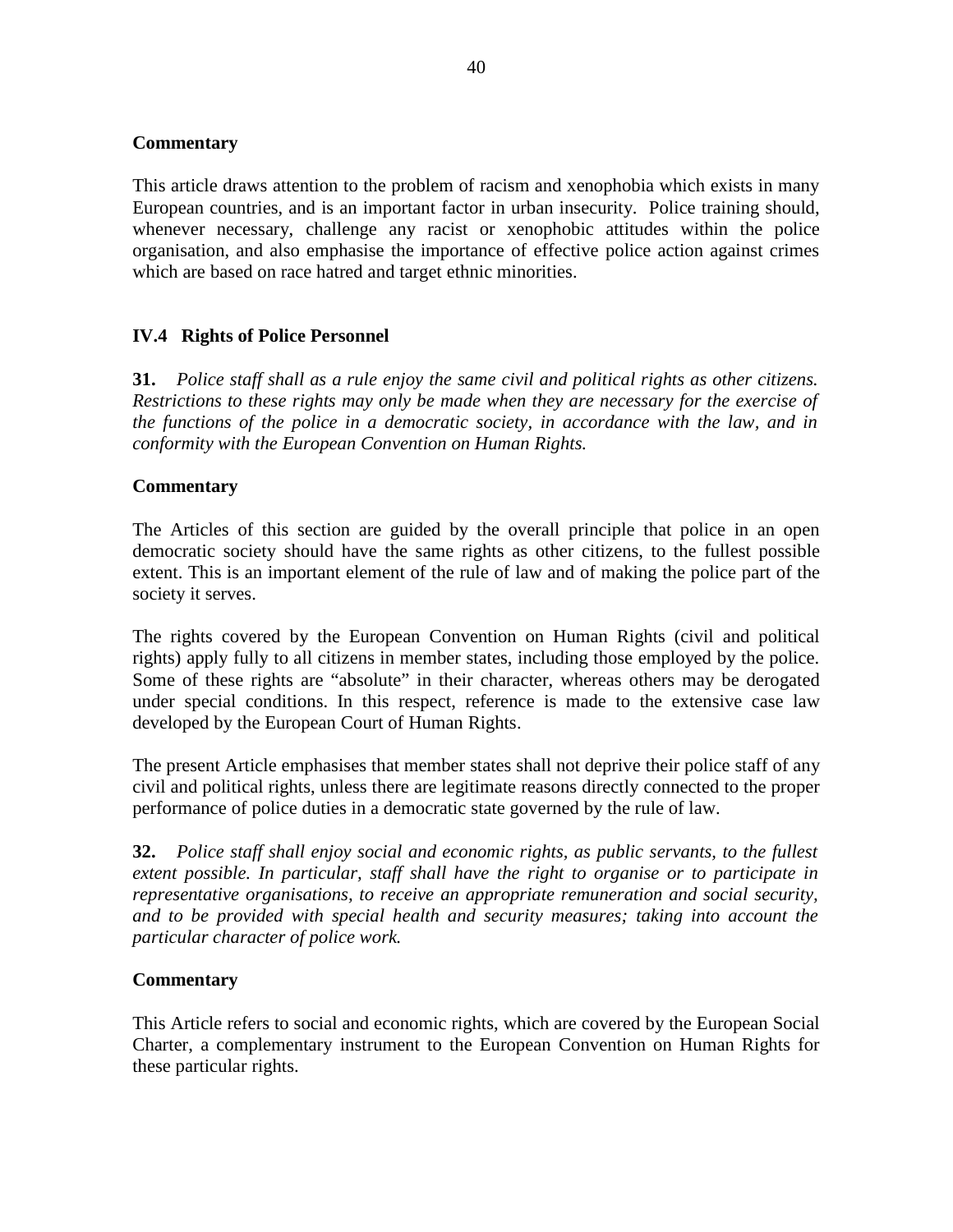#### **Commentary**

This article draws attention to the problem of racism and xenophobia which exists in many European countries, and is an important factor in urban insecurity. Police training should, whenever necessary, challenge any racist or xenophobic attitudes within the police organisation, and also emphasise the importance of effective police action against crimes which are based on race hatred and target ethnic minorities.

## **IV.4 Rights of Police Personnel**

**31.** *Police staff shall as a rule enjoy the same civil and political rights as other citizens. Restrictions to these rights may only be made when they are necessary for the exercise of the functions of the police in a democratic society, in accordance with the law, and in conformity with the European Convention on Human Rights.* 

#### **Commentary**

The Articles of this section are guided by the overall principle that police in an open democratic society should have the same rights as other citizens, to the fullest possible extent. This is an important element of the rule of law and of making the police part of the society it serves.

The rights covered by the European Convention on Human Rights (civil and political rights) apply fully to all citizens in member states, including those employed by the police. Some of these rights are "absolute" in their character, whereas others may be derogated under special conditions. In this respect, reference is made to the extensive case law developed by the European Court of Human Rights.

The present Article emphasises that member states shall not deprive their police staff of any civil and political rights, unless there are legitimate reasons directly connected to the proper performance of police duties in a democratic state governed by the rule of law.

**32.** *Police staff shall enjoy social and economic rights, as public servants, to the fullest extent possible. In particular, staff shall have the right to organise or to participate in representative organisations, to receive an appropriate remuneration and social security, and to be provided with special health and security measures; taking into account the particular character of police work.*

#### **Commentary**

This Article refers to social and economic rights, which are covered by the European Social Charter, a complementary instrument to the European Convention on Human Rights for these particular rights.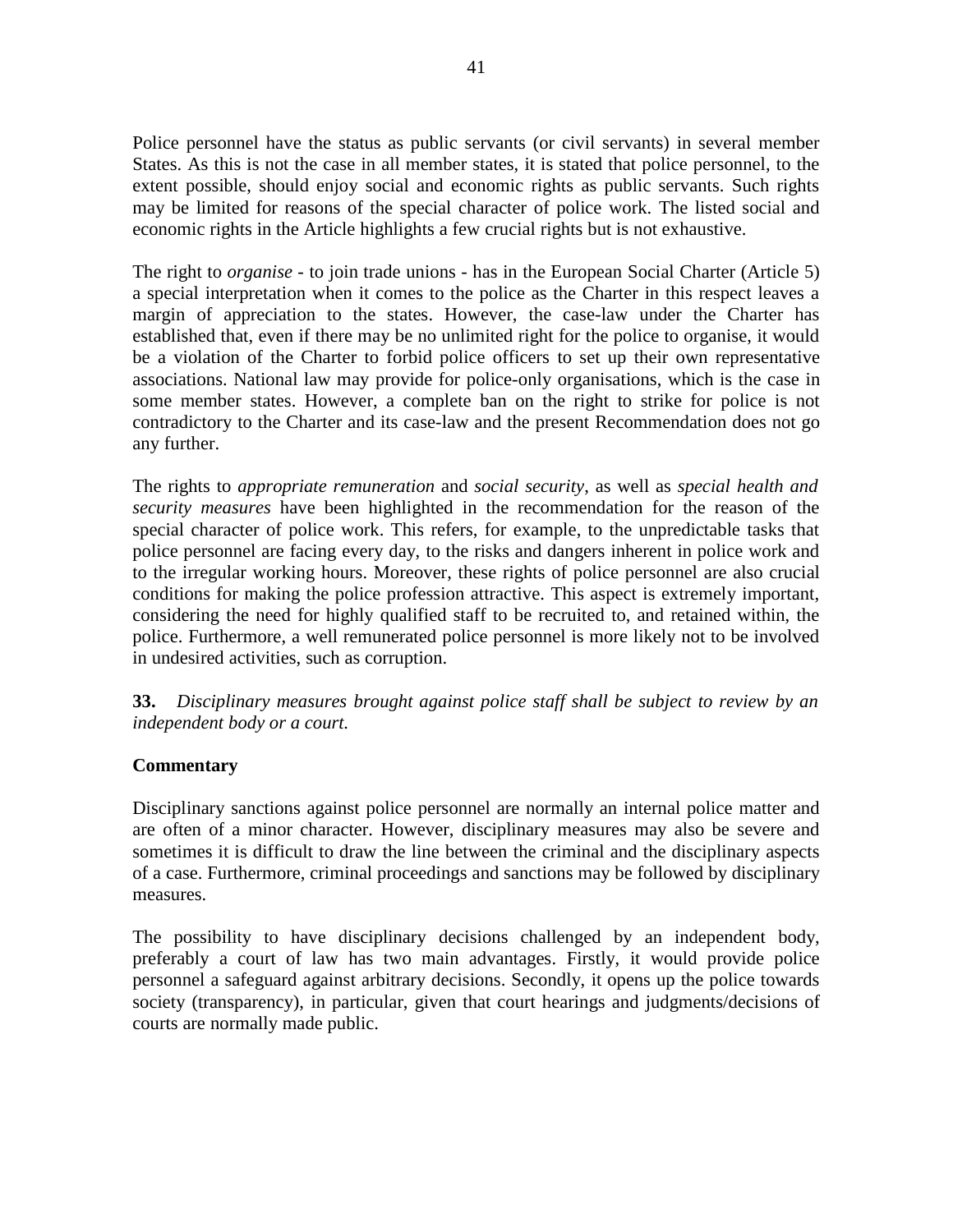Police personnel have the status as public servants (or civil servants) in several member States. As this is not the case in all member states, it is stated that police personnel, to the extent possible, should enjoy social and economic rights as public servants. Such rights may be limited for reasons of the special character of police work. The listed social and economic rights in the Article highlights a few crucial rights but is not exhaustive.

The right to *organise* - to join trade unions - has in the European Social Charter (Article 5) a special interpretation when it comes to the police as the Charter in this respect leaves a margin of appreciation to the states. However, the case-law under the Charter has established that, even if there may be no unlimited right for the police to organise, it would be a violation of the Charter to forbid police officers to set up their own representative associations. National law may provide for police-only organisations, which is the case in some member states. However, a complete ban on the right to strike for police is not contradictory to the Charter and its case-law and the present Recommendation does not go any further.

The rights to *appropriate remuneration* and *social security*, as well as *special health and security measures* have been highlighted in the recommendation for the reason of the special character of police work. This refers, for example, to the unpredictable tasks that police personnel are facing every day, to the risks and dangers inherent in police work and to the irregular working hours. Moreover, these rights of police personnel are also crucial conditions for making the police profession attractive. This aspect is extremely important, considering the need for highly qualified staff to be recruited to, and retained within, the police. Furthermore, a well remunerated police personnel is more likely not to be involved in undesired activities, such as corruption.

**33.** *Disciplinary measures brought against police staff shall be subject to review by an independent body or a court.*

## **Commentary**

Disciplinary sanctions against police personnel are normally an internal police matter and are often of a minor character. However, disciplinary measures may also be severe and sometimes it is difficult to draw the line between the criminal and the disciplinary aspects of a case. Furthermore, criminal proceedings and sanctions may be followed by disciplinary measures.

The possibility to have disciplinary decisions challenged by an independent body, preferably a court of law has two main advantages. Firstly, it would provide police personnel a safeguard against arbitrary decisions. Secondly, it opens up the police towards society (transparency), in particular, given that court hearings and judgments/decisions of courts are normally made public.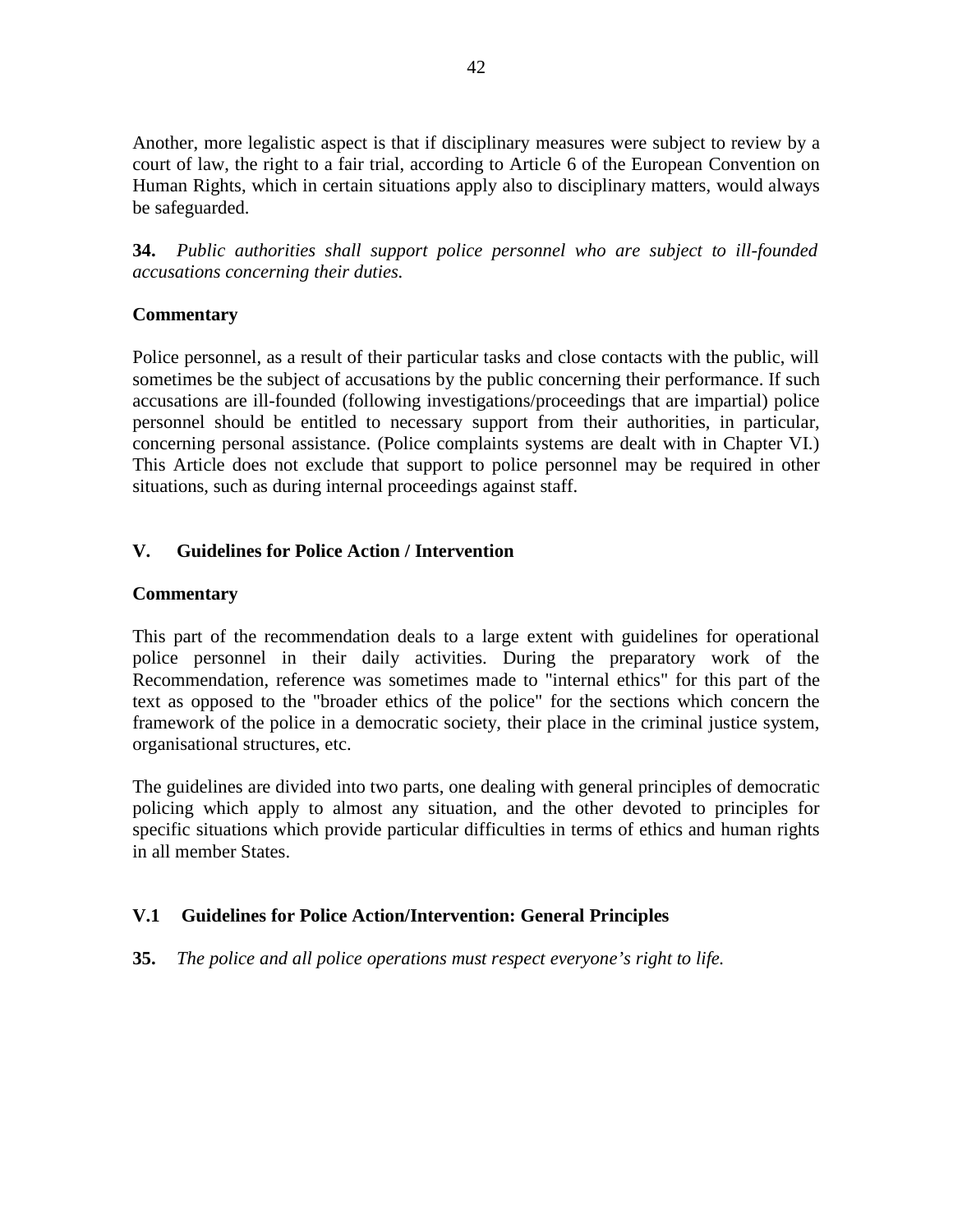Another, more legalistic aspect is that if disciplinary measures were subject to review by a court of law, the right to a fair trial, according to Article 6 of the European Convention on Human Rights, which in certain situations apply also to disciplinary matters, would always be safeguarded.

**34.** *Public authorities shall support police personnel who are subject to ill-founded accusations concerning their duties.*

## **Commentary**

Police personnel, as a result of their particular tasks and close contacts with the public, will sometimes be the subject of accusations by the public concerning their performance. If such accusations are ill-founded (following investigations/proceedings that are impartial) police personnel should be entitled to necessary support from their authorities, in particular, concerning personal assistance. (Police complaints systems are dealt with in Chapter VI.) This Article does not exclude that support to police personnel may be required in other situations, such as during internal proceedings against staff.

## **V. Guidelines for Police Action / Intervention**

#### **Commentary**

This part of the recommendation deals to a large extent with guidelines for operational police personnel in their daily activities. During the preparatory work of the Recommendation, reference was sometimes made to "internal ethics" for this part of the text as opposed to the "broader ethics of the police" for the sections which concern the framework of the police in a democratic society, their place in the criminal justice system, organisational structures, etc.

The guidelines are divided into two parts, one dealing with general principles of democratic policing which apply to almost any situation, and the other devoted to principles for specific situations which provide particular difficulties in terms of ethics and human rights in all member States.

## **V.1 Guidelines for Police Action/Intervention: General Principles**

**35.** *The police and all police operations must respect everyone's right to life.*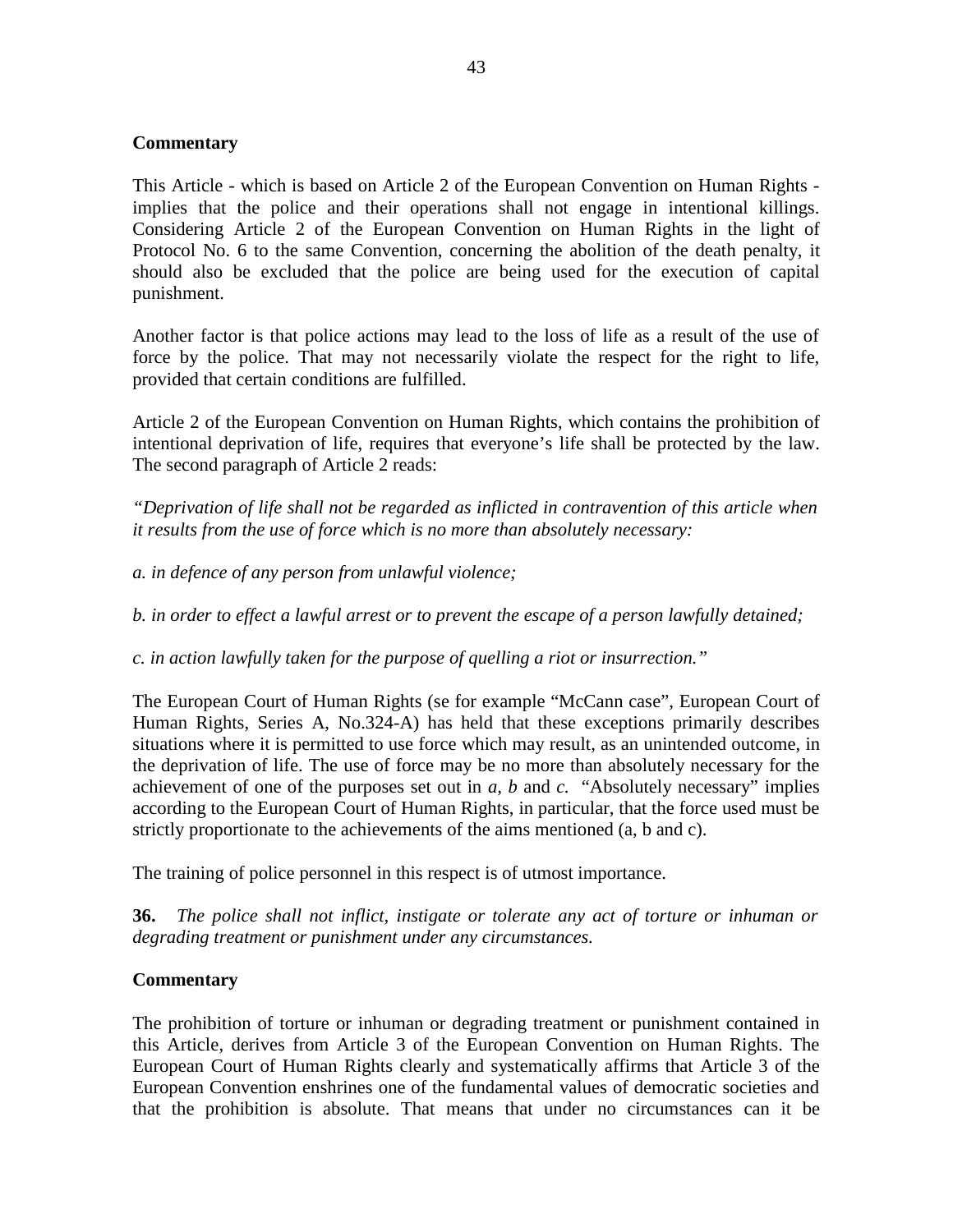#### **Commentary**

This Article - which is based on Article 2 of the European Convention on Human Rights implies that the police and their operations shall not engage in intentional killings. Considering Article 2 of the European Convention on Human Rights in the light of Protocol No. 6 to the same Convention, concerning the abolition of the death penalty, it should also be excluded that the police are being used for the execution of capital punishment.

Another factor is that police actions may lead to the loss of life as a result of the use of force by the police. That may not necessarily violate the respect for the right to life, provided that certain conditions are fulfilled.

Article 2 of the European Convention on Human Rights, which contains the prohibition of intentional deprivation of life, requires that everyone's life shall be protected by the law. The second paragraph of Article 2 reads:

*"Deprivation of life shall not be regarded as inflicted in contravention of this article when it results from the use of force which is no more than absolutely necessary:* 

*a. in defence of any person from unlawful violence;*

*b. in order to effect a lawful arrest or to prevent the escape of a person lawfully detained;* 

*c. in action lawfully taken for the purpose of quelling a riot or insurrection."* 

The European Court of Human Rights (se for example "McCann case", European Court of Human Rights, Series A, No.324-A) has held that these exceptions primarily describes situations where it is permitted to use force which may result, as an unintended outcome, in the deprivation of life. The use of force may be no more than absolutely necessary for the achievement of one of the purposes set out in *a, b* and *c.* "Absolutely necessary" implies according to the European Court of Human Rights, in particular, that the force used must be strictly proportionate to the achievements of the aims mentioned (a, b and c).

The training of police personnel in this respect is of utmost importance.

**36.** *The police shall not inflict, instigate or tolerate any act of torture or inhuman or degrading treatment or punishment under any circumstances.*

#### **Commentary**

The prohibition of torture or inhuman or degrading treatment or punishment contained in this Article, derives from Article 3 of the European Convention on Human Rights. The European Court of Human Rights clearly and systematically affirms that Article 3 of the European Convention enshrines one of the fundamental values of democratic societies and that the prohibition is absolute. That means that under no circumstances can it be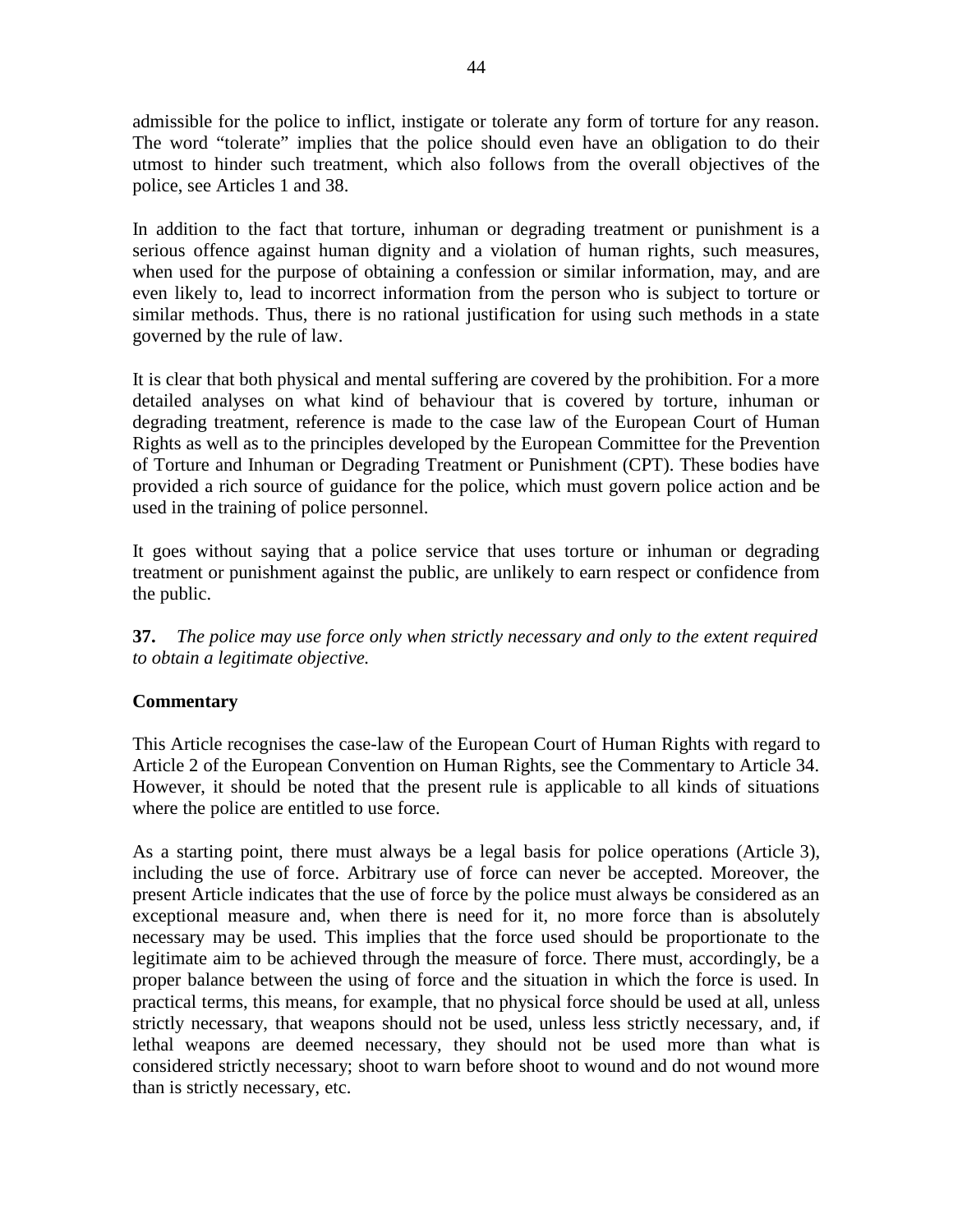admissible for the police to inflict, instigate or tolerate any form of torture for any reason. The word "tolerate" implies that the police should even have an obligation to do their utmost to hinder such treatment, which also follows from the overall objectives of the police, see Articles 1 and 38.

In addition to the fact that torture, inhuman or degrading treatment or punishment is a serious offence against human dignity and a violation of human rights, such measures, when used for the purpose of obtaining a confession or similar information, may, and are even likely to, lead to incorrect information from the person who is subject to torture or similar methods. Thus, there is no rational justification for using such methods in a state governed by the rule of law.

It is clear that both physical and mental suffering are covered by the prohibition. For a more detailed analyses on what kind of behaviour that is covered by torture, inhuman or degrading treatment, reference is made to the case law of the European Court of Human Rights as well as to the principles developed by the European Committee for the Prevention of Torture and Inhuman or Degrading Treatment or Punishment (CPT). These bodies have provided a rich source of guidance for the police, which must govern police action and be used in the training of police personnel.

It goes without saying that a police service that uses torture or inhuman or degrading treatment or punishment against the public, are unlikely to earn respect or confidence from the public.

**37.** *The police may use force only when strictly necessary and only to the extent required to obtain a legitimate objective.*

## **Commentary**

This Article recognises the case-law of the European Court of Human Rights with regard to Article 2 of the European Convention on Human Rights, see the Commentary to Article 34. However, it should be noted that the present rule is applicable to all kinds of situations where the police are entitled to use force.

As a starting point, there must always be a legal basis for police operations (Article 3), including the use of force. Arbitrary use of force can never be accepted. Moreover, the present Article indicates that the use of force by the police must always be considered as an exceptional measure and, when there is need for it, no more force than is absolutely necessary may be used. This implies that the force used should be proportionate to the legitimate aim to be achieved through the measure of force. There must, accordingly, be a proper balance between the using of force and the situation in which the force is used. In practical terms, this means, for example, that no physical force should be used at all, unless strictly necessary, that weapons should not be used, unless less strictly necessary, and, if lethal weapons are deemed necessary, they should not be used more than what is considered strictly necessary; shoot to warn before shoot to wound and do not wound more than is strictly necessary, etc.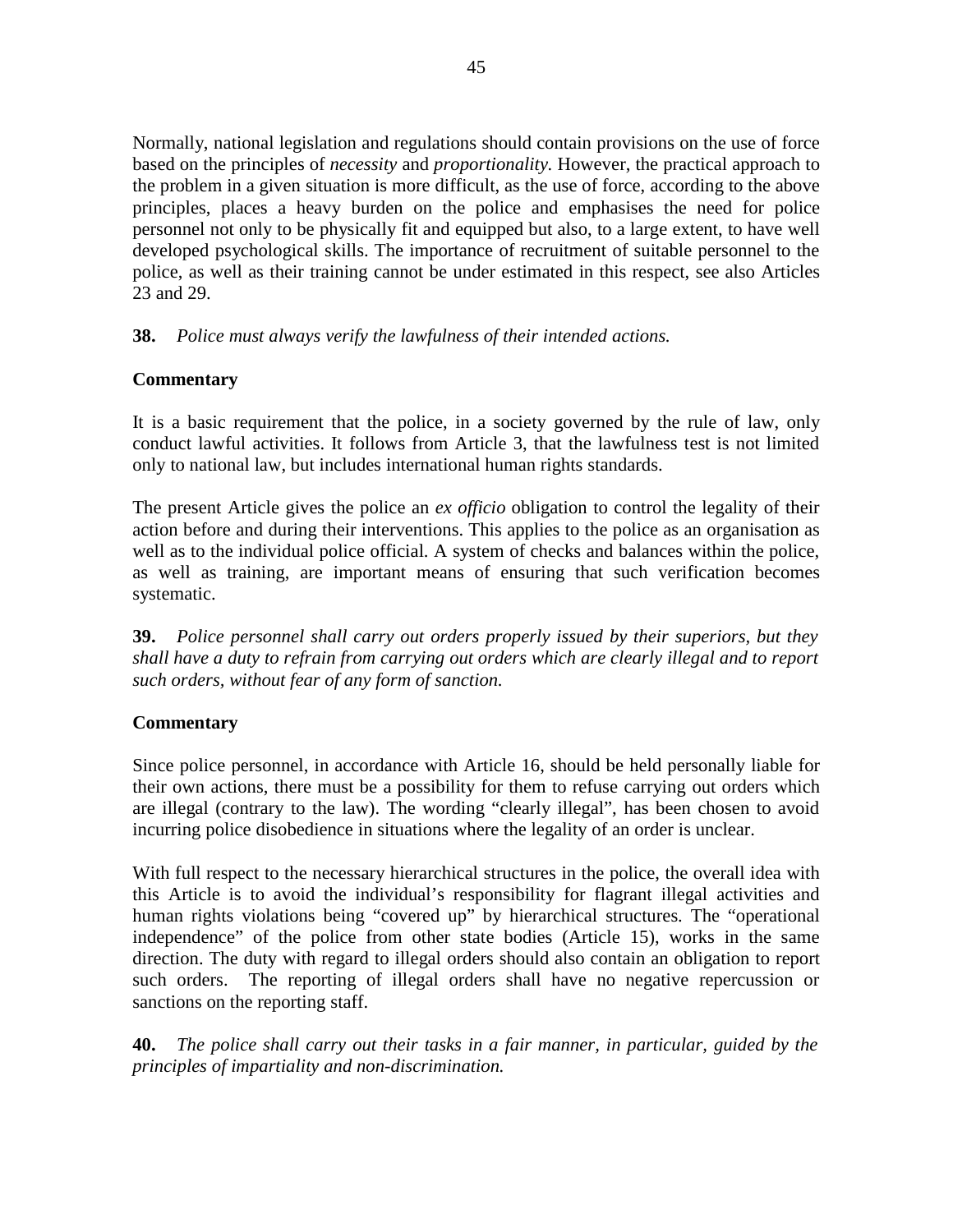Normally, national legislation and regulations should contain provisions on the use of force based on the principles of *necessity* and *proportionality.* However, the practical approach to the problem in a given situation is more difficult, as the use of force, according to the above principles, places a heavy burden on the police and emphasises the need for police personnel not only to be physically fit and equipped but also, to a large extent, to have well developed psychological skills. The importance of recruitment of suitable personnel to the police, as well as their training cannot be under estimated in this respect, see also Articles 23 and 29.

**38.** *Police must always verify the lawfulness of their intended actions.*

## **Commentary**

It is a basic requirement that the police, in a society governed by the rule of law, only conduct lawful activities. It follows from Article 3, that the lawfulness test is not limited only to national law, but includes international human rights standards.

The present Article gives the police an *ex officio* obligation to control the legality of their action before and during their interventions. This applies to the police as an organisation as well as to the individual police official. A system of checks and balances within the police, as well as training, are important means of ensuring that such verification becomes systematic.

**39.** *Police personnel shall carry out orders properly issued by their superiors, but they shall have a duty to refrain from carrying out orders which are clearly illegal and to report such orders, without fear of any form of sanction.*

## **Commentary**

Since police personnel, in accordance with Article 16, should be held personally liable for their own actions, there must be a possibility for them to refuse carrying out orders which are illegal (contrary to the law). The wording "clearly illegal", has been chosen to avoid incurring police disobedience in situations where the legality of an order is unclear.

With full respect to the necessary hierarchical structures in the police, the overall idea with this Article is to avoid the individual's responsibility for flagrant illegal activities and human rights violations being "covered up" by hierarchical structures. The "operational independence" of the police from other state bodies (Article 15), works in the same direction. The duty with regard to illegal orders should also contain an obligation to report such orders. The reporting of illegal orders shall have no negative repercussion or sanctions on the reporting staff.

**40.** *The police shall carry out their tasks in a fair manner, in particular, guided by the principles of impartiality and non-discrimination.*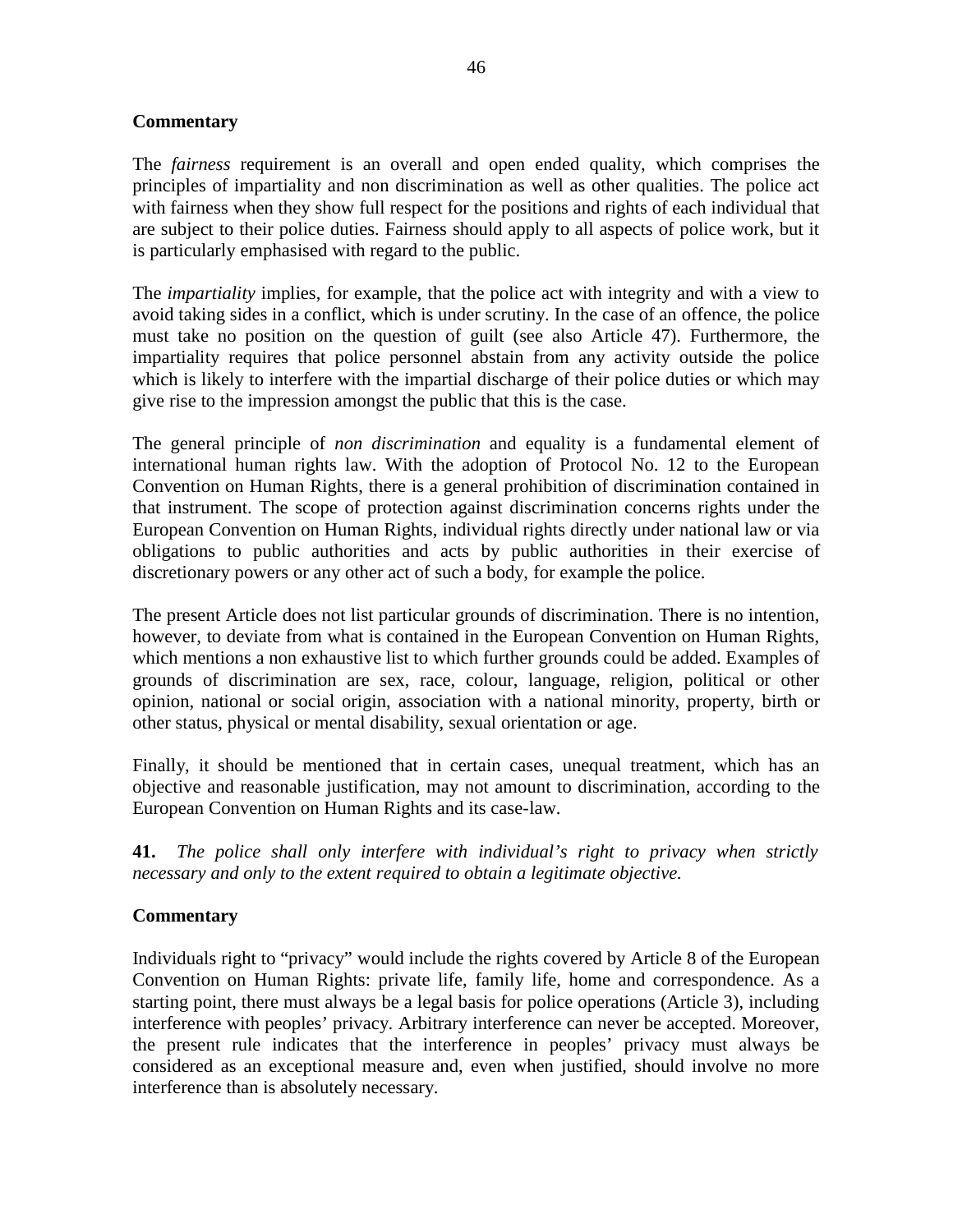#### **Commentary**

The *fairness* requirement is an overall and open ended quality, which comprises the principles of impartiality and non discrimination as well as other qualities. The police act with fairness when they show full respect for the positions and rights of each individual that are subject to their police duties. Fairness should apply to all aspects of police work, but it is particularly emphasised with regard to the public.

The *impartiality* implies, for example, that the police act with integrity and with a view to avoid taking sides in a conflict, which is under scrutiny. In the case of an offence, the police must take no position on the question of guilt (see also Article 47). Furthermore, the impartiality requires that police personnel abstain from any activity outside the police which is likely to interfere with the impartial discharge of their police duties or which may give rise to the impression amongst the public that this is the case.

The general principle of *non discrimination* and equality is a fundamental element of international human rights law. With the adoption of Protocol No. 12 to the European Convention on Human Rights, there is a general prohibition of discrimination contained in that instrument. The scope of protection against discrimination concerns rights under the European Convention on Human Rights, individual rights directly under national law or via obligations to public authorities and acts by public authorities in their exercise of discretionary powers or any other act of such a body, for example the police.

The present Article does not list particular grounds of discrimination. There is no intention, however, to deviate from what is contained in the European Convention on Human Rights, which mentions a non exhaustive list to which further grounds could be added. Examples of grounds of discrimination are sex, race, colour, language, religion, political or other opinion, national or social origin, association with a national minority, property, birth or other status, physical or mental disability, sexual orientation or age.

Finally, it should be mentioned that in certain cases, unequal treatment, which has an objective and reasonable justification, may not amount to discrimination, according to the European Convention on Human Rights and its case-law.

**41.** *The police shall only interfere with individual's right to privacy when strictly necessary and only to the extent required to obtain a legitimate objective.* 

## **Commentary**

Individuals right to "privacy" would include the rights covered by Article 8 of the European Convention on Human Rights: private life, family life, home and correspondence. As a starting point, there must always be a legal basis for police operations (Article 3), including interference with peoples' privacy. Arbitrary interference can never be accepted. Moreover, the present rule indicates that the interference in peoples' privacy must always be considered as an exceptional measure and, even when justified, should involve no more interference than is absolutely necessary.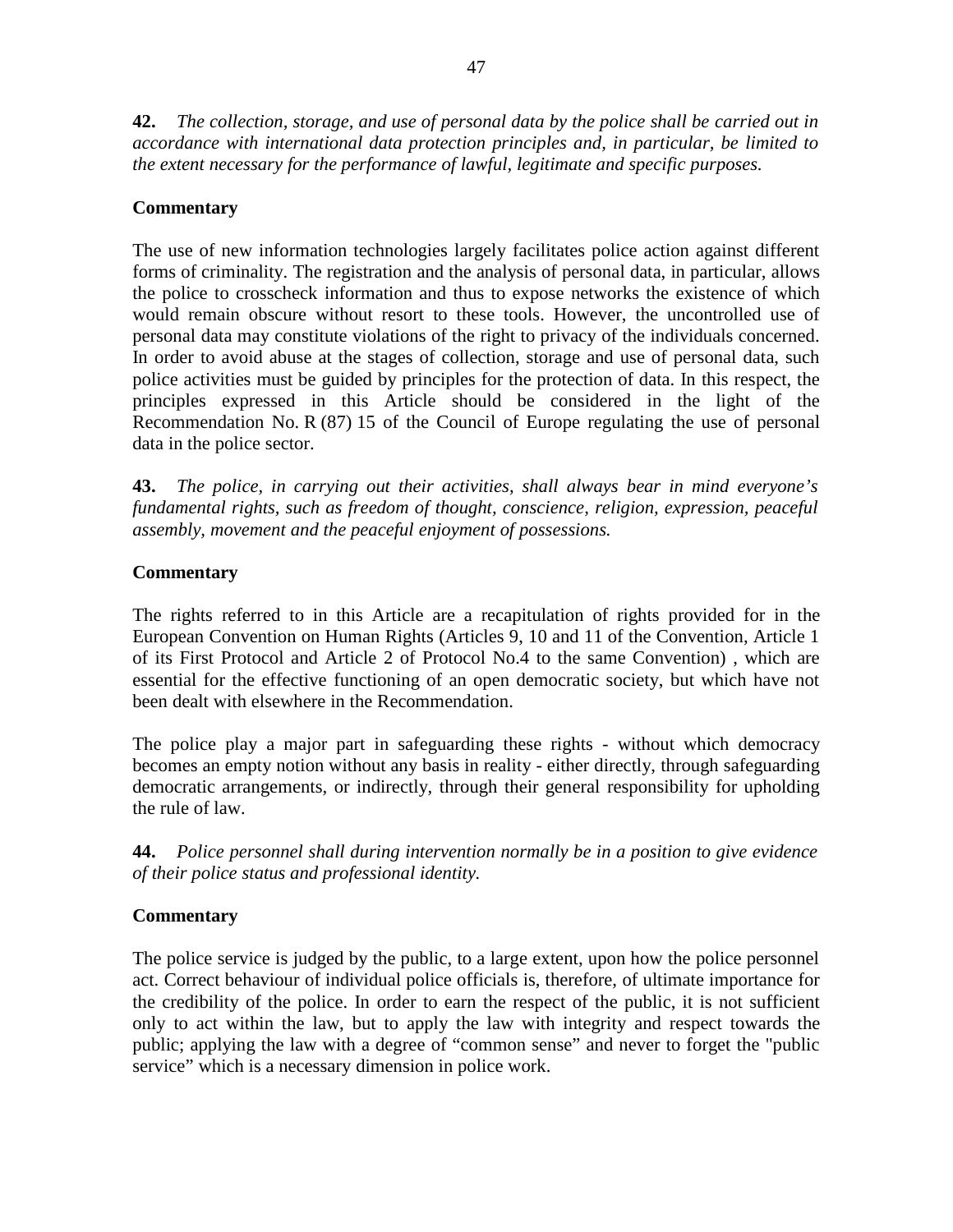**42.** *The collection, storage, and use of personal data by the police shall be carried out in accordance with international data protection principles and, in particular, be limited to the extent necessary for the performance of lawful, legitimate and specific purposes.*

## **Commentary**

The use of new information technologies largely facilitates police action against different forms of criminality. The registration and the analysis of personal data, in particular, allows the police to crosscheck information and thus to expose networks the existence of which would remain obscure without resort to these tools. However, the uncontrolled use of personal data may constitute violations of the right to privacy of the individuals concerned. In order to avoid abuse at the stages of collection, storage and use of personal data, such police activities must be guided by principles for the protection of data. In this respect, the principles expressed in this Article should be considered in the light of the Recommendation No. R (87) 15 of the Council of Europe regulating the use of personal data in the police sector.

**43.** *The police, in carrying out their activities, shall always bear in mind everyone's fundamental rights, such as freedom of thought, conscience, religion, expression, peaceful assembly, movement and the peaceful enjoyment of possessions.* 

## **Commentary**

The rights referred to in this Article are a recapitulation of rights provided for in the European Convention on Human Rights (Articles 9, 10 and 11 of the Convention, Article 1 of its First Protocol and Article 2 of Protocol No.4 to the same Convention) , which are essential for the effective functioning of an open democratic society, but which have not been dealt with elsewhere in the Recommendation.

The police play a major part in safeguarding these rights - without which democracy becomes an empty notion without any basis in reality - either directly, through safeguarding democratic arrangements, or indirectly, through their general responsibility for upholding the rule of law.

**44.** *Police personnel shall during intervention normally be in a position to give evidence of their police status and professional identity.*

## **Commentary**

The police service is judged by the public, to a large extent, upon how the police personnel act. Correct behaviour of individual police officials is, therefore, of ultimate importance for the credibility of the police. In order to earn the respect of the public, it is not sufficient only to act within the law, but to apply the law with integrity and respect towards the public; applying the law with a degree of "common sense" and never to forget the "public service" which is a necessary dimension in police work.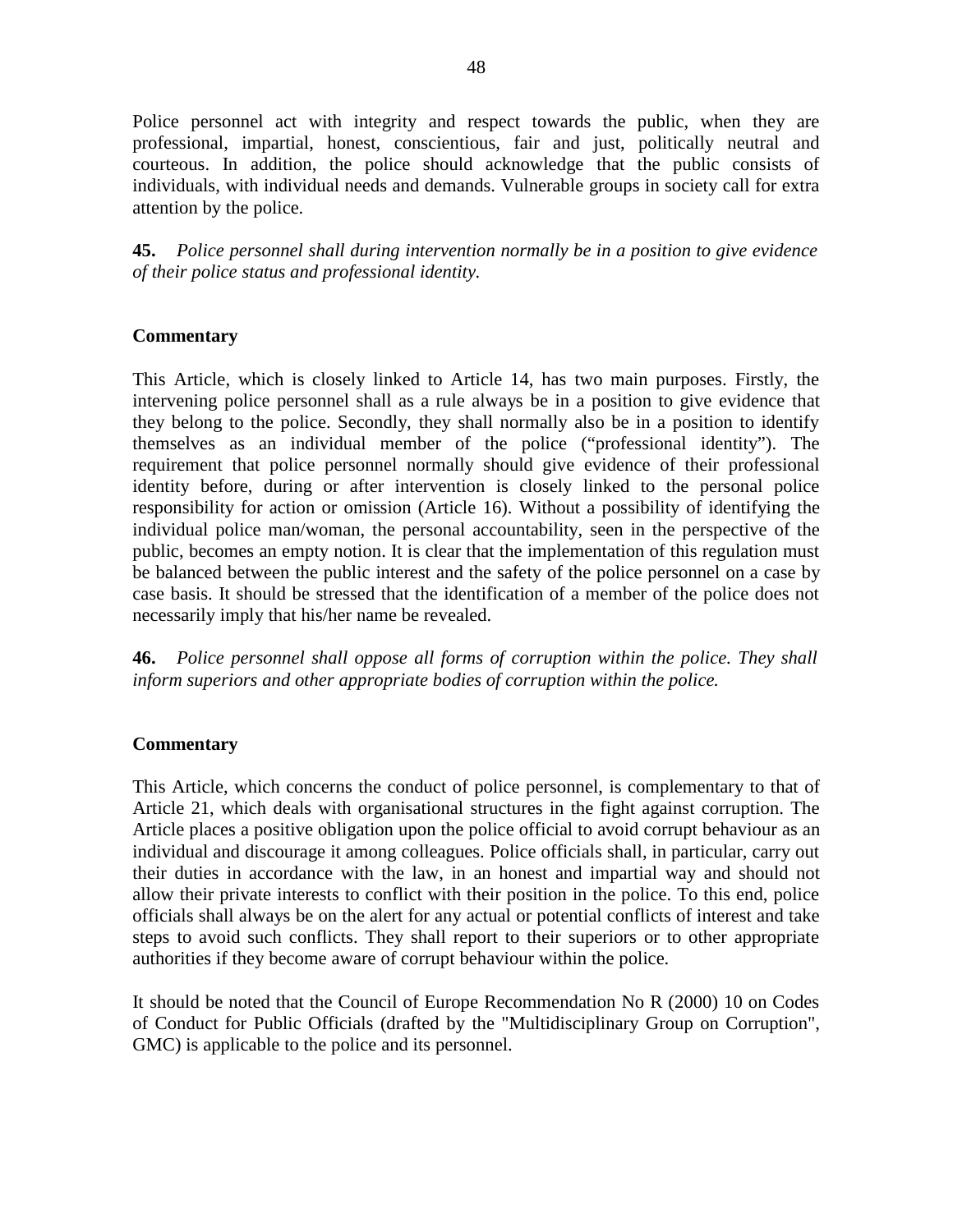Police personnel act with integrity and respect towards the public, when they are professional, impartial, honest, conscientious, fair and just, politically neutral and courteous. In addition, the police should acknowledge that the public consists of individuals, with individual needs and demands. Vulnerable groups in society call for extra attention by the police.

**45.** *Police personnel shall during intervention normally be in a position to give evidence of their police status and professional identity.*

## **Commentary**

This Article, which is closely linked to Article 14, has two main purposes. Firstly, the intervening police personnel shall as a rule always be in a position to give evidence that they belong to the police. Secondly, they shall normally also be in a position to identify themselves as an individual member of the police ("professional identity"). The requirement that police personnel normally should give evidence of their professional identity before, during or after intervention is closely linked to the personal police responsibility for action or omission (Article 16). Without a possibility of identifying the individual police man/woman, the personal accountability, seen in the perspective of the public, becomes an empty notion. It is clear that the implementation of this regulation must be balanced between the public interest and the safety of the police personnel on a case by case basis. It should be stressed that the identification of a member of the police does not necessarily imply that his/her name be revealed.

**46.** *Police personnel shall oppose all forms of corruption within the police. They shall inform superiors and other appropriate bodies of corruption within the police.*

#### **Commentary**

This Article, which concerns the conduct of police personnel, is complementary to that of Article 21, which deals with organisational structures in the fight against corruption. The Article places a positive obligation upon the police official to avoid corrupt behaviour as an individual and discourage it among colleagues. Police officials shall, in particular, carry out their duties in accordance with the law, in an honest and impartial way and should not allow their private interests to conflict with their position in the police. To this end, police officials shall always be on the alert for any actual or potential conflicts of interest and take steps to avoid such conflicts. They shall report to their superiors or to other appropriate authorities if they become aware of corrupt behaviour within the police.

It should be noted that the Council of Europe Recommendation No R (2000) 10 on Codes of Conduct for Public Officials (drafted by the "Multidisciplinary Group on Corruption", GMC) is applicable to the police and its personnel.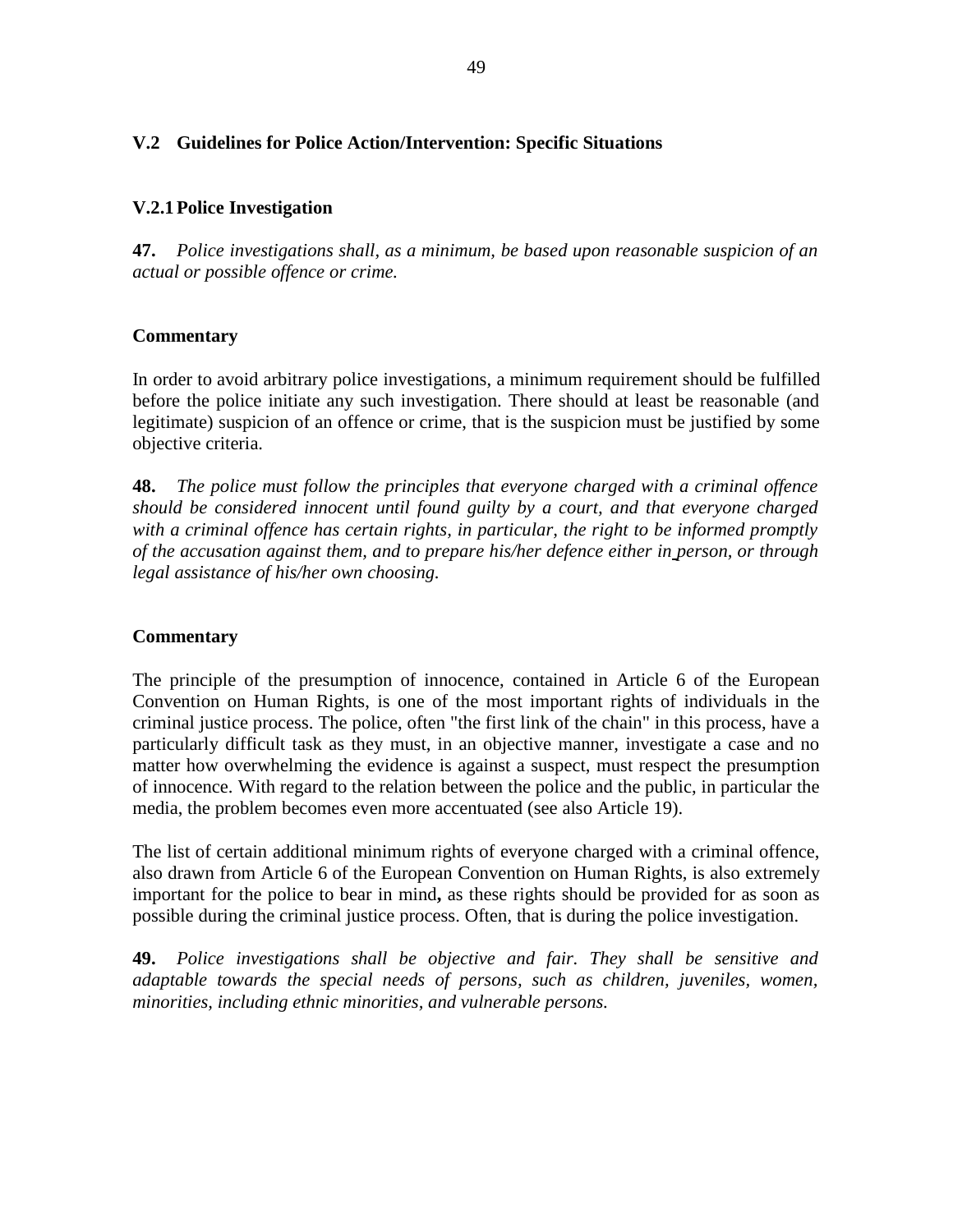## **V.2 Guidelines for Police Action/Intervention: Specific Situations**

## **V.2.1 Police Investigation**

**47.** *Police investigations shall, as a minimum, be based upon reasonable suspicion of an actual or possible offence or crime.*

## **Commentary**

In order to avoid arbitrary police investigations, a minimum requirement should be fulfilled before the police initiate any such investigation. There should at least be reasonable (and legitimate) suspicion of an offence or crime, that is the suspicion must be justified by some objective criteria.

**48.** *The police must follow the principles that everyone charged with a criminal offence should be considered innocent until found guilty by a court, and that everyone charged with a criminal offence has certain rights, in particular, the right to be informed promptly of the accusation against them, and to prepare his/her defence either in person, or through legal assistance of his/her own choosing.*

## **Commentary**

The principle of the presumption of innocence, contained in Article 6 of the European Convention on Human Rights, is one of the most important rights of individuals in the criminal justice process. The police, often "the first link of the chain" in this process, have a particularly difficult task as they must, in an objective manner, investigate a case and no matter how overwhelming the evidence is against a suspect, must respect the presumption of innocence. With regard to the relation between the police and the public, in particular the media, the problem becomes even more accentuated (see also Article 19).

The list of certain additional minimum rights of everyone charged with a criminal offence, also drawn from Article 6 of the European Convention on Human Rights, is also extremely important for the police to bear in mind**,** as these rights should be provided for as soon as possible during the criminal justice process. Often, that is during the police investigation.

**49.** *Police investigations shall be objective and fair. They shall be sensitive and adaptable towards the special needs of persons, such as children, juveniles, women, minorities, including ethnic minorities, and vulnerable persons.*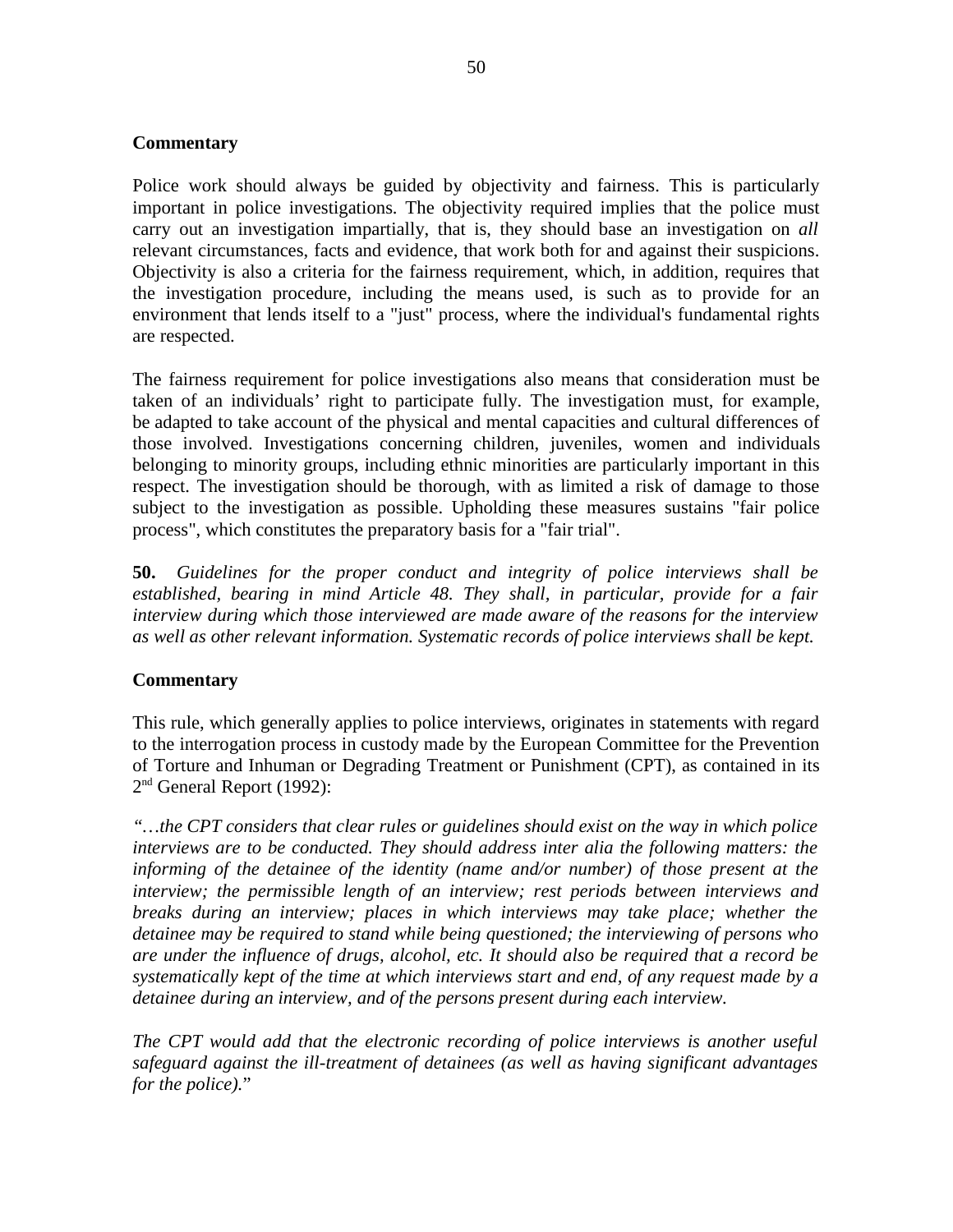#### **Commentary**

Police work should always be guided by objectivity and fairness. This is particularly important in police investigations. The objectivity required implies that the police must carry out an investigation impartially, that is, they should base an investigation on *all*  relevant circumstances, facts and evidence, that work both for and against their suspicions. Objectivity is also a criteria for the fairness requirement, which, in addition, requires that the investigation procedure, including the means used, is such as to provide for an environment that lends itself to a "just" process, where the individual's fundamental rights are respected.

The fairness requirement for police investigations also means that consideration must be taken of an individuals' right to participate fully. The investigation must, for example, be adapted to take account of the physical and mental capacities and cultural differences of those involved. Investigations concerning children, juveniles, women and individuals belonging to minority groups, including ethnic minorities are particularly important in this respect. The investigation should be thorough, with as limited a risk of damage to those subject to the investigation as possible. Upholding these measures sustains "fair police process", which constitutes the preparatory basis for a "fair trial".

**50.** *Guidelines for the proper conduct and integrity of police interviews shall be established, bearing in mind Article 48. They shall, in particular, provide for a fair interview during which those interviewed are made aware of the reasons for the interview as well as other relevant information. Systematic records of police interviews shall be kept.*

#### **Commentary**

This rule, which generally applies to police interviews, originates in statements with regard to the interrogation process in custody made by the European Committee for the Prevention of Torture and Inhuman or Degrading Treatment or Punishment (CPT), as contained in its 2<sup>nd</sup> General Report (1992):

*"…the CPT considers that clear rules or guidelines should exist on the way in which police interviews are to be conducted. They should address inter alia the following matters: the informing of the detainee of the identity (name and/or number) of those present at the interview; the permissible length of an interview; rest periods between interviews and breaks during an interview; places in which interviews may take place; whether the detainee may be required to stand while being questioned; the interviewing of persons who are under the influence of drugs, alcohol, etc. It should also be required that a record be systematically kept of the time at which interviews start and end, of any request made by a detainee during an interview, and of the persons present during each interview.* 

*The CPT would add that the electronic recording of police interviews is another useful safeguard against the ill-treatment of detainees (as well as having significant advantages for the police).*"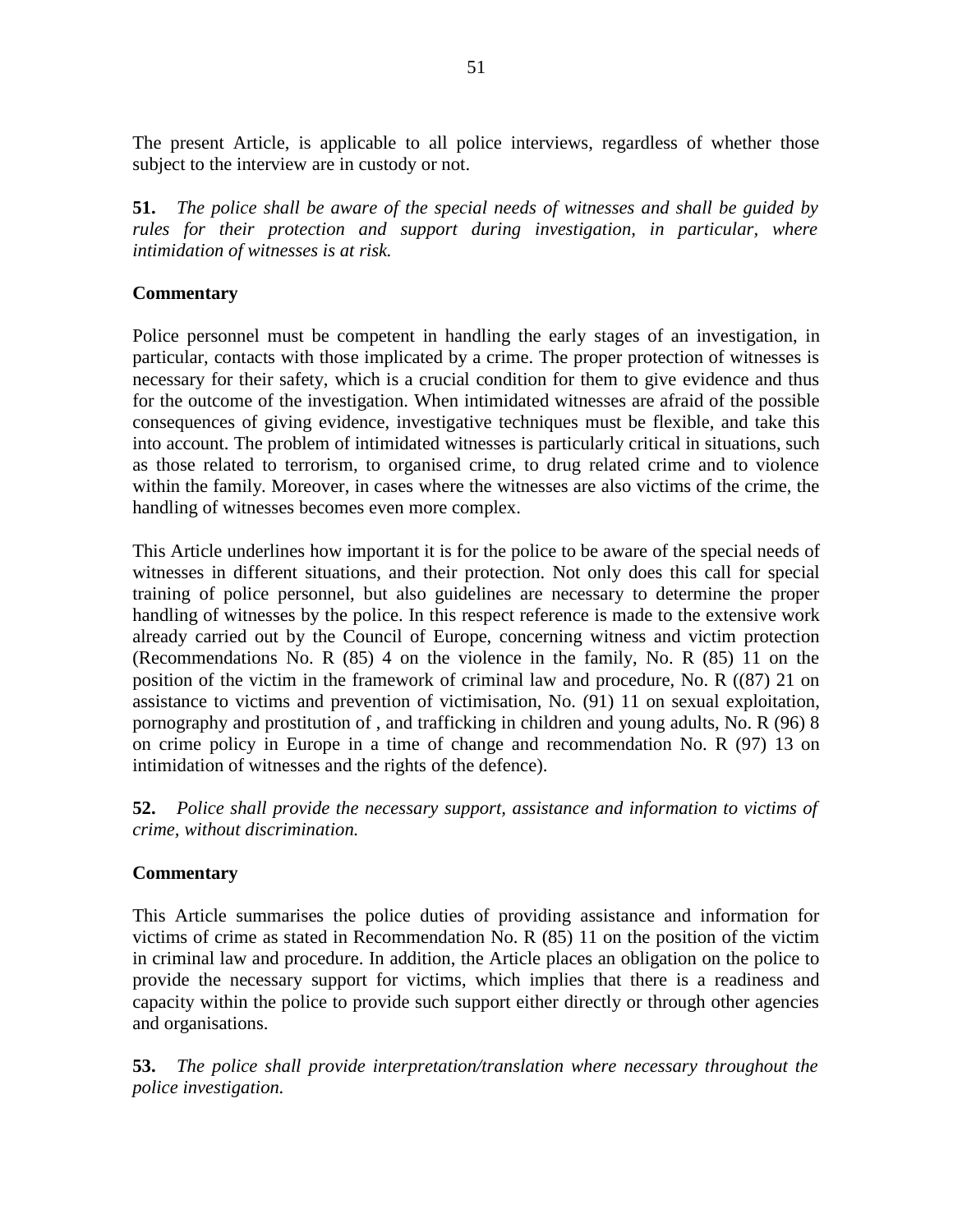The present Article, is applicable to all police interviews, regardless of whether those subject to the interview are in custody or not.

**51.** *The police shall be aware of the special needs of witnesses and shall be guided by rules for their protection and support during investigation, in particular, where intimidation of witnesses is at risk.*

## **Commentary**

Police personnel must be competent in handling the early stages of an investigation, in particular, contacts with those implicated by a crime. The proper protection of witnesses is necessary for their safety, which is a crucial condition for them to give evidence and thus for the outcome of the investigation. When intimidated witnesses are afraid of the possible consequences of giving evidence, investigative techniques must be flexible, and take this into account. The problem of intimidated witnesses is particularly critical in situations, such as those related to terrorism, to organised crime, to drug related crime and to violence within the family. Moreover, in cases where the witnesses are also victims of the crime, the handling of witnesses becomes even more complex.

This Article underlines how important it is for the police to be aware of the special needs of witnesses in different situations, and their protection. Not only does this call for special training of police personnel, but also guidelines are necessary to determine the proper handling of witnesses by the police. In this respect reference is made to the extensive work already carried out by the Council of Europe, concerning witness and victim protection (Recommendations No. R (85) 4 on the violence in the family, No. R (85) 11 on the position of the victim in the framework of criminal law and procedure, No. R ((87) 21 on assistance to victims and prevention of victimisation, No. (91) 11 on sexual exploitation, pornography and prostitution of , and trafficking in children and young adults, No. R (96) 8 on crime policy in Europe in a time of change and recommendation No. R (97) 13 on intimidation of witnesses and the rights of the defence).

**52.** *Police shall provide the necessary support, assistance and information to victims of crime, without discrimination.*

#### **Commentary**

This Article summarises the police duties of providing assistance and information for victims of crime as stated in Recommendation No. R (85) 11 on the position of the victim in criminal law and procedure. In addition, the Article places an obligation on the police to provide the necessary support for victims, which implies that there is a readiness and capacity within the police to provide such support either directly or through other agencies and organisations.

**53.** *The police shall provide interpretation/translation where necessary throughout the police investigation.*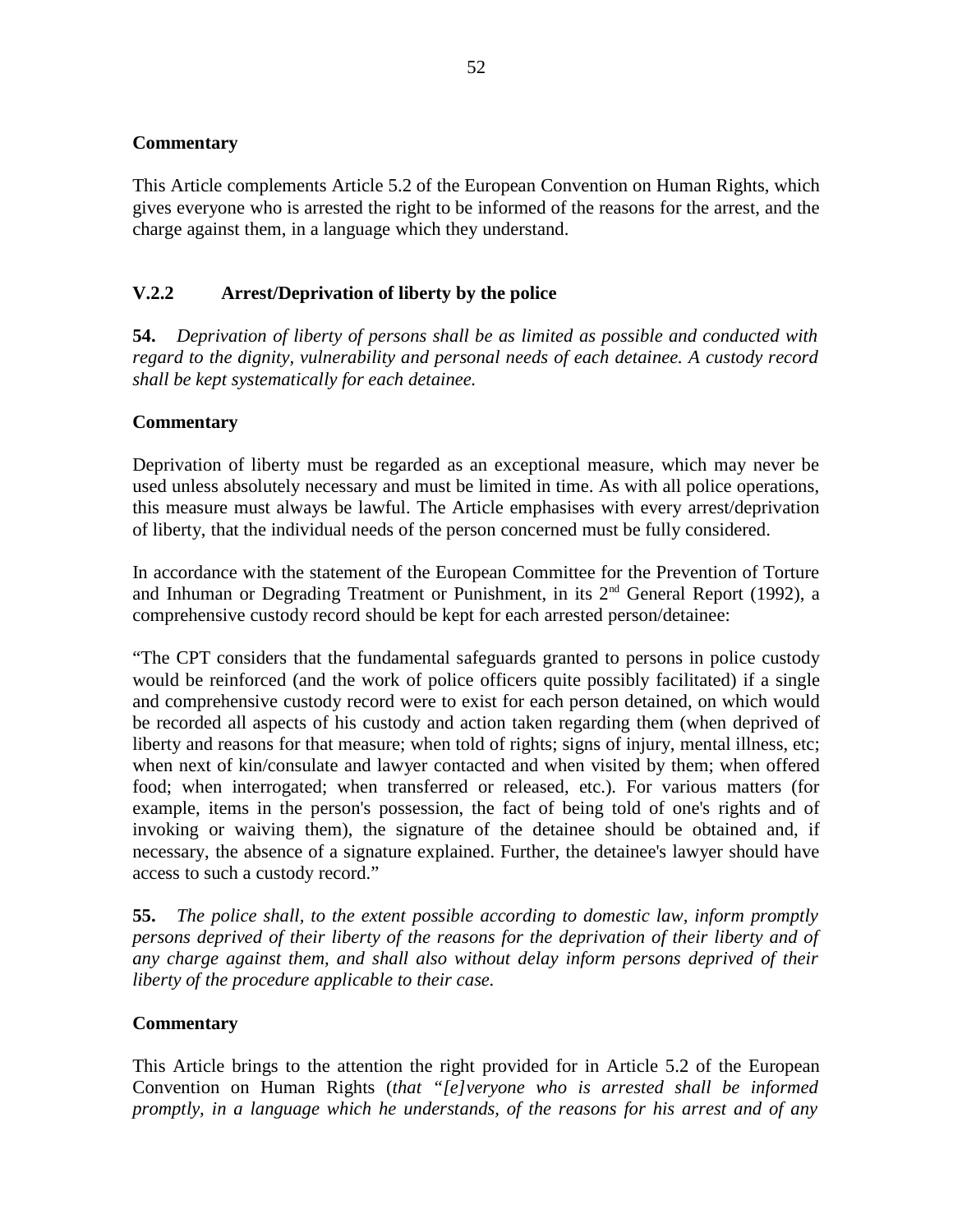## **Commentary**

This Article complements Article 5.2 of the European Convention on Human Rights, which gives everyone who is arrested the right to be informed of the reasons for the arrest, and the charge against them, in a language which they understand.

## **V.2.2 Arrest/Deprivation of liberty by the police**

**54.** *Deprivation of liberty of persons shall be as limited as possible and conducted with regard to the dignity, vulnerability and personal needs of each detainee. A custody record shall be kept systematically for each detainee.*

## **Commentary**

Deprivation of liberty must be regarded as an exceptional measure, which may never be used unless absolutely necessary and must be limited in time. As with all police operations, this measure must always be lawful. The Article emphasises with every arrest/deprivation of liberty, that the individual needs of the person concerned must be fully considered.

In accordance with the statement of the European Committee for the Prevention of Torture and Inhuman or Degrading Treatment or Punishment, in its  $2<sup>nd</sup>$  General Report (1992), a comprehensive custody record should be kept for each arrested person/detainee:

"The CPT considers that the fundamental safeguards granted to persons in police custody would be reinforced (and the work of police officers quite possibly facilitated) if a single and comprehensive custody record were to exist for each person detained, on which would be recorded all aspects of his custody and action taken regarding them (when deprived of liberty and reasons for that measure; when told of rights; signs of injury, mental illness, etc; when next of kin/consulate and lawyer contacted and when visited by them; when offered food; when interrogated; when transferred or released, etc.). For various matters (for example, items in the person's possession, the fact of being told of one's rights and of invoking or waiving them), the signature of the detainee should be obtained and, if necessary, the absence of a signature explained. Further, the detainee's lawyer should have access to such a custody record."

**55.** *The police shall, to the extent possible according to domestic law, inform promptly persons deprived of their liberty of the reasons for the deprivation of their liberty and of any charge against them, and shall also without delay inform persons deprived of their liberty of the procedure applicable to their case.*

## **Commentary**

This Article brings to the attention the right provided for in Article 5.2 of the European Convention on Human Rights (*that "[e]veryone who is arrested shall be informed promptly, in a language which he understands, of the reasons for his arrest and of any*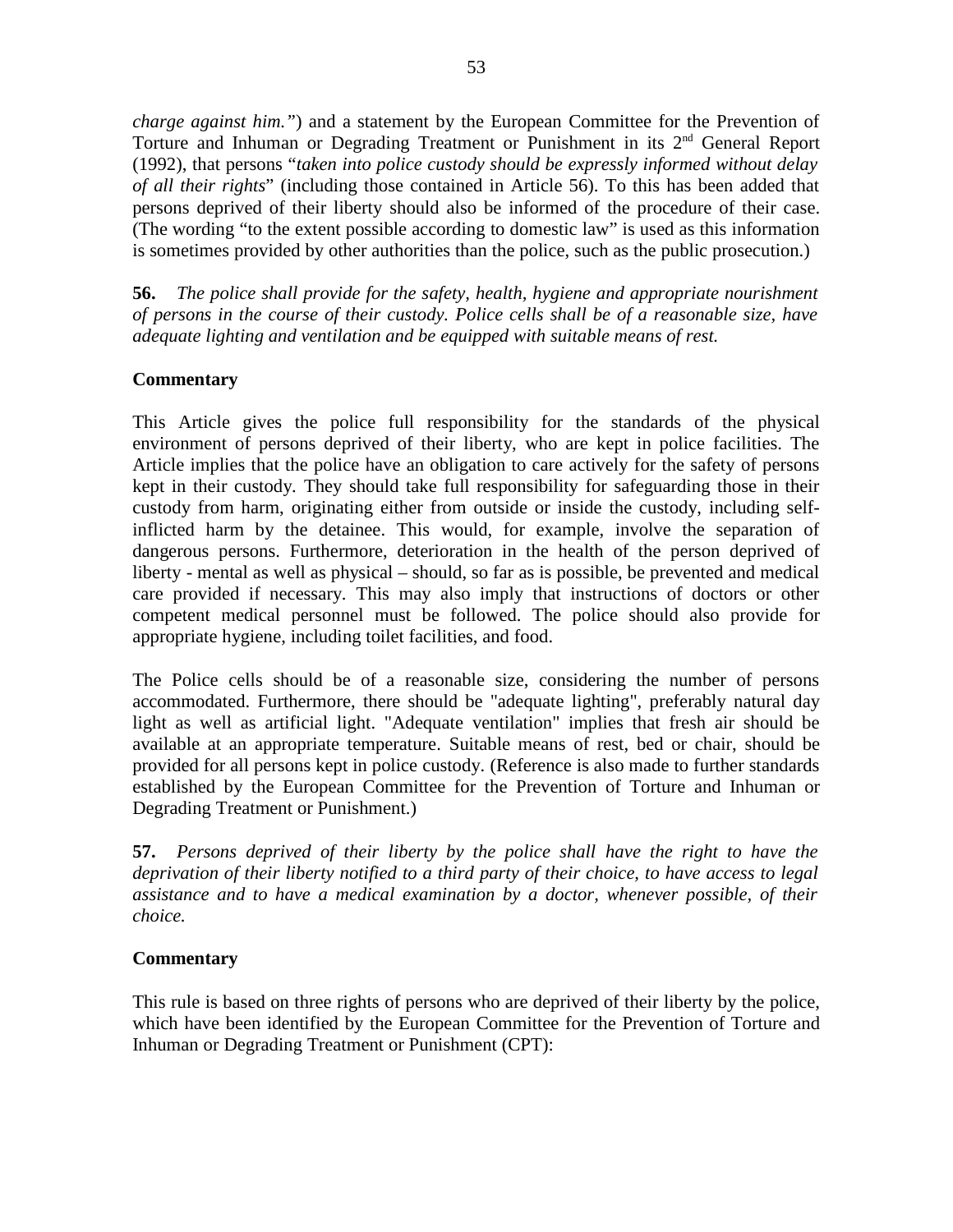*charge against him.*") and a statement by the European Committee for the Prevention of Torture and Inhuman or Degrading Treatment or Punishment in its 2<sup>nd</sup> General Report (1992), that persons "*taken into police custody should be expressly informed without delay of all their rights*" (including those contained in Article 56). To this has been added that persons deprived of their liberty should also be informed of the procedure of their case. (The wording "to the extent possible according to domestic law" is used as this information is sometimes provided by other authorities than the police, such as the public prosecution.)

**56.** *The police shall provide for the safety, health, hygiene and appropriate nourishment of persons in the course of their custody. Police cells shall be of a reasonable size, have adequate lighting and ventilation and be equipped with suitable means of rest.*

## **Commentary**

This Article gives the police full responsibility for the standards of the physical environment of persons deprived of their liberty, who are kept in police facilities. The Article implies that the police have an obligation to care actively for the safety of persons kept in their custody. They should take full responsibility for safeguarding those in their custody from harm, originating either from outside or inside the custody, including selfinflicted harm by the detainee. This would, for example, involve the separation of dangerous persons. Furthermore, deterioration in the health of the person deprived of liberty - mental as well as physical – should, so far as is possible, be prevented and medical care provided if necessary. This may also imply that instructions of doctors or other competent medical personnel must be followed. The police should also provide for appropriate hygiene, including toilet facilities, and food.

The Police cells should be of a reasonable size, considering the number of persons accommodated. Furthermore, there should be "adequate lighting", preferably natural day light as well as artificial light. "Adequate ventilation" implies that fresh air should be available at an appropriate temperature. Suitable means of rest, bed or chair, should be provided for all persons kept in police custody. (Reference is also made to further standards established by the European Committee for the Prevention of Torture and Inhuman or Degrading Treatment or Punishment.)

**57.** *Persons deprived of their liberty by the police shall have the right to have the deprivation of their liberty notified to a third party of their choice, to have access to legal assistance and to have a medical examination by a doctor, whenever possible, of their choice.*

#### **Commentary**

This rule is based on three rights of persons who are deprived of their liberty by the police, which have been identified by the European Committee for the Prevention of Torture and Inhuman or Degrading Treatment or Punishment (CPT):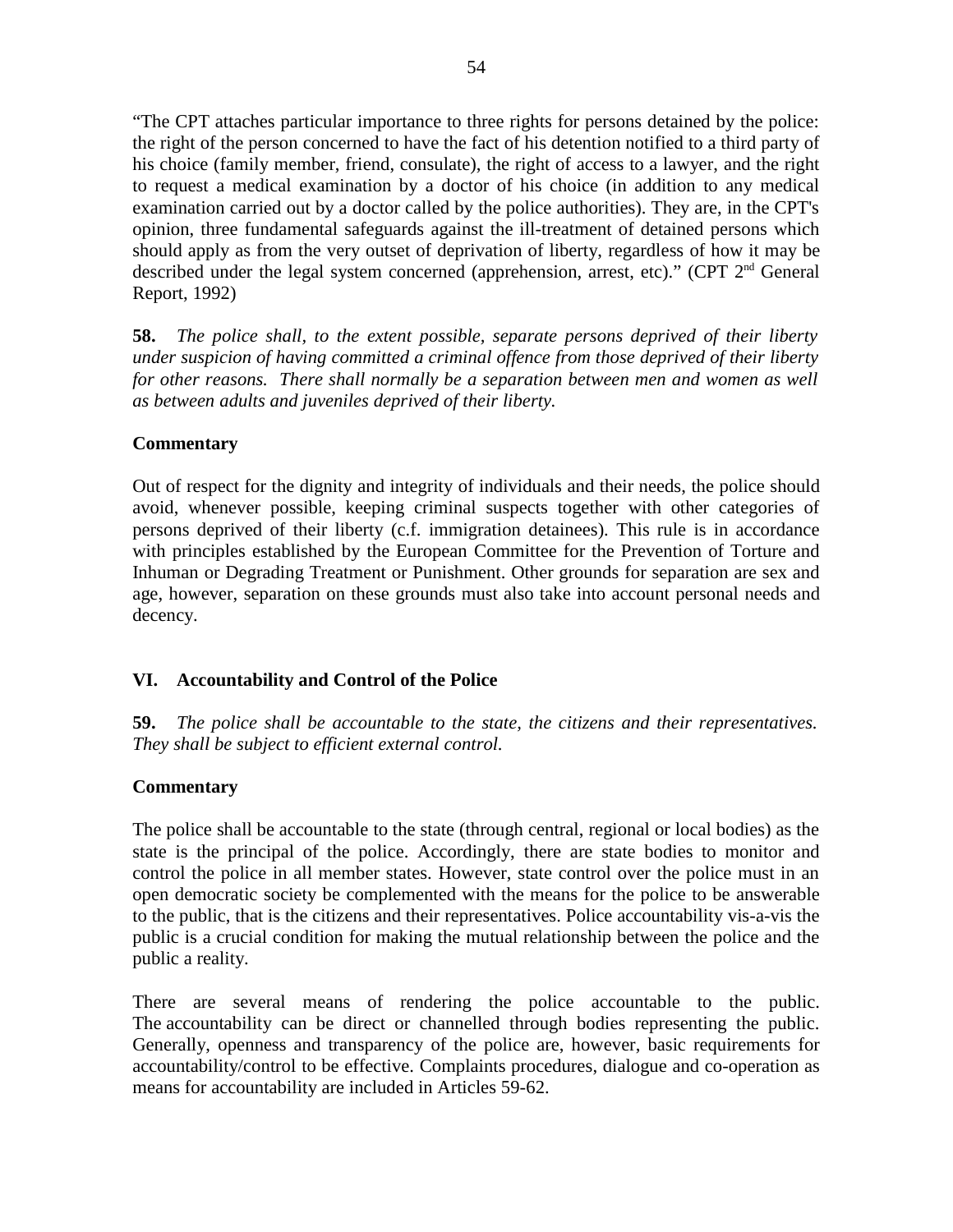"The CPT attaches particular importance to three rights for persons detained by the police: the right of the person concerned to have the fact of his detention notified to a third party of his choice (family member, friend, consulate), the right of access to a lawyer, and the right to request a medical examination by a doctor of his choice (in addition to any medical examination carried out by a doctor called by the police authorities). They are, in the CPT's opinion, three fundamental safeguards against the ill-treatment of detained persons which should apply as from the very outset of deprivation of liberty, regardless of how it may be described under the legal system concerned (apprehension, arrest, etc)." (CPT 2<sup>nd</sup> General Report, 1992)

**58.** *The police shall, to the extent possible, separate persons deprived of their liberty under suspicion of having committed a criminal offence from those deprived of their liberty for other reasons. There shall normally be a separation between men and women as well as between adults and juveniles deprived of their liberty.*

## **Commentary**

Out of respect for the dignity and integrity of individuals and their needs, the police should avoid, whenever possible, keeping criminal suspects together with other categories of persons deprived of their liberty (c.f. immigration detainees). This rule is in accordance with principles established by the European Committee for the Prevention of Torture and Inhuman or Degrading Treatment or Punishment. Other grounds for separation are sex and age, however, separation on these grounds must also take into account personal needs and decency.

## **VI. Accountability and Control of the Police**

**59.** *The police shall be accountable to the state, the citizens and their representatives. They shall be subject to efficient external control.*

## **Commentary**

The police shall be accountable to the state (through central, regional or local bodies) as the state is the principal of the police. Accordingly, there are state bodies to monitor and control the police in all member states. However, state control over the police must in an open democratic society be complemented with the means for the police to be answerable to the public, that is the citizens and their representatives. Police accountability vis-a-vis the public is a crucial condition for making the mutual relationship between the police and the public a reality.

There are several means of rendering the police accountable to the public. The accountability can be direct or channelled through bodies representing the public. Generally, openness and transparency of the police are, however, basic requirements for accountability/control to be effective. Complaints procedures, dialogue and co-operation as means for accountability are included in Articles 59-62.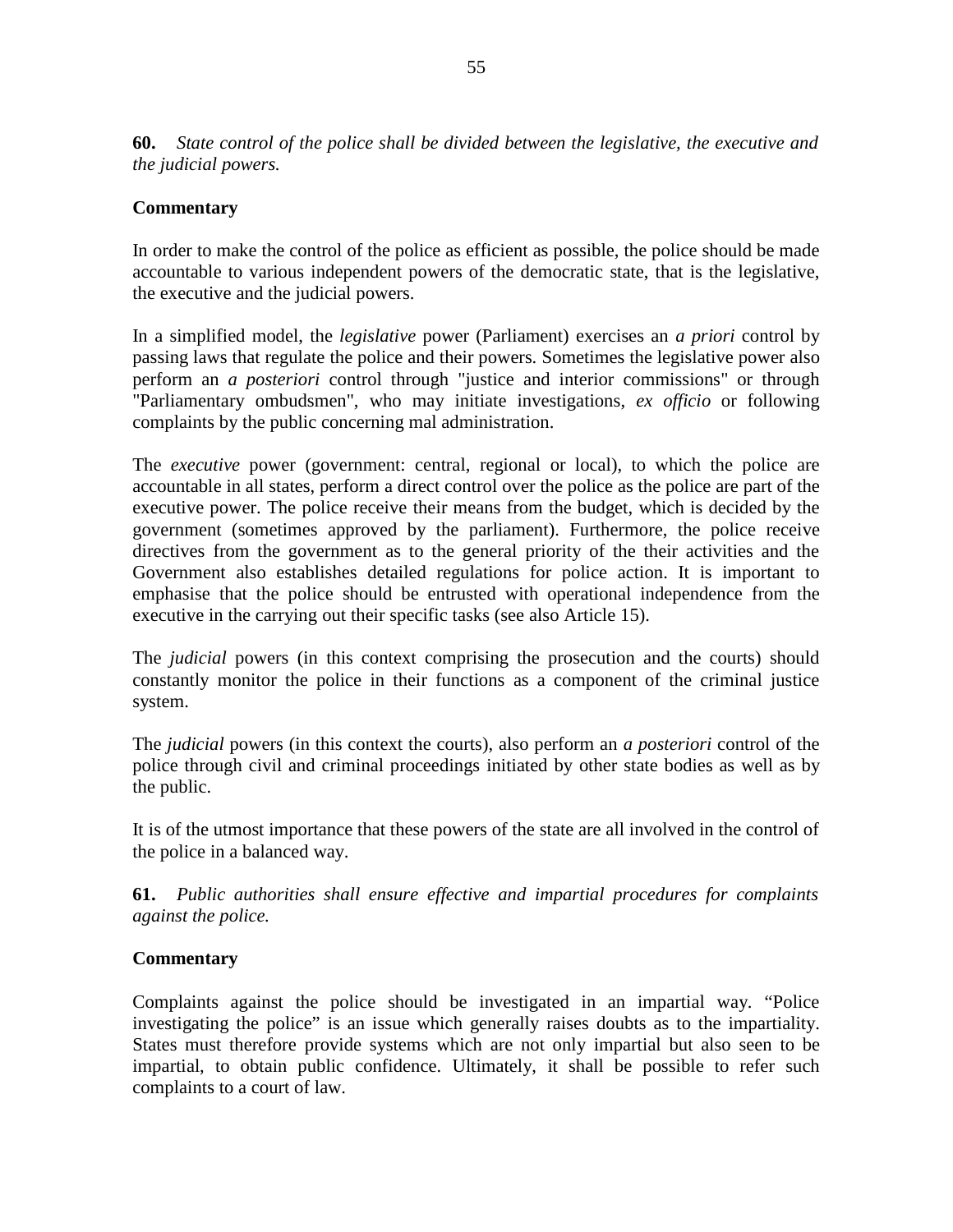**60.** *State control of the police shall be divided between the legislative, the executive and the judicial powers.*

## **Commentary**

In order to make the control of the police as efficient as possible, the police should be made accountable to various independent powers of the democratic state, that is the legislative, the executive and the judicial powers.

In a simplified model, the *legislative* power (Parliament) exercises an *a priori* control by passing laws that regulate the police and their powers. Sometimes the legislative power also perform an *a posteriori* control through "justice and interior commissions" or through "Parliamentary ombudsmen", who may initiate investigations, *ex officio* or following complaints by the public concerning mal administration.

The *executive* power (government: central, regional or local), to which the police are accountable in all states, perform a direct control over the police as the police are part of the executive power. The police receive their means from the budget, which is decided by the government (sometimes approved by the parliament). Furthermore, the police receive directives from the government as to the general priority of the their activities and the Government also establishes detailed regulations for police action. It is important to emphasise that the police should be entrusted with operational independence from the executive in the carrying out their specific tasks (see also Article 15).

The *judicial* powers (in this context comprising the prosecution and the courts) should constantly monitor the police in their functions as a component of the criminal justice system.

The *judicial* powers (in this context the courts), also perform an *a posteriori* control of the police through civil and criminal proceedings initiated by other state bodies as well as by the public.

It is of the utmost importance that these powers of the state are all involved in the control of the police in a balanced way.

**61.** *Public authorities shall ensure effective and impartial procedures for complaints against the police.*

## **Commentary**

Complaints against the police should be investigated in an impartial way. "Police investigating the police" is an issue which generally raises doubts as to the impartiality. States must therefore provide systems which are not only impartial but also seen to be impartial, to obtain public confidence. Ultimately, it shall be possible to refer such complaints to a court of law.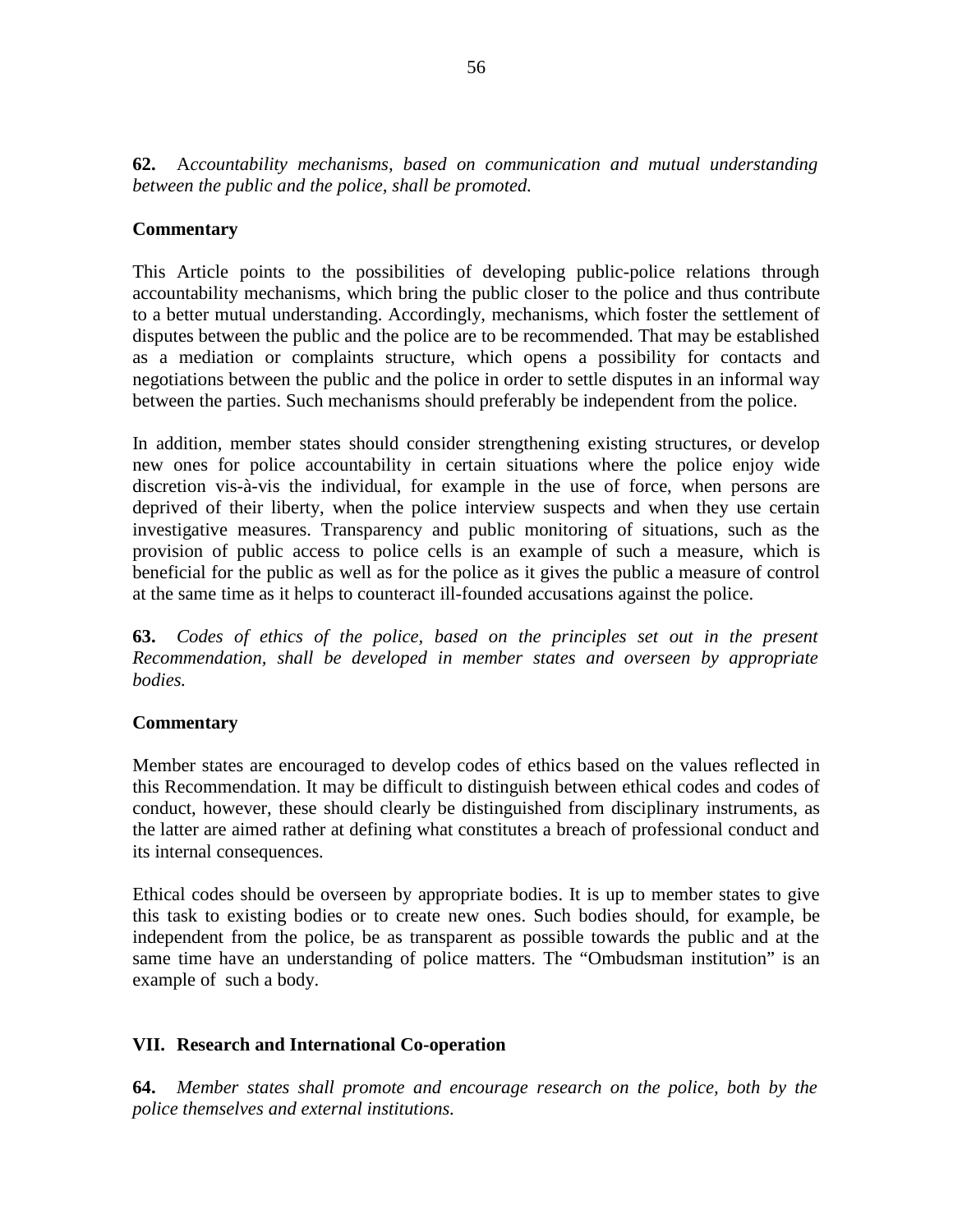**62.** A*ccountability mechanisms, based on communication and mutual understanding between the public and the police, shall be promoted.* 

## **Commentary**

This Article points to the possibilities of developing public-police relations through accountability mechanisms, which bring the public closer to the police and thus contribute to a better mutual understanding. Accordingly, mechanisms, which foster the settlement of disputes between the public and the police are to be recommended. That may be established as a mediation or complaints structure, which opens a possibility for contacts and negotiations between the public and the police in order to settle disputes in an informal way between the parties. Such mechanisms should preferably be independent from the police.

In addition, member states should consider strengthening existing structures, or develop new ones for police accountability in certain situations where the police enjoy wide discretion vis-à-vis the individual, for example in the use of force, when persons are deprived of their liberty, when the police interview suspects and when they use certain investigative measures. Transparency and public monitoring of situations, such as the provision of public access to police cells is an example of such a measure, which is beneficial for the public as well as for the police as it gives the public a measure of control at the same time as it helps to counteract ill-founded accusations against the police.

**63.** *Codes of ethics of the police, based on the principles set out in the present Recommendation, shall be developed in member states and overseen by appropriate bodies.* 

#### **Commentary**

Member states are encouraged to develop codes of ethics based on the values reflected in this Recommendation. It may be difficult to distinguish between ethical codes and codes of conduct, however, these should clearly be distinguished from disciplinary instruments, as the latter are aimed rather at defining what constitutes a breach of professional conduct and its internal consequences.

Ethical codes should be overseen by appropriate bodies. It is up to member states to give this task to existing bodies or to create new ones. Such bodies should, for example, be independent from the police, be as transparent as possible towards the public and at the same time have an understanding of police matters. The "Ombudsman institution" is an example of such a body.

## **VII. Research and International Co-operation**

**64.** *Member states shall promote and encourage research on the police, both by the police themselves and external institutions.*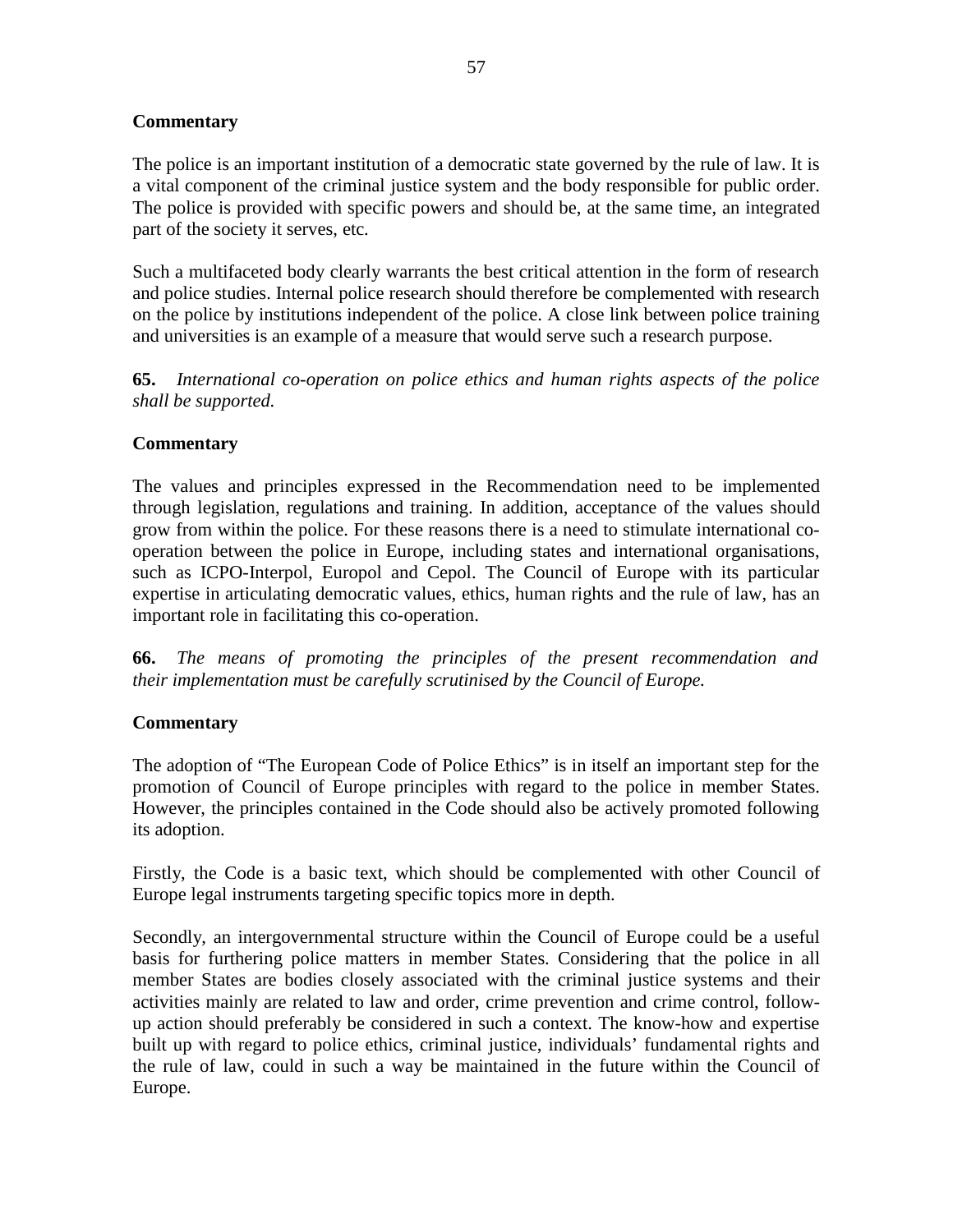## **Commentary**

The police is an important institution of a democratic state governed by the rule of law. It is a vital component of the criminal justice system and the body responsible for public order. The police is provided with specific powers and should be, at the same time, an integrated part of the society it serves, etc.

Such a multifaceted body clearly warrants the best critical attention in the form of research and police studies. Internal police research should therefore be complemented with research on the police by institutions independent of the police. A close link between police training and universities is an example of a measure that would serve such a research purpose.

**65.** *International co-operation on police ethics and human rights aspects of the police shall be supported.*

## **Commentary**

The values and principles expressed in the Recommendation need to be implemented through legislation, regulations and training. In addition, acceptance of the values should grow from within the police. For these reasons there is a need to stimulate international cooperation between the police in Europe, including states and international organisations, such as ICPO-Interpol, Europol and Cepol. The Council of Europe with its particular expertise in articulating democratic values, ethics, human rights and the rule of law, has an important role in facilitating this co-operation.

**66.** *The means of promoting the principles of the present recommendation and their implementation must be carefully scrutinised by the Council of Europe.*

## **Commentary**

The adoption of "The European Code of Police Ethics" is in itself an important step for the promotion of Council of Europe principles with regard to the police in member States. However, the principles contained in the Code should also be actively promoted following its adoption.

Firstly, the Code is a basic text, which should be complemented with other Council of Europe legal instruments targeting specific topics more in depth.

Secondly, an intergovernmental structure within the Council of Europe could be a useful basis for furthering police matters in member States. Considering that the police in all member States are bodies closely associated with the criminal justice systems and their activities mainly are related to law and order, crime prevention and crime control, followup action should preferably be considered in such a context. The know-how and expertise built up with regard to police ethics, criminal justice, individuals' fundamental rights and the rule of law, could in such a way be maintained in the future within the Council of Europe.